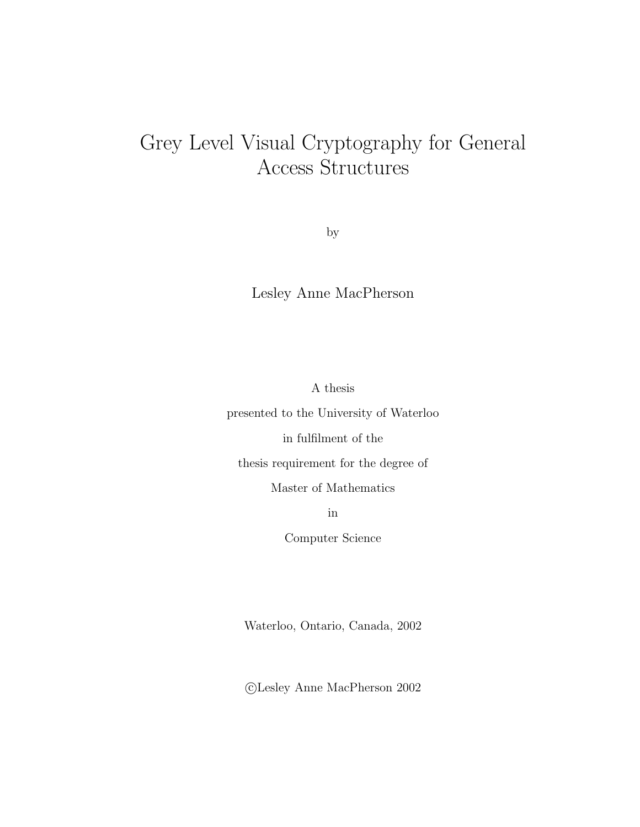# $A$  cress Structures Access Structures

by

Lesley Anne MacPherson

A thesis

presented to the University of Waterloo

in fulfilment of the

thesis requirement for the degree of

Master of Mathematics

in

Computer Science

Waterloo, Ontario, Canada, 2002

c Lesley Anne MacPherson 2002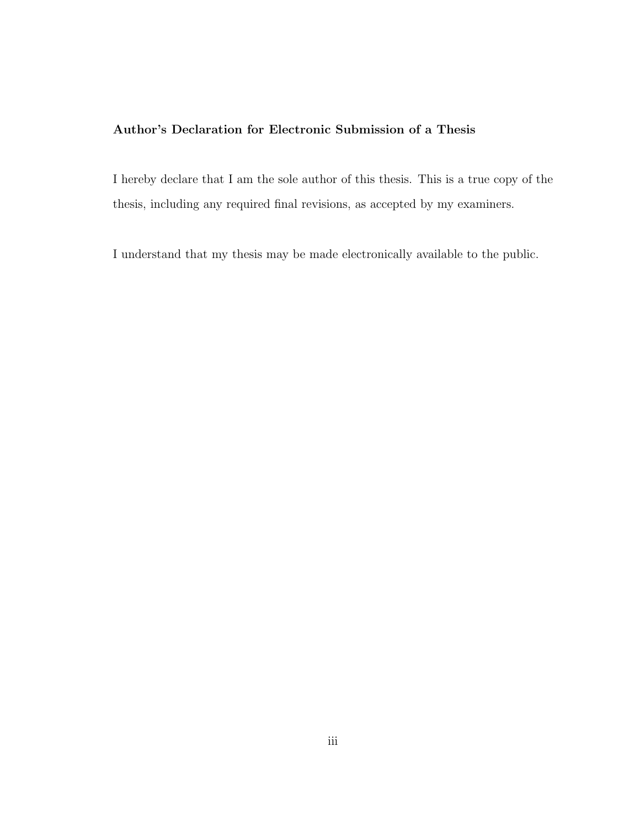#### **Author's Declaration for Electronic Submission of a Thesis**

I hereby declare that I am the sole author of this thesis. This is a true copy of the thesis, including any required final revisions, as accepted by my examiners.

I understand that my thesis may be made electronically available to the public.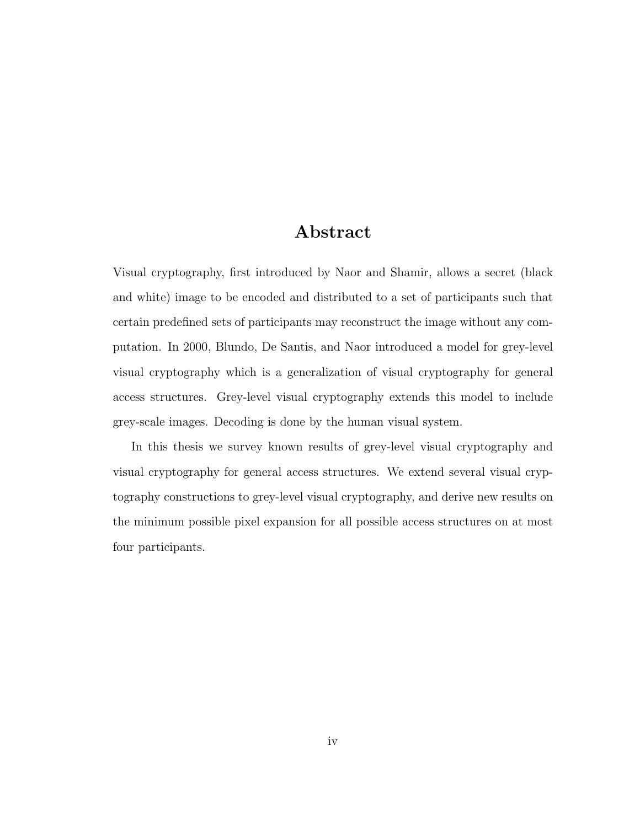### **Abstract**

Visual cryptography, first introduced by Naor and Shamir, allows a secret (black and white) image to be encoded and distributed to a set of participants such that certain predefined sets of participants may reconstruct the image without any computation. In 2000, Blundo, De Santis, and Naor introduced a model for grey-level visual cryptography which is a generalization of visual cryptography for general access structures. Grey-level visual cryptography extends this model to include grey-scale images. Decoding is done by the human visual system.

In this thesis we survey known results of grey-level visual cryptography and visual cryptography for general access structures. We extend several visual cryptography constructions to grey-level visual cryptography, and derive new results on the minimum possible pixel expansion for all possible access structures on at most four participants.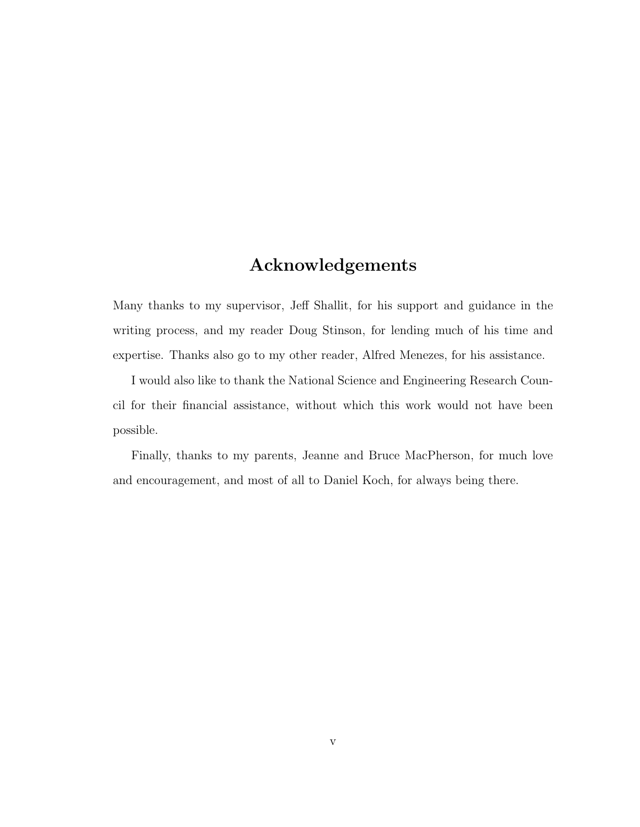### **Acknowledgements**

Many thanks to my supervisor, Jeff Shallit, for his support and guidance in the writing process, and my reader Doug Stinson, for lending much of his time and expertise. Thanks also go to my other reader, Alfred Menezes, for his assistance.

I would also like to thank the National Science and Engineering Research Council for their financial assistance, without which this work would not have been possible.

Finally, thanks to my parents, Jeanne and Bruce MacPherson, for much love and encouragement, and most of all to Daniel Koch, for always being there.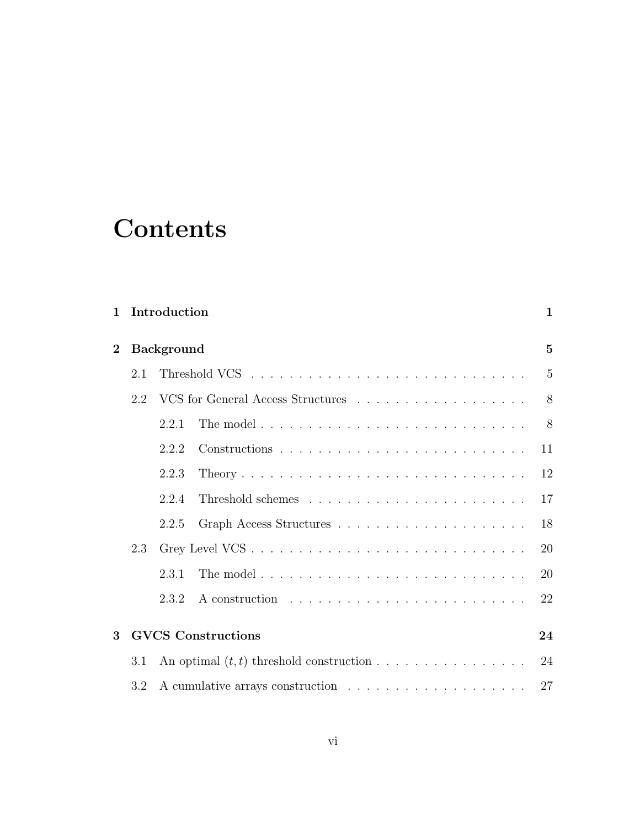## **Contents**

| $\mathbf{1}$ |     | Introduction              |  |    |  |  |
|--------------|-----|---------------------------|--|----|--|--|
| $\bf{2}$     |     | <b>Background</b>         |  |    |  |  |
|              | 2.1 |                           |  | 5  |  |  |
|              | 2.2 |                           |  |    |  |  |
|              |     | 2.2.1                     |  | 8  |  |  |
|              |     | 2.2.2                     |  | 11 |  |  |
|              |     | 2.2.3                     |  | 12 |  |  |
|              |     | 2.2.4                     |  | 17 |  |  |
|              |     | 2.2.5                     |  | 18 |  |  |
|              | 2.3 |                           |  |    |  |  |
|              |     | 2.3.1                     |  | 20 |  |  |
|              |     | 2.3.2                     |  | 22 |  |  |
| $\mathbf{R}$ |     | <b>GVCS</b> Constructions |  |    |  |  |
|              | 3.1 |                           |  | 24 |  |  |
|              | 3.2 |                           |  |    |  |  |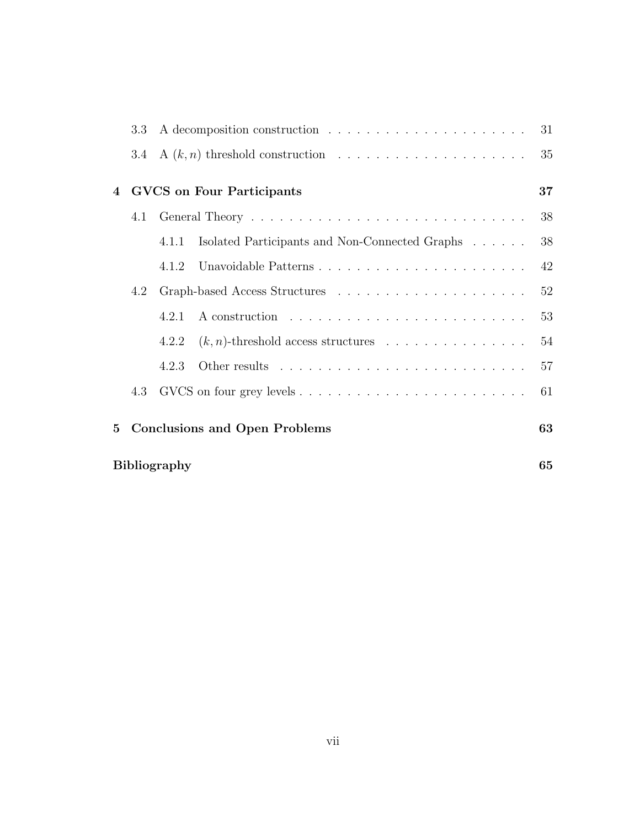|                | 3.3 <sub>z</sub>                 |       |                                                |    |  |  |  |
|----------------|----------------------------------|-------|------------------------------------------------|----|--|--|--|
|                |                                  |       |                                                | 35 |  |  |  |
| $\overline{4}$ | <b>GVCS</b> on Four Participants |       |                                                |    |  |  |  |
|                |                                  |       |                                                | 38 |  |  |  |
|                |                                  | 4.1.1 | Isolated Participants and Non-Connected Graphs | 38 |  |  |  |
|                |                                  | 4.1.2 |                                                | 42 |  |  |  |
|                | 4.2                              |       |                                                | 52 |  |  |  |
|                |                                  | 4.2.1 |                                                | 53 |  |  |  |
|                |                                  | 4.2.2 | $(k, n)$ -threshold access structures          | 54 |  |  |  |
|                |                                  | 4.2.3 |                                                | 57 |  |  |  |
|                | 4.3                              |       |                                                | 61 |  |  |  |
| $5^{\circ}$    |                                  |       | <b>Conclusions and Open Problems</b>           | 63 |  |  |  |
|                | <b>Bibliography</b><br>65        |       |                                                |    |  |  |  |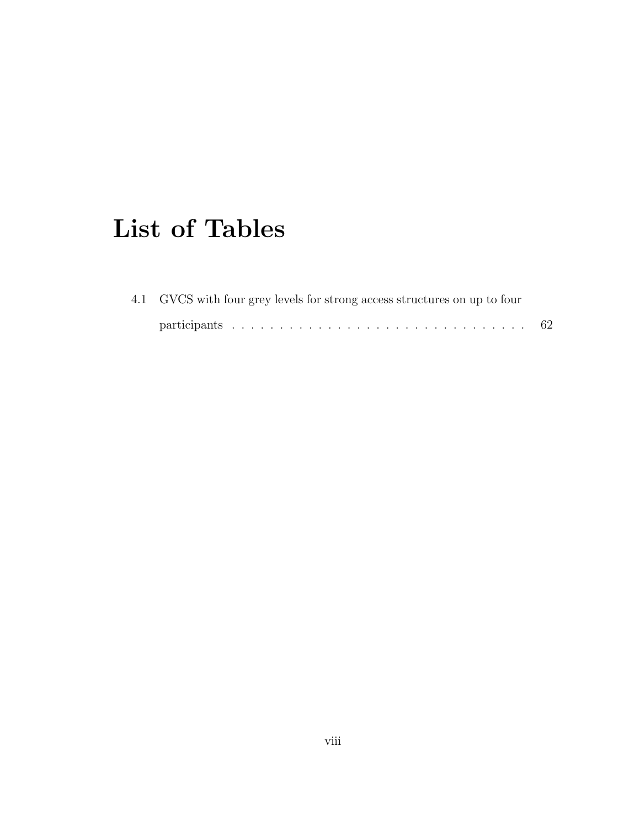## **List of Tables**

| 4.1 GVCS with four grey levels for strong access structures on up to four |     |
|---------------------------------------------------------------------------|-----|
|                                                                           | -62 |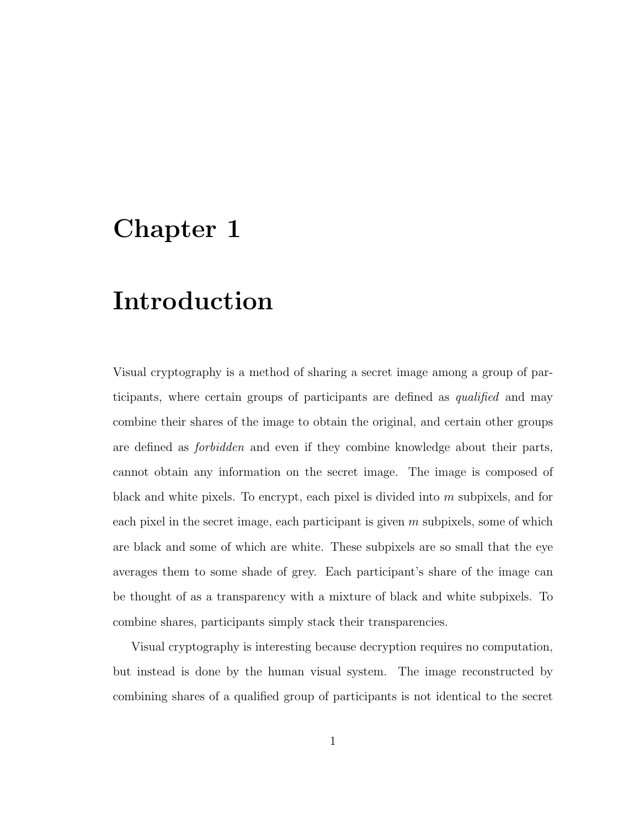## **Chapter 1**

## **Introduction**

Visual cryptography is a method of sharing a secret image among a group of participants, where certain groups of participants are defined as qualified and may combine their shares of the image to obtain the original, and certain other groups are defined as forbidden and even if they combine knowledge about their parts, cannot obtain any information on the secret image. The image is composed of black and white pixels. To encrypt, each pixel is divided into  $m$  subpixels, and for each pixel in the secret image, each participant is given  $m$  subpixels, some of which are black and some of which are white. These subpixels are so small that the eye averages them to some shade of grey. Each participant's share of the image can be thought of as a transparency with a mixture of black and white subpixels. To combine shares, participants simply stack their transparencies.

Visual cryptography is interesting because decryption requires no computation, but instead is done by the human visual system. The image reconstructed by combining shares of a qualified group of participants is not identical to the secret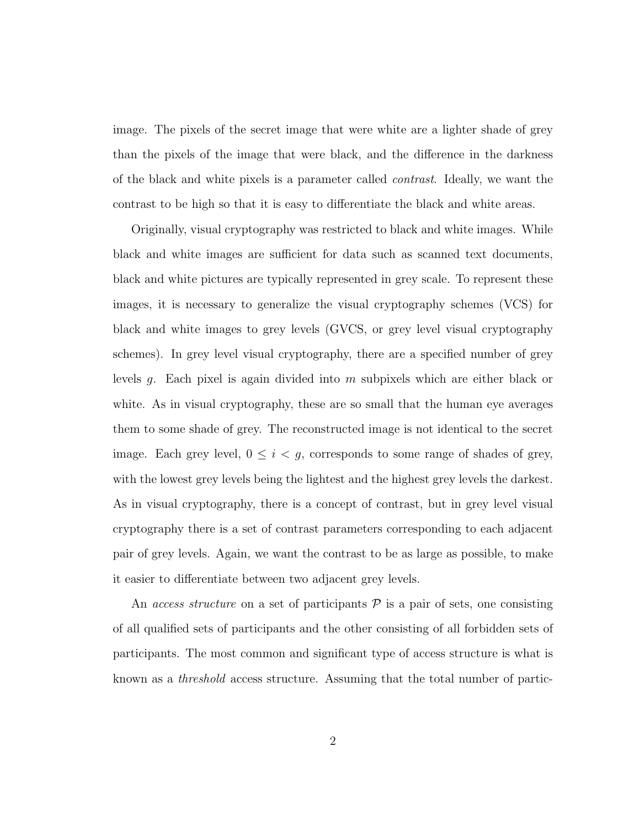image. The pixels of the secret image that were white are a lighter shade of grey than the pixels of the image that were black, and the difference in the darkness of the black and white pixels is a parameter called contrast. Ideally, we want the contrast to be high so that it is easy to differentiate the black and white areas.

Originally, visual cryptography was restricted to black and white images. While black and white images are sufficient for data such as scanned text documents, black and white pictures are typically represented in grey scale. To represent these images, it is necessary to generalize the visual cryptography schemes (VCS) for black and white images to grey levels (GVCS, or grey level visual cryptography schemes). In grey level visual cryptography, there are a specified number of grey levels g. Each pixel is again divided into  $m$  subpixels which are either black or white. As in visual cryptography, these are so small that the human eye averages them to some shade of grey. The reconstructed image is not identical to the secret image. Each grey level,  $0 \leq i < g$ , corresponds to some range of shades of grey, with the lowest grey levels being the lightest and the highest grey levels the darkest. As in visual cryptography, there is a concept of contrast, but in grey level visual cryptography there is a set of contrast parameters corresponding to each adjacent pair of grey levels. Again, we want the contrast to be as large as possible, to make it easier to differentiate between two adjacent grey levels.

An access structure on a set of participants  $P$  is a pair of sets, one consisting of all qualified sets of participants and the other consisting of all forbidden sets of participants. The most common and significant type of access structure is what is known as a threshold access structure. Assuming that the total number of partic-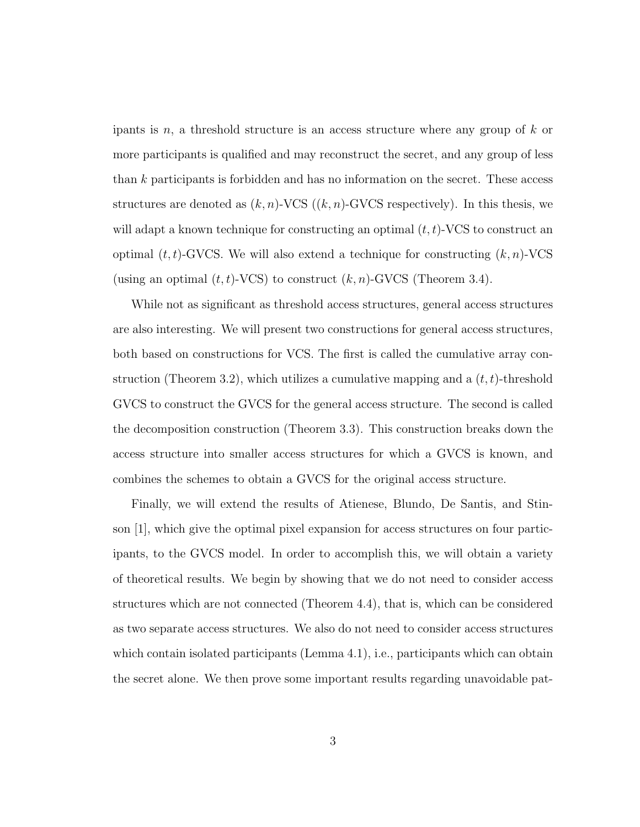ipants is n, a threshold structure is an access structure where any group of  $k$  or more participants is qualified and may reconstruct the secret, and any group of less than k participants is forbidden and has no information on the secret. These access structures are denoted as  $(k, n)$ -VCS  $((k, n)$ -GVCS respectively). In this thesis, we will adapt a known technique for constructing an optimal  $(t, t)$ -VCS to construct an optimal  $(t, t)$ -GVCS. We will also extend a technique for constructing  $(k, n)$ -VCS (using an optimal  $(t, t)$ -VCS) to construct  $(k, n)$ -GVCS (Theorem 3.4).

While not as significant as threshold access structures, general access structures are also interesting. We will present two constructions for general access structures, both based on constructions for VCS. The first is called the cumulative array construction (Theorem 3.2), which utilizes a cumulative mapping and a  $(t, t)$ -threshold GVCS to construct the GVCS for the general access structure. The second is called the decomposition construction (Theorem 3.3). This construction breaks down the access structure into smaller access structures for which a GVCS is known, and combines the schemes to obtain a GVCS for the original access structure.

Finally, we will extend the results of Atienese, Blundo, De Santis, and Stinson [1], which give the optimal pixel expansion for access structures on four participants, to the GVCS model. In order to accomplish this, we will obtain a variety of theoretical results. We begin by showing that we do not need to consider access structures which are not connected (Theorem 4.4), that is, which can be considered as two separate access structures. We also do not need to consider access structures which contain isolated participants (Lemma 4.1), i.e., participants which can obtain the secret alone. We then prove some important results regarding unavoidable pat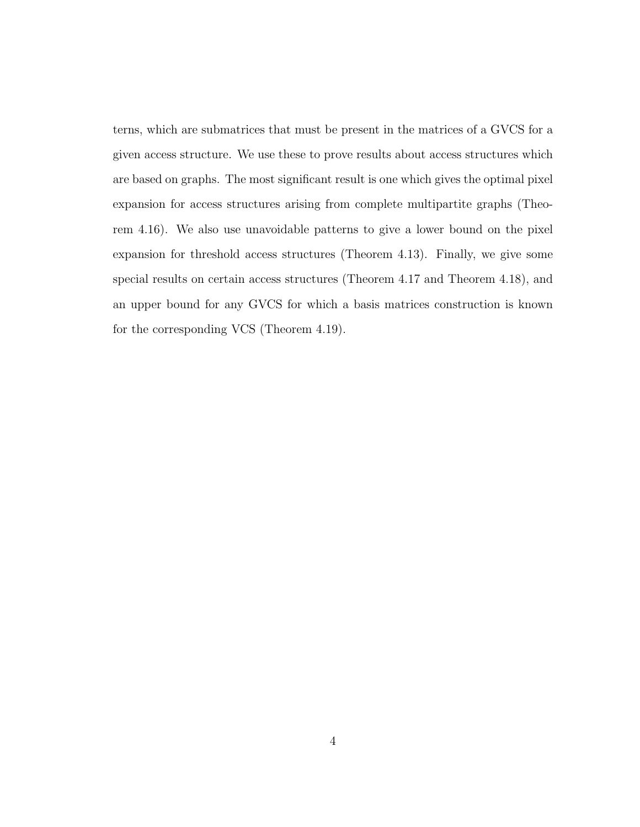terns, which are submatrices that must be present in the matrices of a GVCS for a given access structure. We use these to prove results about access structures which are based on graphs. The most significant result is one which gives the optimal pixel expansion for access structures arising from complete multipartite graphs (Theorem 4.16). We also use unavoidable patterns to give a lower bound on the pixel expansion for threshold access structures (Theorem 4.13). Finally, we give some special results on certain access structures (Theorem 4.17 and Theorem 4.18), and an upper bound for any GVCS for which a basis matrices construction is known for the corresponding VCS (Theorem 4.19).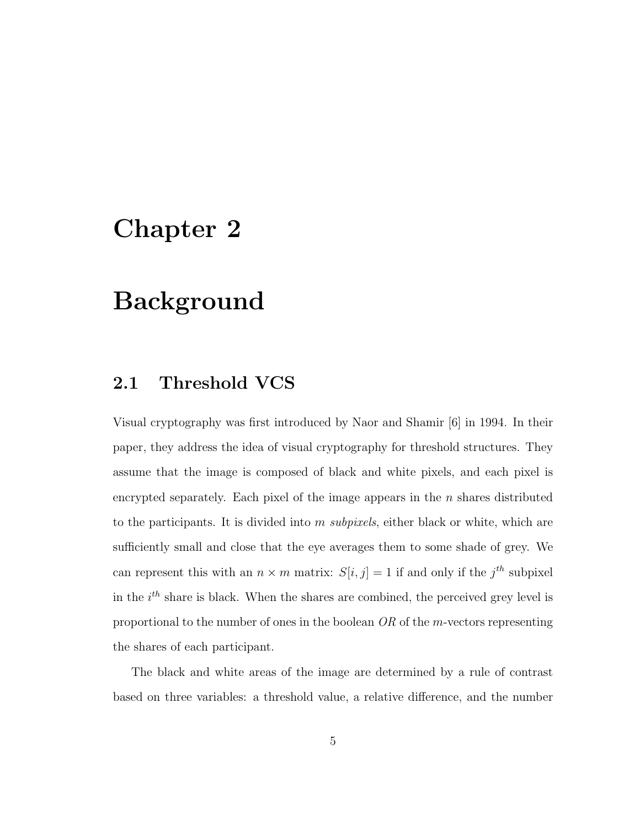## **Chapter 2**

## **Background**

### **2.1 Threshold VCS**

Visual cryptography was first introduced by Naor and Shamir [6] in 1994. In their paper, they address the idea of visual cryptography for threshold structures. They assume that the image is composed of black and white pixels, and each pixel is encrypted separately. Each pixel of the image appears in the  $n$  shares distributed to the participants. It is divided into  $m$  subpixels, either black or white, which are sufficiently small and close that the eye averages them to some shade of grey. We can represent this with an  $n \times m$  matrix:  $S[i, j] = 1$  if and only if the  $j<sup>th</sup>$  subpixel in the  $i<sup>th</sup>$  share is black. When the shares are combined, the perceived grey level is proportional to the number of ones in the boolean OR of the m-vectors representing the shares of each participant.

The black and white areas of the image are determined by a rule of contrast based on three variables: a threshold value, a relative difference, and the number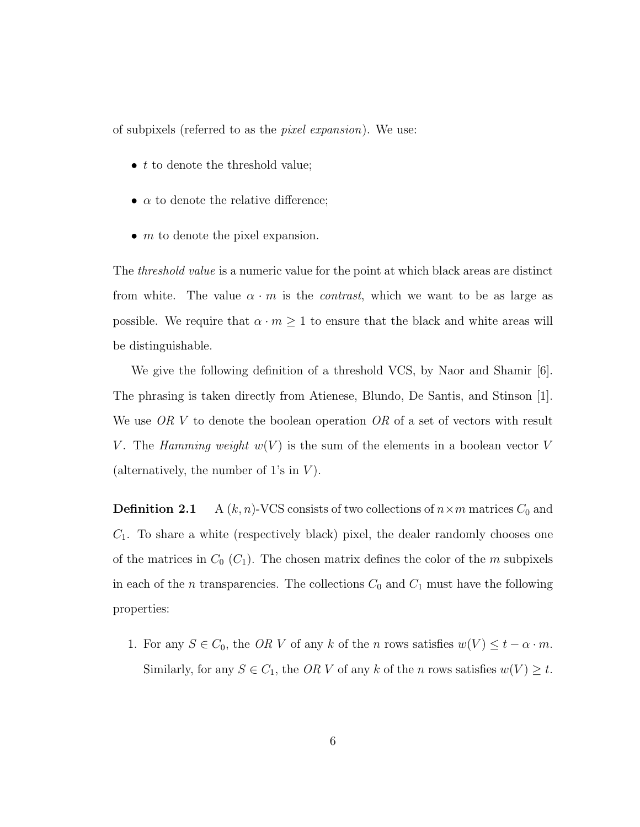of subpixels (referred to as the pixel expansion). We use:

- $\bullet$  to denote the threshold value;
- $\alpha$  to denote the relative difference;
- $\bullet$  *m* to denote the pixel expansion.

The *threshold value* is a numeric value for the point at which black areas are distinct from white. The value  $\alpha \cdot m$  is the *contrast*, which we want to be as large as possible. We require that  $\alpha \cdot m \geq 1$  to ensure that the black and white areas will be distinguishable.

We give the following definition of a threshold VCS, by Naor and Shamir [6]. The phrasing is taken directly from Atienese, Blundo, De Santis, and Stinson [1]. We use OR V to denote the boolean operation OR of a set of vectors with result V. The Hamming weight  $w(V)$  is the sum of the elements in a boolean vector V (alternatively, the number of 1's in  $V$ ).

**Definition 2.1** A  $(k, n)$ -VCS consists of two collections of  $n \times m$  matrices  $C_0$  and  $C_1$ . To share a white (respectively black) pixel, the dealer randomly chooses one of the matrices in  $C_0$   $(C_1)$ . The chosen matrix defines the color of the m subpixels in each of the *n* transparencies. The collections  $C_0$  and  $C_1$  must have the following properties:

1. For any  $S \in C_0$ , the OR V of any k of the n rows satisfies  $w(V) \le t - \alpha \cdot m$ . Similarly, for any  $S \in C_1$ , the OR V of any k of the n rows satisfies  $w(V) \ge t$ .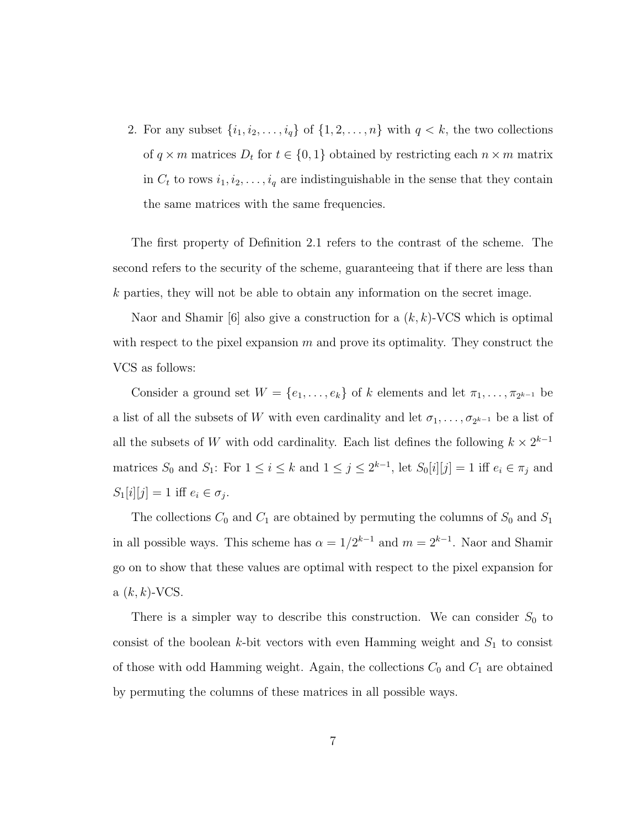2. For any subset  $\{i_1, i_2, \ldots, i_q\}$  of  $\{1, 2, \ldots, n\}$  with  $q < k$ , the two collections of  $q \times m$  matrices  $D_t$  for  $t \in \{0, 1\}$  obtained by restricting each  $n \times m$  matrix in  $C_t$  to rows  $i_1, i_2, \ldots, i_q$  are indistinguishable in the sense that they contain the same matrices with the same frequencies.

The first property of Definition 2.1 refers to the contrast of the scheme. The second refers to the security of the scheme, guaranteeing that if there are less than k parties, they will not be able to obtain any information on the secret image.

Naor and Shamir [6] also give a construction for a  $(k, k)$ -VCS which is optimal with respect to the pixel expansion  $m$  and prove its optimality. They construct the VCS as follows:

Consider a ground set  $W = \{e_1, \ldots, e_k\}$  of k elements and let  $\pi_1, \ldots, \pi_{2^{k-1}}$  be a list of all the subsets of W with even cardinality and let  $\sigma_1, \ldots, \sigma_{2^{k-1}}$  be a list of all the subsets of W with odd cardinality. Each list defines the following  $k \times 2^{k-1}$ matrices  $S_0$  and  $S_1$ : For  $1 \le i \le k$  and  $1 \le j \le 2^{k-1}$ , let  $S_0[i][j] = 1$  iff  $e_i \in \pi_j$  and  $S_1[i][j] = 1$  iff  $e_i \in \sigma_j$ .

The collections  $C_0$  and  $C_1$  are obtained by permuting the columns of  $S_0$  and  $S_1$ in all possible ways. This scheme has  $\alpha = 1/2^{k-1}$  and  $m = 2^{k-1}$ . Naor and Shamir go on to show that these values are optimal with respect to the pixel expansion for  $a(k, k)$ -VCS.

There is a simpler way to describe this construction. We can consider  $S_0$  to consist of the boolean k-bit vectors with even Hamming weight and  $S_1$  to consist of those with odd Hamming weight. Again, the collections  $C_0$  and  $C_1$  are obtained by permuting the columns of these matrices in all possible ways.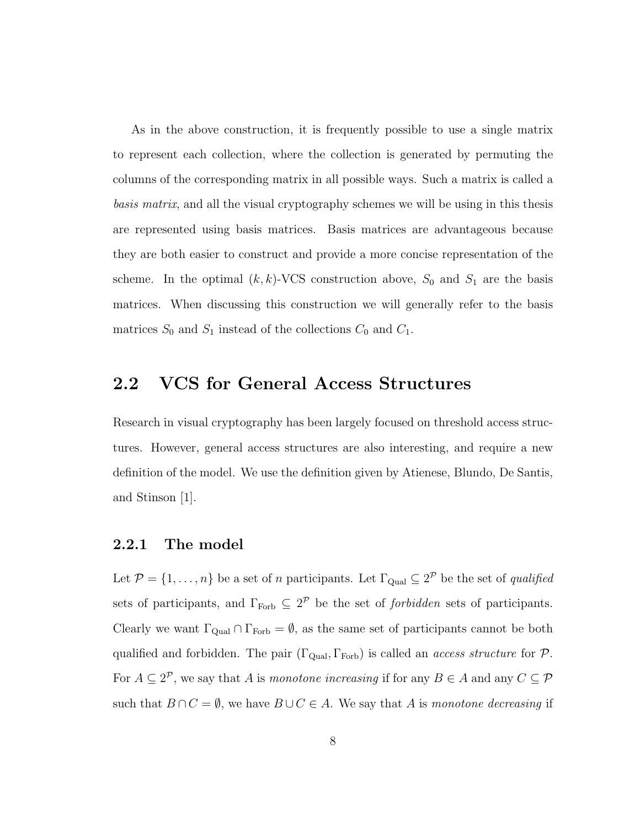As in the above construction, it is frequently possible to use a single matrix to represent each collection, where the collection is generated by permuting the columns of the corresponding matrix in all possible ways. Such a matrix is called a basis matrix, and all the visual cryptography schemes we will be using in this thesis are represented using basis matrices. Basis matrices are advantageous because they are both easier to construct and provide a more concise representation of the scheme. In the optimal  $(k, k)$ -VCS construction above,  $S_0$  and  $S_1$  are the basis matrices. When discussing this construction we will generally refer to the basis matrices  $S_0$  and  $S_1$  instead of the collections  $C_0$  and  $C_1$ .

### **2.2 VCS for General Access Structures**

Research in visual cryptography has been largely focused on threshold access structures. However, general access structures are also interesting, and require a new definition of the model. We use the definition given by Atienese, Blundo, De Santis, and Stinson [1].

#### **2.2.1 The model**

Let  $\mathcal{P} = \{1, \ldots, n\}$  be a set of n participants. Let  $\Gamma_{\text{Quad}} \subseteq 2^{\mathcal{P}}$  be the set of *qualified* sets of participants, and  $\Gamma_{\text{Forb}} \subseteq 2^{\mathcal{P}}$  be the set of *forbidden* sets of participants. Clearly we want  $\Gamma_{\text{Qual}} \cap \Gamma_{\text{Forb}} = \emptyset$ , as the same set of participants cannot be both qualified and forbidden. The pair  $(\Gamma_{\text{Qual}}, \Gamma_{\text{Forb}})$  is called an *access structure* for  $\mathcal{P}$ . For  $A \subseteq 2^{\mathcal{P}}$ , we say that A is monotone increasing if for any  $B \in A$  and any  $C \subseteq \mathcal{P}$ such that  $B \cap C = \emptyset$ , we have  $B \cup C \in A$ . We say that A is monotone decreasing if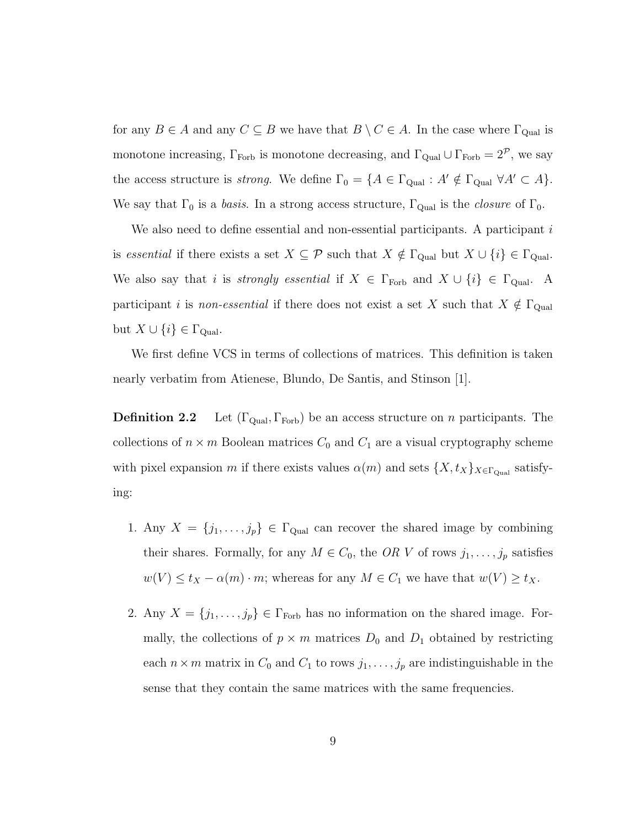for any  $B \in A$  and any  $C \subseteq B$  we have that  $B \setminus C \in A$ . In the case where  $\Gamma_{\text{Qual}}$  is monotone increasing,  $\Gamma_{\text{Forb}}$  is monotone decreasing, and  $\Gamma_{\text{Qual}} \cup \Gamma_{\text{Forb}} = 2^{\mathcal{P}}$ , we say the access structure is *strong*. We define  $\Gamma_0 = \{A \in \Gamma_{\text{Qual}} : A' \notin \Gamma_{\text{Qual}} \ \forall A' \subset A\}.$ We say that  $\Gamma_0$  is a *basis*. In a strong access structure,  $\Gamma_{\text{Qual}}$  is the *closure* of  $\Gamma_0$ .

We also need to define essential and non-essential participants. A participant  $i$ is essential if there exists a set  $X \subseteq \mathcal{P}$  such that  $X \notin \Gamma_{\text{Qual}}$  but  $X \cup \{i\} \in \Gamma_{\text{Qual}}$ . We also say that i is strongly essential if  $X \in \Gamma_{\text{Forb}}$  and  $X \cup \{i\} \in \Gamma_{\text{Qual}}$ . A participant i is non-essential if there does not exist a set X such that  $X \notin \Gamma_{\text{Qual}}$ but  $X \cup \{i\} \in \Gamma_{\text{Qual}}$ .

We first define VCS in terms of collections of matrices. This definition is taken nearly verbatim from Atienese, Blundo, De Santis, and Stinson [1].

**Definition 2.2** Let  $(\Gamma_{\text{Qual}}, \Gamma_{\text{Forb}})$  be an access structure on *n* participants. The collections of  $n \times m$  Boolean matrices  $C_0$  and  $C_1$  are a visual cryptography scheme with pixel expansion m if there exists values  $\alpha(m)$  and sets  $\{X, t_X\}_{X \in \Gamma_{\text{Qual}}}$  satisfying:

- 1. Any  $X = \{j_1, \ldots, j_p\} \in \Gamma_{\text{Qual}}$  can recover the shared image by combining their shares. Formally, for any  $M \in C_0$ , the OR V of rows  $j_1, \ldots, j_p$  satisfies  $w(V) \leq t_X - \alpha(m) \cdot m$ ; whereas for any  $M \in C_1$  we have that  $w(V) \geq t_X$ .
- 2. Any  $X = \{j_1, \ldots, j_p\} \in \Gamma_{\text{Forb}}$  has no information on the shared image. Formally, the collections of  $p \times m$  matrices  $D_0$  and  $D_1$  obtained by restricting each  $n \times m$  matrix in  $C_0$  and  $C_1$  to rows  $j_1, \ldots, j_p$  are indistinguishable in the sense that they contain the same matrices with the same frequencies.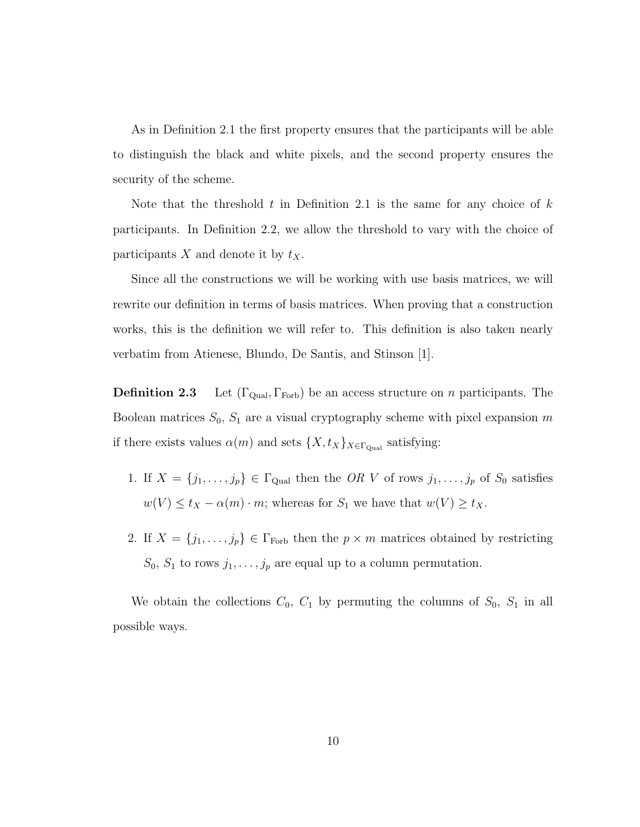As in Definition 2.1 the first property ensures that the participants will be able to distinguish the black and white pixels, and the second property ensures the security of the scheme.

Note that the threshold t in Definition 2.1 is the same for any choice of  $k$ participants. In Definition 2.2, we allow the threshold to vary with the choice of participants  $X$  and denote it by  $t_X$ .

Since all the constructions we will be working with use basis matrices, we will rewrite our definition in terms of basis matrices. When proving that a construction works, this is the definition we will refer to. This definition is also taken nearly verbatim from Atienese, Blundo, De Santis, and Stinson [1].

**Definition 2.3** Let  $(\Gamma_{\text{Qual}}, \Gamma_{\text{Forb}})$  be an access structure on *n* participants. The Boolean matrices  $S_0$ ,  $S_1$  are a visual cryptography scheme with pixel expansion m if there exists values  $\alpha(m)$  and sets  $\{X, t_X\}_{X \in \Gamma_{\text{Qual}}}$  satisfying:

- 1. If  $X = \{j_1, \ldots, j_p\} \in \Gamma_{\text{Qual}}$  then the OR V of rows  $j_1, \ldots, j_p$  of  $S_0$  satisfies  $w(V) \le t_X - \alpha(m) \cdot m$ ; whereas for  $S_1$  we have that  $w(V) \ge t_X$ .
- 2. If  $X = \{j_1, \ldots, j_p\} \in \Gamma_{\text{Forb}}$  then the  $p \times m$  matrices obtained by restricting  $S_0$ ,  $S_1$  to rows  $j_1, \ldots, j_p$  are equal up to a column permutation.

We obtain the collections  $C_0$ ,  $C_1$  by permuting the columns of  $S_0$ ,  $S_1$  in all possible ways.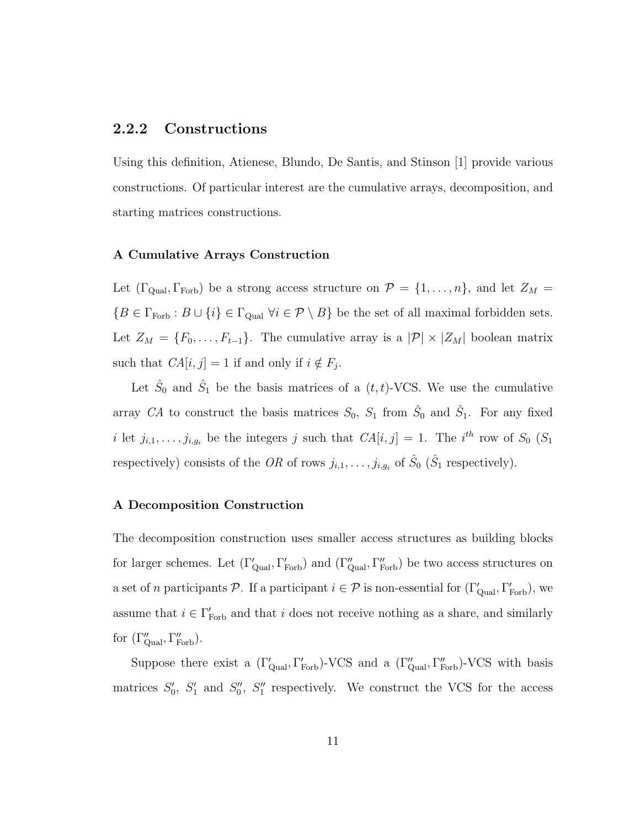#### **2.2.2 Constructions**

Using this definition, Atienese, Blundo, De Santis, and Stinson [1] provide various constructions. Of particular interest are the cumulative arrays, decomposition, and starting matrices constructions.

#### **A Cumulative Arrays Construction**

Let  $(\Gamma_{\text{Qual}}, \Gamma_{\text{Forb}})$  be a strong access structure on  $\mathcal{P} = \{1, \ldots, n\}$ , and let  $Z_M =$  ${B \in \Gamma_{\text{Forb}} : B \cup \{i\} \in \Gamma_{\text{Qual}} \,\forall i \in \mathcal{P} \setminus B}$  be the set of all maximal forbidden sets. Let  $Z_M = \{F_0, \ldots, F_{t-1}\}.$  The cumulative array is a  $|\mathcal{P}| \times |Z_M|$  boolean matrix such that  $CA[i, j] = 1$  if and only if  $i \notin F_j$ .

Let  $\hat{S}_0$  and  $\hat{S}_1$  be the basis matrices of a  $(t, t)$ -VCS. We use the cumulative array CA to construct the basis matrices  $S_0$ ,  $S_1$  from  $\hat{S}_0$  and  $\hat{S}_1$ . For any fixed i let  $j_{i,1},\ldots,j_{i,g_i}$  be the integers j such that  $CA[i,j] = 1$ . The i<sup>th</sup> row of  $S_0$  ( $S_1$ ) respectively) consists of the OR of rows  $j_{i,1},\ldots,j_{i,g_i}$  of  $\hat{S}_0$  ( $\hat{S}_1$  respectively).

#### **A Decomposition Construction**

The decomposition construction uses smaller access structures as building blocks for larger schemes. Let  $(\Gamma_{\text{Qual}}', \Gamma_{\text{Forb}}')$  and  $(\Gamma_{\text{Qual}}'', \Gamma_{\text{Forb}}'')$  be two access structures on a set of n participants P. If a participant  $i \in \mathcal{P}$  is non-essential for  $(\Gamma_{\text{Qual}}', \Gamma_{\text{Forb}}'),$  we assume that  $i \in \Gamma_{\text{Forb}}'$  and that i does not receive nothing as a share, and similarly for  $(\Gamma''_{\text{Qual}}, \Gamma''_{\text{Forb}})$ .

Suppose there exist a  $(\Gamma'_{\text{Qual}}, \Gamma'_{\text{Forb}})$ -VCS and a  $(\Gamma''_{\text{qual}}, \Gamma''_{\text{Forb}})$ -VCS with basis matrices  $S'_0$ ,  $S'_1$  and  $S''_0$ ,  $S''_1$  respectively. We construct the VCS for the access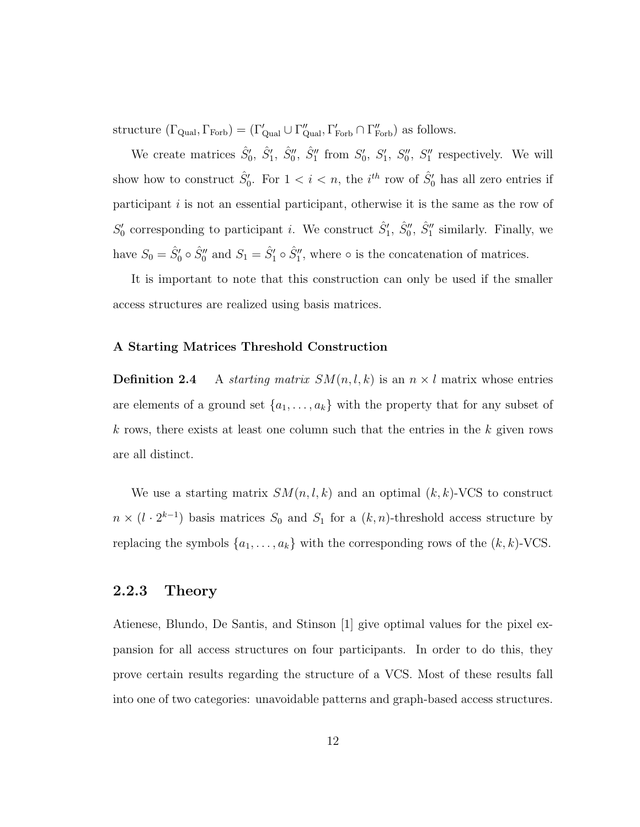structure  $(\Gamma_{\text{Qual}}, \Gamma_{\text{Forb}}) = (\Gamma'_{\text{qual}} \cup \Gamma''_{\text{Qual}}, \Gamma'_{\text{Forb}} \cap \Gamma''_{\text{Forb}})$  as follows.

We create matrices  $\hat{S}'_0$ ,  $\hat{S}'_1$ ,  $\hat{S}''_0$ ,  $\hat{S}''_1$  from  $S'_0$ ,  $S'_1$ ,  $S''_0$ ,  $S''_1$  respectively. We will show how to construct  $\hat{S}'_0$ . For  $1 < i < n$ , the *i*<sup>th</sup> row of  $\hat{S}'_0$  has all zero entries if participant  $i$  is not an essential participant, otherwise it is the same as the row of  $S'_0$  corresponding to participant *i*. We construct  $\hat{S}'_1$ ,  $\hat{S}''_0$ ,  $\hat{S}''_1$  similarly. Finally, we have  $S_0 = \hat{S}'_0 \circ \hat{S}''_0$  and  $S_1 = \hat{S}'_1 \circ \hat{S}''_1$ , where  $\circ$  is the concatenation of matrices.

It is important to note that this construction can only be used if the smaller access structures are realized using basis matrices.

#### **A Starting Matrices Threshold Construction**

**Definition 2.4** A starting matrix  $SM(n, l, k)$  is an  $n \times l$  matrix whose entries are elements of a ground set  $\{a_1, \ldots, a_k\}$  with the property that for any subset of k rows, there exists at least one column such that the entries in the k given rows are all distinct.

We use a starting matrix  $SM(n, l, k)$  and an optimal  $(k, k)$ -VCS to construct  $n \times (l \cdot 2^{k-1})$  basis matrices  $S_0$  and  $S_1$  for a  $(k, n)$ -threshold access structure by replacing the symbols  $\{a_1, \ldots, a_k\}$  with the corresponding rows of the  $(k, k)$ -VCS.

#### **2.2.3 Theory**

Atienese, Blundo, De Santis, and Stinson [1] give optimal values for the pixel expansion for all access structures on four participants. In order to do this, they prove certain results regarding the structure of a VCS. Most of these results fall into one of two categories: unavoidable patterns and graph-based access structures.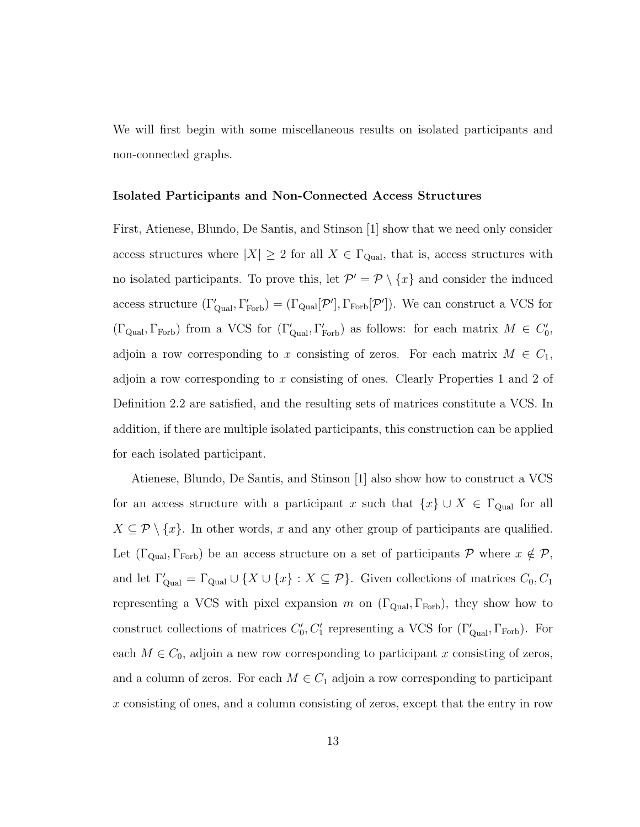We will first begin with some miscellaneous results on isolated participants and non-connected graphs.

#### **Isolated Participants and Non-Connected Access Structures**

First, Atienese, Blundo, De Santis, and Stinson [1] show that we need only consider access structures where  $|X| \geq 2$  for all  $X \in \Gamma_{\text{Qual}}$ , that is, access structures with no isolated participants. To prove this, let  $\mathcal{P}' = \mathcal{P} \setminus \{x\}$  and consider the induced access structure  $(\Gamma'_{\text{Qual}}, \Gamma'_{\text{Forb}}) = (\Gamma_{\text{qual}}[\mathcal{P}'], \Gamma_{\text{Forb}}[\mathcal{P}'])$ . We can construct a VCS for  $(\Gamma_{\text{Qual}}, \Gamma_{\text{Forb}})$  from a VCS for  $(\Gamma_{\text{Qual}}', \Gamma_{\text{Forb}}')$  as follows: for each matrix  $M \in C_0'$ , adjoin a row corresponding to x consisting of zeros. For each matrix  $M \in C_1$ , adjoin a row corresponding to x consisting of ones. Clearly Properties 1 and 2 of Definition 2.2 are satisfied, and the resulting sets of matrices constitute a VCS. In addition, if there are multiple isolated participants, this construction can be applied for each isolated participant.

Atienese, Blundo, De Santis, and Stinson [1] also show how to construct a VCS for an access structure with a participant x such that  $\{x\} \cup X \in \Gamma_{\text{Qual}}$  for all  $X \subseteq \mathcal{P} \setminus \{x\}$ . In other words, x and any other group of participants are qualified. Let  $(\Gamma_{\text{Qual}}, \Gamma_{\text{Forb}})$  be an access structure on a set of participants P where  $x \notin \mathcal{P}$ , and let  $\Gamma'_{\text{Qual}} = \Gamma_{\text{Qual}} \cup \{X \cup \{x\} : X \subseteq \mathcal{P}\}\$ . Given collections of matrices  $C_0, C_1$ representing a VCS with pixel expansion m on  $(\Gamma_{\text{Qual}}, \Gamma_{\text{Forb}})$ , they show how to construct collections of matrices  $C'_0, C'_1$  representing a VCS for  $(\Gamma'_{\text{Qual}}, \Gamma_{\text{Forb}})$ . For each  $M \in C_0$ , adjoin a new row corresponding to participant x consisting of zeros, and a column of zeros. For each  $M \in C_1$  adjoin a row corresponding to participant x consisting of ones, and a column consisting of zeros, except that the entry in row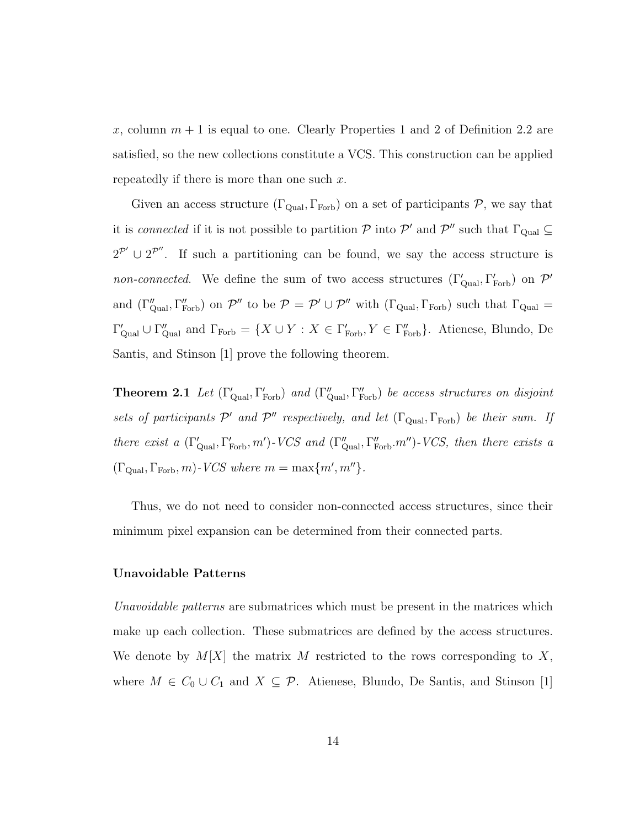x, column  $m + 1$  is equal to one. Clearly Properties 1 and 2 of Definition 2.2 are satisfied, so the new collections constitute a VCS. This construction can be applied repeatedly if there is more than one such  $x$ .

Given an access structure  $(\Gamma_{\text{Qual}}, \Gamma_{\text{Forb}})$  on a set of participants  $P$ , we say that it is *connected* if it is not possible to partition  $\mathcal P$  into  $\mathcal P'$  and  $\mathcal P''$  such that  $\Gamma_{\rm Qual}\subseteq$  $2^{\mathcal{P}'} \cup 2^{\mathcal{P}''}$ . If such a partitioning can be found, we say the access structure is non-connected. We define the sum of two access structures  $(\Gamma'_{\text{qual}}, \Gamma'_{\text{Forb}})$  on  $\mathcal{P}'$ and  $(\Gamma''_{\text{Qual}}, \Gamma''_{\text{Forb}})$  on  $\mathcal{P}''$  to be  $\mathcal{P} = \mathcal{P}' \cup \mathcal{P}''$  with  $(\Gamma_{\text{Qual}}, \Gamma_{\text{Forb}})$  such that  $\Gamma_{\text{qual}} =$  $\Gamma'_{\text{Qual}} \cup \Gamma''_{\text{qual}}$  and  $\Gamma_{\text{Forb}} = \{X \cup Y : X \in \Gamma'_{\text{Forb}}$ ,  $Y \in \Gamma''_{\text{Forb}}\}$ . Atienese, Blundo, De Santis, and Stinson [1] prove the following theorem.

**Theorem 2.1** Let  $(\Gamma'_{\text{Qual}}, \Gamma'_{\text{Forb}})$  and  $(\Gamma''_{\text{qual}}, \Gamma''_{\text{Forb}})$  be access structures on disjoint sets of participants  $\mathcal{P}'$  and  $\mathcal{P}''$  respectively, and let  $(\Gamma_{\text{Qual}}, \Gamma_{\text{Forb}})$  be their sum. If there exist a  $(\Gamma'_{\text{Qual}}, \Gamma'_{\text{Forb}}, m')$ -VCS and  $(\Gamma''_{\text{qual}}, \Gamma''_{\text{Forb}}. m'')$ -VCS, then there exists a  $(\Gamma_{\text{Qual}}, \Gamma_{\text{Forb}}, m)$ -VCS where  $m = \max\{m', m''\}.$ 

Thus, we do not need to consider non-connected access structures, since their minimum pixel expansion can be determined from their connected parts.

#### **Unavoidable Patterns**

Unavoidable patterns are submatrices which must be present in the matrices which make up each collection. These submatrices are defined by the access structures. We denote by  $M[X]$  the matrix M restricted to the rows corresponding to X, where  $M \in C_0 \cup C_1$  and  $X \subseteq \mathcal{P}$ . Atienese, Blundo, De Santis, and Stinson [1]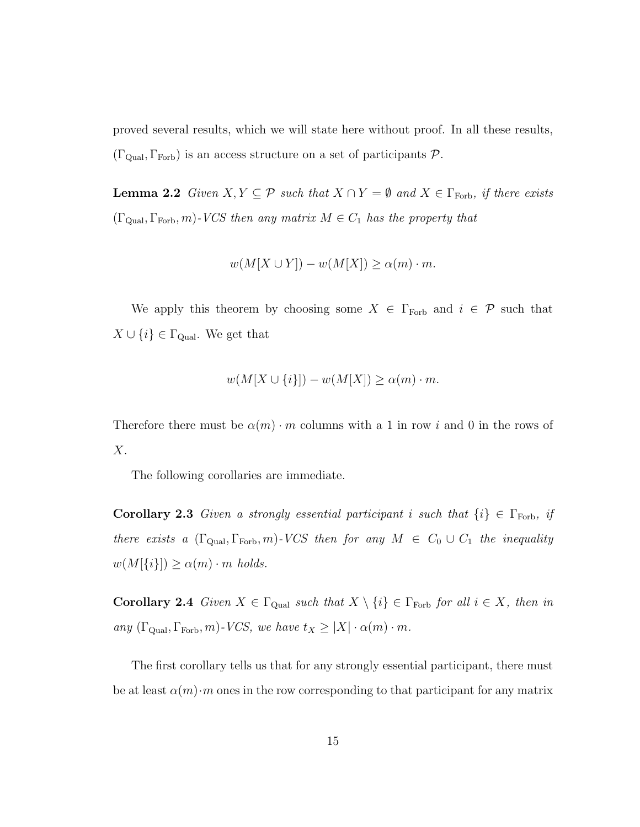proved several results, which we will state here without proof. In all these results,  $(\Gamma_{\text{Qual}}, \Gamma_{\text{Forb}})$  is an access structure on a set of participants  $P$ .

**Lemma 2.2** Given  $X, Y \subseteq \mathcal{P}$  such that  $X \cap Y = \emptyset$  and  $X \in \Gamma$ <sub>Forb</sub>, if there exists  $(\Gamma_{\text{Qual}}, \Gamma_{\text{Forb}}, m)$ -VCS then any matrix  $M \in C_1$  has the property that

$$
w(M[X \cup Y]) - w(M[X]) \ge \alpha(m) \cdot m.
$$

We apply this theorem by choosing some  $X \in \Gamma_{\text{Forb}}$  and  $i \in \mathcal{P}$  such that  $X \cup \{i\} \in \Gamma_{\text{Qual}}$ . We get that

$$
w(M[X \cup \{i\}]) - w(M[X]) \ge \alpha(m) \cdot m.
$$

Therefore there must be  $\alpha(m) \cdot m$  columns with a 1 in row i and 0 in the rows of X.

The following corollaries are immediate.

**Corollary 2.3** Given a strongly essential participant i such that  $\{i\} \in \Gamma_{\text{Forb}}$ , if there exists a  $(\Gamma_{\text{Qual}}, \Gamma_{\text{Forb}})$ -VCS then for any  $M \in C_0 \cup C_1$  the inequality  $w(M[\{i\}]) \ge \alpha(m) \cdot m$  holds.

**Corollary 2.4** Given  $X \in \Gamma_{\text{Qual}}$  such that  $X \setminus \{i\} \in \Gamma_{\text{Forb}}$  for all  $i \in X$ , then in any  $(\Gamma_{\text{Qual}}, \Gamma_{\text{Forb}}, m)$ -VCS, we have  $t_X \geq |X| \cdot \alpha(m) \cdot m$ .

The first corollary tells us that for any strongly essential participant, there must be at least  $\alpha(m)\cdot m$  ones in the row corresponding to that participant for any matrix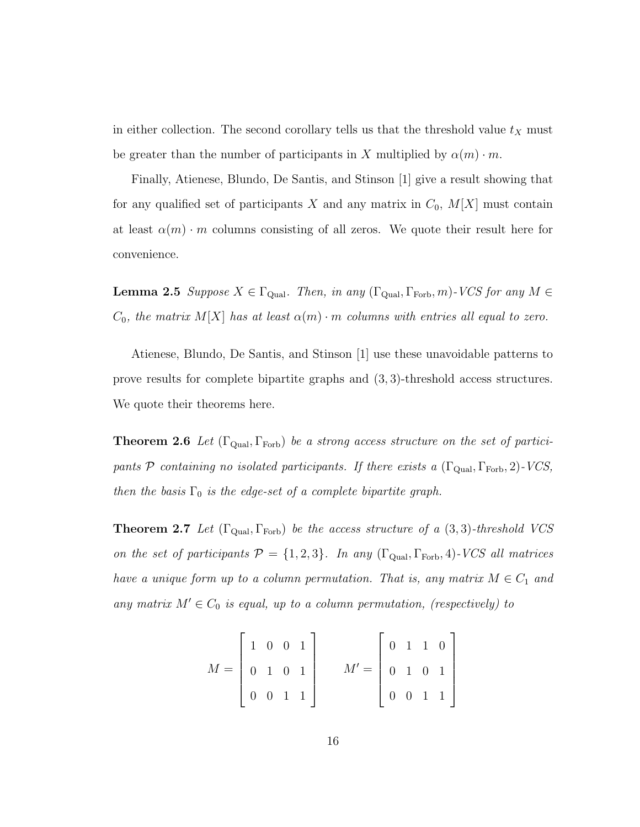in either collection. The second corollary tells us that the threshold value  $t<sub>X</sub>$  must be greater than the number of participants in X multiplied by  $\alpha(m) \cdot m$ .

Finally, Atienese, Blundo, De Santis, and Stinson [1] give a result showing that for any qualified set of participants X and any matrix in  $C_0$ ,  $M[X]$  must contain at least  $\alpha(m) \cdot m$  columns consisting of all zeros. We quote their result here for convenience.

**Lemma 2.5** Suppose  $X \in \Gamma_{\text{Qual}}$ . Then, in any  $(\Gamma_{\text{Qual}}, \Gamma_{\text{Forb}}, m)$ -VCS for any  $M \in$  $C_0$ , the matrix  $M[X]$  has at least  $\alpha(m) \cdot m$  columns with entries all equal to zero.

Atienese, Blundo, De Santis, and Stinson [1] use these unavoidable patterns to prove results for complete bipartite graphs and (3, 3)-threshold access structures. We quote their theorems here.

**Theorem 2.6** Let  $(\Gamma_{\text{Qual}}, \Gamma_{\text{Forb}})$  be a strong access structure on the set of participants  $P$  containing no isolated participants. If there exists a  $(\Gamma_{\text{Qual}}, \Gamma_{\text{Forb}}, 2)$ -VCS, then the basis  $\Gamma_0$  is the edge-set of a complete bipartite graph.

**Theorem 2.7** Let  $(\Gamma_{\text{Qual}}, \Gamma_{\text{Forb}})$  be the access structure of a  $(3, 3)$ -threshold VCS on the set of participants  $P = \{1, 2, 3\}$ . In any  $(\Gamma_{\text{Qual}}, \Gamma_{\text{Forb}}, 4)$ -VCS all matrices have a unique form up to a column permutation. That is, any matrix  $M \in C_1$  and any matrix  $M' \in C_0$  is equal, up to a column permutation, (respectively) to

$$
M = \begin{bmatrix} 1 & 0 & 0 & 1 \\ 0 & 1 & 0 & 1 \\ 0 & 0 & 1 & 1 \end{bmatrix} \qquad M' = \begin{bmatrix} 0 & 1 & 1 & 0 \\ 0 & 1 & 0 & 1 \\ 0 & 0 & 1 & 1 \end{bmatrix}
$$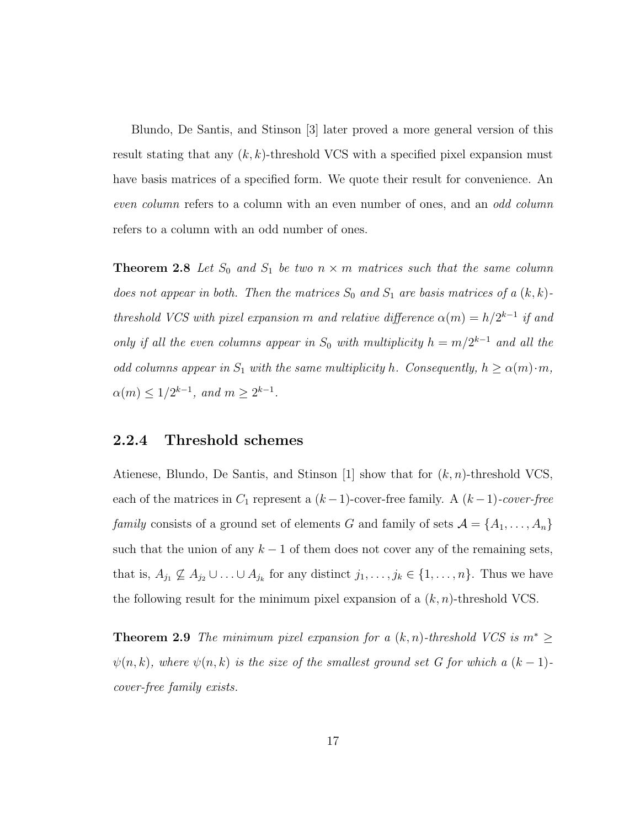Blundo, De Santis, and Stinson [3] later proved a more general version of this result stating that any  $(k, k)$ -threshold VCS with a specified pixel expansion must have basis matrices of a specified form. We quote their result for convenience. An even column refers to a column with an even number of ones, and an odd column refers to a column with an odd number of ones.

**Theorem 2.8** Let  $S_0$  and  $S_1$  be two  $n \times m$  matrices such that the same column does not appear in both. Then the matrices  $S_0$  and  $S_1$  are basis matrices of a  $(k, k)$ threshold VCS with pixel expansion m and relative difference  $\alpha(m) = h/2^{k-1}$  if and only if all the even columns appear in  $S_0$  with multiplicity  $h = m/2^{k-1}$  and all the odd columns appear in  $S_1$  with the same multiplicity h. Consequently,  $h \ge \alpha(m) \cdot m$ ,  $\alpha(m) \le 1/2^{k-1}$ , and  $m \ge 2^{k-1}$ .

#### **2.2.4 Threshold schemes**

Atienese, Blundo, De Santis, and Stinson [1] show that for  $(k, n)$ -threshold VCS, each of the matrices in  $C_1$  represent a  $(k-1)$ -cover-free family. A  $(k-1)$ -cover-free family consists of a ground set of elements G and family of sets  $\mathcal{A} = \{A_1, \ldots, A_n\}$ such that the union of any  $k-1$  of them does not cover any of the remaining sets, that is,  $A_{j_1} \not\subseteq A_{j_2} \cup \ldots \cup A_{j_k}$  for any distinct  $j_1, \ldots, j_k \in \{1, \ldots, n\}$ . Thus we have the following result for the minimum pixel expansion of a  $(k, n)$ -threshold VCS.

**Theorem 2.9** The minimum pixel expansion for a  $(k, n)$ -threshold VCS is  $m^* \geq$  $\psi(n, k)$ , where  $\psi(n, k)$  is the size of the smallest ground set G for which a  $(k - 1)$ cover-free family exists.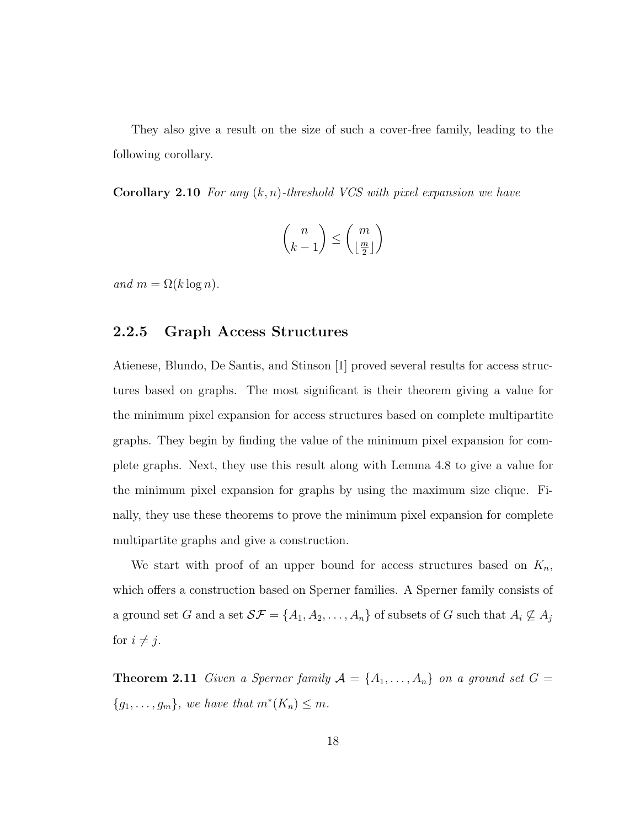They also give a result on the size of such a cover-free family, leading to the following corollary.

**Corollary 2.10** For any  $(k, n)$ -threshold VCS with pixel expansion we have

$$
\binom{n}{k-1} \le \binom{m}{\lfloor \frac{m}{2} \rfloor}
$$

and  $m = \Omega(k \log n)$ .

#### **2.2.5 Graph Access Structures**

Atienese, Blundo, De Santis, and Stinson [1] proved several results for access structures based on graphs. The most significant is their theorem giving a value for the minimum pixel expansion for access structures based on complete multipartite graphs. They begin by finding the value of the minimum pixel expansion for complete graphs. Next, they use this result along with Lemma 4.8 to give a value for the minimum pixel expansion for graphs by using the maximum size clique. Finally, they use these theorems to prove the minimum pixel expansion for complete multipartite graphs and give a construction.

We start with proof of an upper bound for access structures based on  $K_n$ , which offers a construction based on Sperner families. A Sperner family consists of a ground set G and a set  $S\mathcal{F} = \{A_1, A_2, \dots, A_n\}$  of subsets of G such that  $A_i \not\subseteq A_j$ for  $i \neq j$ .

**Theorem 2.11** Given a Sperner family  $A = \{A_1, \ldots, A_n\}$  on a ground set  $G =$  ${g_1,\ldots,g_m}$ , we have that  $m^*(K_n) \leq m$ .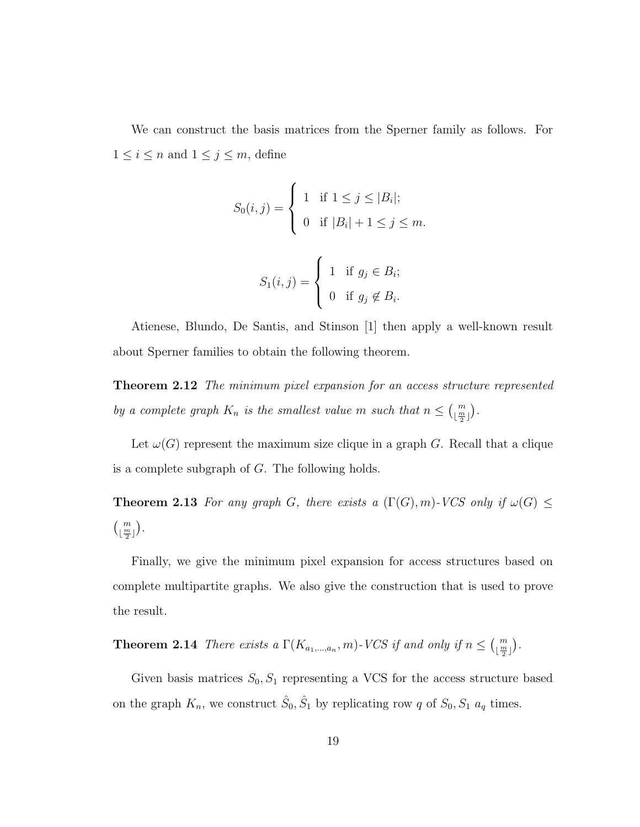We can construct the basis matrices from the Sperner family as follows. For  $1 \leq i \leq n$  and  $1 \leq j \leq m$ , define

$$
S_0(i,j) = \begin{cases} 1 & \text{if } 1 \leq j \leq |B_i|; \\ 0 & \text{if } |B_i| + 1 \leq j \leq m. \end{cases}
$$

$$
S_1(i,j) = \begin{cases} 1 & \text{if } g_j \in B_i; \\ 0 & \text{if } g_j \notin B_i. \end{cases}
$$

Atienese, Blundo, De Santis, and Stinson [1] then apply a well-known result about Sperner families to obtain the following theorem.

**Theorem 2.12** The minimum pixel expansion for an access structure represented by a complete graph  $K_n$  is the smallest value m such that  $n \leq {m \choose \lfloor \frac{m}{2} \rfloor}$ .

Let  $\omega(G)$  represent the maximum size clique in a graph G. Recall that a clique is a complete subgraph of G. The following holds.

**Theorem 2.13** For any graph G, there exists a  $(\Gamma(G), m)$ -VCS only if  $\omega(G)$   $\leq$  $\left(\begin{smallmatrix} m \\ \lfloor \frac{m}{2} \rfloor \end{smallmatrix}\right).$ 

Finally, we give the minimum pixel expansion for access structures based on complete multipartite graphs. We also give the construction that is used to prove the result.

**Theorem 2.14** There exists a  $\Gamma(K_{a_1,\dots,a_n}, m)$ -VCS if and only if  $n \leq {m \choose \lfloor \frac{m}{2} \rfloor}$ .

Given basis matrices  $S_0, S_1$  representing a VCS for the access structure based on the graph  $K_n$ , we construct  $\hat{S}_0$ ,  $\hat{S}_1$  by replicating row q of  $S_0$ ,  $S_1$   $a_q$  times.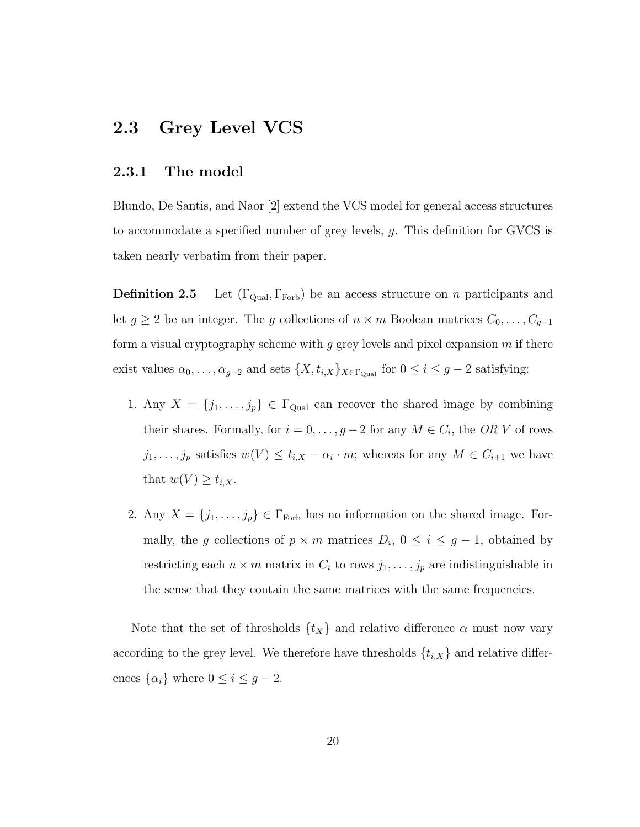### **2.3 Grey Level VCS**

#### **2.3.1 The model**

Blundo, De Santis, and Naor [2] extend the VCS model for general access structures to accommodate a specified number of grey levels, g. This definition for GVCS is taken nearly verbatim from their paper.

**Definition 2.5** Let  $(\Gamma_{\text{Qual}}, \Gamma_{\text{Forb}})$  be an access structure on *n* participants and let  $g \geq 2$  be an integer. The g collections of  $n \times m$  Boolean matrices  $C_0, \ldots, C_{g-1}$ form a visual cryptography scheme with  $g$  grey levels and pixel expansion  $m$  if there exist values  $\alpha_0, \ldots, \alpha_{g-2}$  and sets  $\{X, t_{i,X}\}_{X \in \Gamma_{\text{Quad}}}$  for  $0 \le i \le g-2$  satisfying:

- 1. Any  $X = \{j_1, \ldots, j_p\} \in \Gamma_{\text{Qual}}$  can recover the shared image by combining their shares. Formally, for  $i = 0, \ldots, g - 2$  for any  $M \in C_i$ , the OR V of rows  $j_1,\ldots,j_p$  satisfies  $w(V) \leq t_{i,X} - \alpha_i \cdot m$ ; whereas for any  $M \in C_{i+1}$  we have that  $w(V) \geq t_{i,X}$ .
- 2. Any  $X = \{j_1, \ldots, j_p\} \in \Gamma_{\text{Forb}}$  has no information on the shared image. Formally, the g collections of  $p \times m$  matrices  $D_i$ ,  $0 \leq i \leq g-1$ , obtained by restricting each  $n \times m$  matrix in  $C_i$  to rows  $j_1, \ldots, j_p$  are indistinguishable in the sense that they contain the same matrices with the same frequencies.

Note that the set of thresholds  $\{t_X\}$  and relative difference  $\alpha$  must now vary according to the grey level. We therefore have thresholds  $\{t_{i,X}\}\$  and relative differences  $\{\alpha_i\}$  where  $0 \le i \le g-2$ .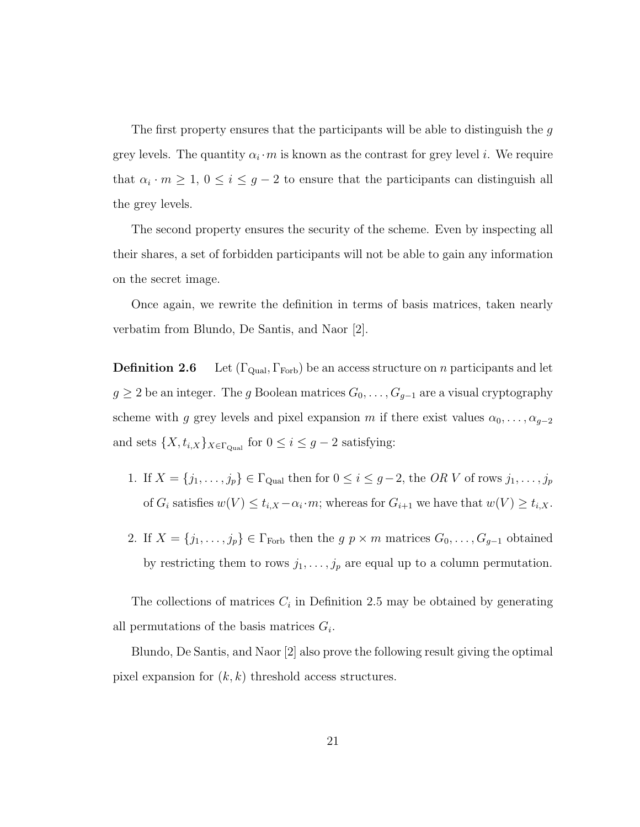The first property ensures that the participants will be able to distinguish the  $q$ grey levels. The quantity  $\alpha_i \cdot m$  is known as the contrast for grey level i. We require that  $\alpha_i \cdot m \geq 1$ ,  $0 \leq i \leq g-2$  to ensure that the participants can distinguish all the grey levels.

The second property ensures the security of the scheme. Even by inspecting all their shares, a set of forbidden participants will not be able to gain any information on the secret image.

Once again, we rewrite the definition in terms of basis matrices, taken nearly verbatim from Blundo, De Santis, and Naor [2].

**Definition 2.6** Let  $(\Gamma_{\text{Qual}}, \Gamma_{\text{Forb}})$  be an access structure on *n* participants and let  $g \geq 2$  be an integer. The g Boolean matrices  $G_0, \ldots, G_{g-1}$  are a visual cryptography scheme with g grey levels and pixel expansion m if there exist values  $\alpha_0, \ldots, \alpha_{g-2}$ and sets  $\{X, t_{i,X}\}_{X \in \Gamma_{\text{Qual}}}$  for  $0 \leq i \leq g-2$  satisfying:

- 1. If  $X = \{j_1, \ldots, j_p\} \in \Gamma_{\text{Qual}}$  then for  $0 \le i \le g-2$ , the OR V of rows  $j_1, \ldots, j_p$ of  $G_i$  satisfies  $w(V) \le t_{i,X} - \alpha_i \cdot m$ ; whereas for  $G_{i+1}$  we have that  $w(V) \ge t_{i,X}$ .
- 2. If  $X = \{j_1, \ldots, j_p\} \in \Gamma_{\text{Forb}}$  then the  $g \, p \times m$  matrices  $G_0, \ldots, G_{g-1}$  obtained by restricting them to rows  $j_1, \ldots, j_p$  are equal up to a column permutation.

The collections of matrices  $C_i$  in Definition 2.5 may be obtained by generating all permutations of the basis matrices  $G_i$ .

Blundo, De Santis, and Naor [2] also prove the following result giving the optimal pixel expansion for  $(k, k)$  threshold access structures.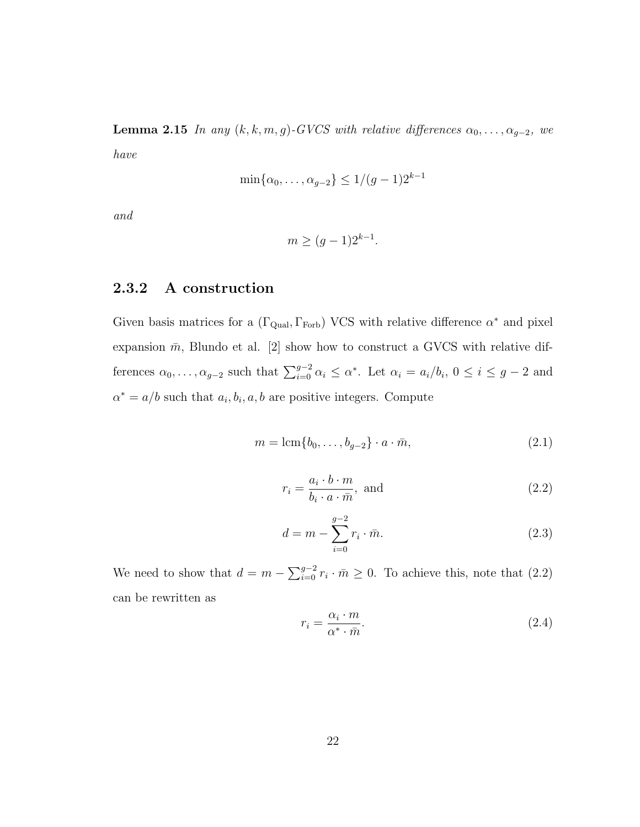**Lemma 2.15** In any  $(k, k, m, g)$ -GVCS with relative differences  $\alpha_0, \ldots, \alpha_{g-2}$ , we have

$$
\min\{\alpha_0, \dots, \alpha_{g-2}\} \le 1/(g-1)2^{k-1}
$$

and

$$
m \ge (g-1)2^{k-1}.
$$

#### **2.3.2 A construction**

Given basis matrices for a ( $\Gamma_{\rm Qual}, \Gamma_{\rm Forb}$ ) VCS with relative difference  $\alpha^*$  and pixel expansion  $\bar{m}$ , Blundo et al. [2] show how to construct a GVCS with relative differences  $\alpha_0, \ldots, \alpha_{g-2}$  such that  $\sum_{i=0}^{g-2} \alpha_i \leq \alpha^*$ . Let  $\alpha_i = a_i/b_i$ ,  $0 \leq i \leq g-2$  and  $\alpha^* = a/b$  such that  $a_i, b_i, a, b$  are positive integers. Compute

$$
m = \operatorname{lcm}\{b_0, \dots, b_{g-2}\} \cdot a \cdot \bar{m},\tag{2.1}
$$

$$
r_i = \frac{a_i \cdot b \cdot m}{b_i \cdot a \cdot \bar{m}}, \text{ and } (2.2)
$$

$$
d = m - \sum_{i=0}^{g-2} r_i \cdot \bar{m}.
$$
 (2.3)

We need to show that  $d = m - \sum_{i=0}^{g-2} r_i \cdot \bar{m} \ge 0$ . To achieve this, note that (2.2) can be rewritten as

$$
r_i = \frac{\alpha_i \cdot m}{\alpha^* \cdot \bar{m}}.\tag{2.4}
$$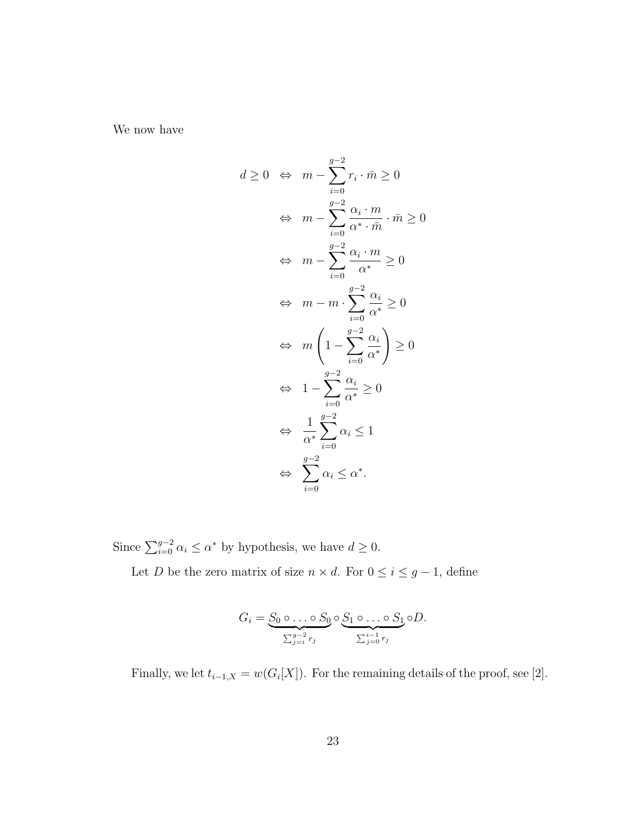We now have

$$
d \geq 0 \iff m - \sum_{i=0}^{g-2} r_i \cdot \bar{m} \geq 0
$$
  

$$
\iff m - \sum_{i=0}^{g-2} \frac{\alpha_i \cdot m}{\alpha^* \cdot \bar{m}} \cdot \bar{m} \geq 0
$$
  

$$
\iff m - \sum_{i=0}^{g-2} \frac{\alpha_i \cdot m}{\alpha^*} \geq 0
$$
  

$$
\iff m - m \cdot \sum_{i=0}^{g-2} \frac{\alpha_i}{\alpha^*} \geq 0
$$
  

$$
\iff m \left(1 - \sum_{i=0}^{g-2} \frac{\alpha_i}{\alpha^*}\right) \geq 0
$$
  

$$
\iff 1 - \sum_{i=0}^{g-2} \frac{\alpha_i}{\alpha^*} \geq 0
$$
  

$$
\iff \frac{1}{\alpha^*} \sum_{i=0}^{g-2} \alpha_i \leq 1
$$
  

$$
\iff \sum_{i=0}^{g-2} \alpha_i \leq \alpha^*.
$$

Since  $\sum_{i=0}^{g-2} \alpha_i \le \alpha^*$  by hypothesis, we have  $d \ge 0$ .

Let *D* be the zero matrix of size  $n \times d$ . For  $0 \le i \le g - 1$ , define

$$
G_i = \underbrace{S_0 \circ \dots \circ S_0}_{\sum_{j=i}^{g-2} r_j} \circ \underbrace{S_1 \circ \dots \circ S_1}_{\sum_{j=0}^{i-1} r_j} \circ D.
$$

Finally, we let  $t_{i-1,X} = w(G_i[X])$ . For the remaining details of the proof, see [2].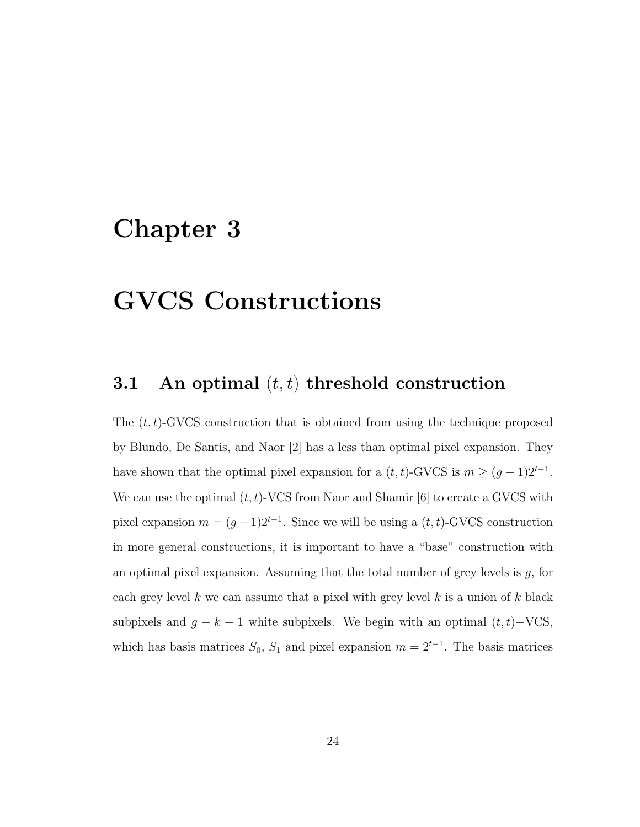### **Chapter 3**

## **GVCS Constructions**

### **3.1** An optimal  $(t, t)$  threshold construction

The  $(t, t)$ -GVCS construction that is obtained from using the technique proposed by Blundo, De Santis, and Naor [2] has a less than optimal pixel expansion. They have shown that the optimal pixel expansion for a  $(t, t)$ -GVCS is  $m \ge (g - 1)2^{t-1}$ . We can use the optimal  $(t, t)$ -VCS from Naor and Shamir [6] to create a GVCS with pixel expansion  $m = (g-1)2^{t-1}$ . Since we will be using a  $(t, t)$ -GVCS construction in more general constructions, it is important to have a "base" construction with an optimal pixel expansion. Assuming that the total number of grey levels is  $g$ , for each grey level k we can assume that a pixel with grey level k is a union of k black subpixels and  $g - k - 1$  white subpixels. We begin with an optimal  $(t, t) - \text{VCS}$ , which has basis matrices  $S_0$ ,  $S_1$  and pixel expansion  $m = 2^{t-1}$ . The basis matrices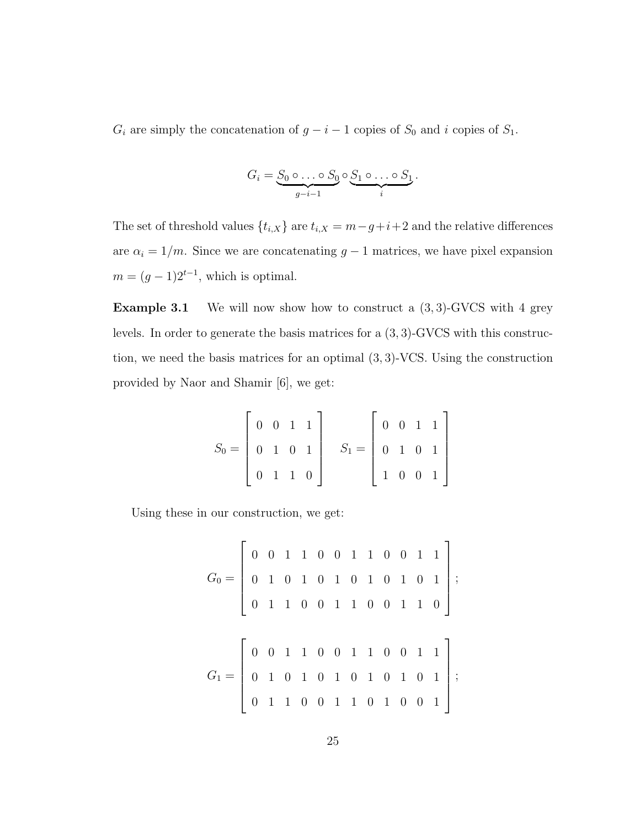$G_i$  are simply the concatenation of  $g - i - 1$  copies of  $S_0$  and i copies of  $S_1$ .

$$
G_i = \underbrace{S_0 \circ \ldots \circ S_0}_{g-i-1} \circ \underbrace{S_1 \circ \ldots \circ S_1}_{i}.
$$

The set of threshold values  $\{t_{i,X}\}$  are  $t_{i,X} = m-g+i+2$  and the relative differences are  $\alpha_i = 1/m$ . Since we are concatenating  $g - 1$  matrices, we have pixel expansion  $m = (g - 1)2^{t-1}$ , which is optimal.

**Example 3.1** We will now show how to construct a  $(3, 3)$ -GVCS with 4 grey levels. In order to generate the basis matrices for a (3, 3)-GVCS with this construction, we need the basis matrices for an optimal (3, 3)-VCS. Using the construction provided by Naor and Shamir [6], we get:

$$
S_0 = \begin{bmatrix} 0 & 0 & 1 & 1 \\ 0 & 1 & 0 & 1 \\ 0 & 1 & 1 & 0 \end{bmatrix} \quad S_1 = \begin{bmatrix} 0 & 0 & 1 & 1 \\ 0 & 1 & 0 & 1 \\ 1 & 0 & 0 & 1 \end{bmatrix}
$$

Using these in our construction, we get:

$$
G_0 = \left[ \begin{array}{ccccccc} 0 & 0 & 1 & 1 & 0 & 0 & 1 & 1 & 0 & 0 & 1 & 1 \\ 0 & 1 & 0 & 1 & 0 & 1 & 0 & 1 & 0 & 1 & 0 & 1 \\ 0 & 1 & 1 & 0 & 0 & 1 & 1 & 0 & 0 & 1 & 1 & 0 \end{array} \right];
$$
  

$$
G_1 = \left[ \begin{array}{ccccccc} 0 & 0 & 1 & 1 & 0 & 0 & 1 & 1 & 0 & 0 & 1 & 1 \\ 0 & 1 & 0 & 1 & 0 & 1 & 0 & 1 & 0 & 1 & 0 & 1 \\ 0 & 1 & 1 & 0 & 0 & 1 & 1 & 0 & 1 & 0 & 0 & 1 \end{array} \right];
$$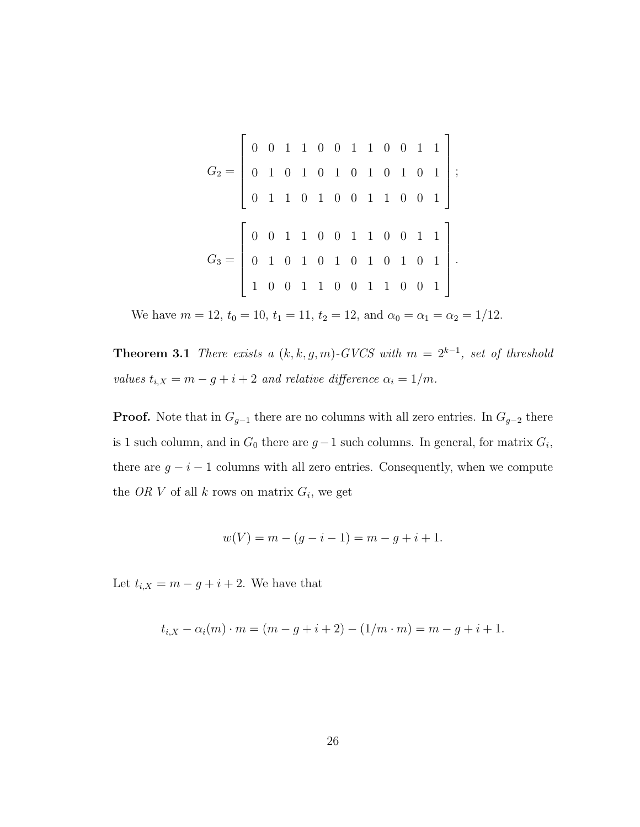$$
G_2 = \left[ \begin{array}{rrrrrrrr} 0 & 0 & 1 & 1 & 0 & 0 & 1 & 1 & 0 & 0 & 1 & 1 \\ 0 & 1 & 0 & 1 & 0 & 1 & 0 & 1 & 0 & 1 & 0 & 1 \\ 0 & 1 & 1 & 0 & 1 & 0 & 0 & 1 & 1 & 0 & 0 & 1 \\ \end{array} \right];
$$
  
\n
$$
G_3 = \left[ \begin{array}{rrrrrrr} 0 & 0 & 1 & 1 & 0 & 0 & 1 & 1 & 0 & 0 & 1 & 1 \\ 0 & 1 & 0 & 1 & 0 & 1 & 0 & 1 & 0 & 1 & 1 \\ 1 & 0 & 0 & 1 & 1 & 0 & 0 & 1 & 1 & 0 & 0 & 1 \\ \end{array} \right].
$$

We have  $m = 12$ ,  $t_0 = 10$ ,  $t_1 = 11$ ,  $t_2 = 12$ , and  $\alpha_0 = \alpha_1 = \alpha_2 = 1/12$ .

**Theorem 3.1** There exists a  $(k, k, g, m)$ -GVCS with  $m = 2^{k-1}$ , set of threshold values  $t_{i,X} = m - g + i + 2$  and relative difference  $\alpha_i = 1/m$ .

**Proof.** Note that in  $G_{g-1}$  there are no columns with all zero entries. In  $G_{g-2}$  there is 1 such column, and in  $G_0$  there are  $g-1$  such columns. In general, for matrix  $G_i$ , there are  $g - i - 1$  columns with all zero entries. Consequently, when we compute the OR V of all  $k$  rows on matrix  $G_i$ , we get

$$
w(V) = m - (g - i - 1) = m - g + i + 1.
$$

Let  $t_{i,X} = m - g + i + 2$ . We have that

$$
t_{i,X} - \alpha_i(m) \cdot m = (m - g + i + 2) - (1/m \cdot m) = m - g + i + 1.
$$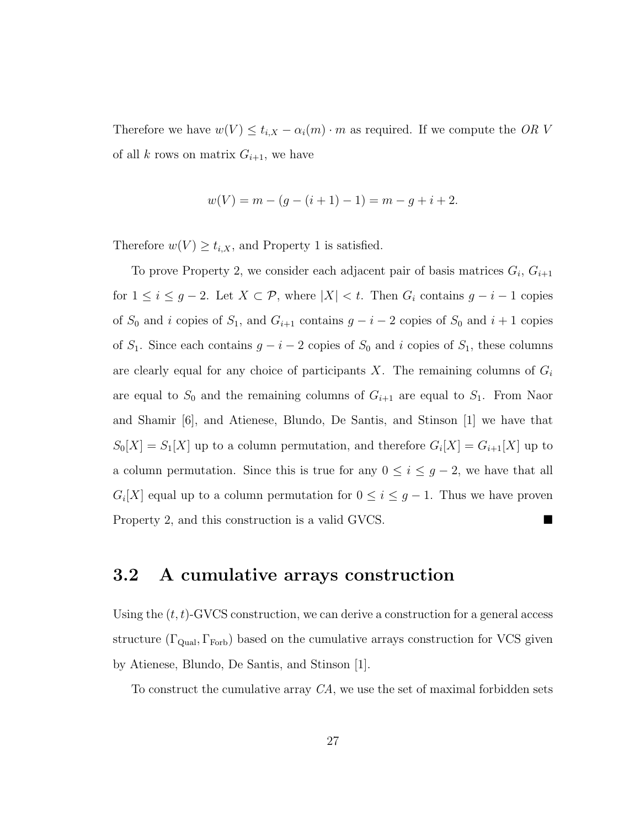Therefore we have  $w(V) \leq t_{i,X} - \alpha_i(m) \cdot m$  as required. If we compute the OR V of all k rows on matrix  $G_{i+1}$ , we have

$$
w(V) = m - (g - (i + 1) - 1) = m - g + i + 2.
$$

Therefore  $w(V) \ge t_{i,X}$ , and Property 1 is satisfied.

To prove Property 2, we consider each adjacent pair of basis matrices  $G_i$ ,  $G_{i+1}$ for  $1 \leq i \leq g-2$ . Let  $X \subset \mathcal{P}$ , where  $|X| < t$ . Then  $G_i$  contains  $g - i - 1$  copies of  $S_0$  and i copies of  $S_1$ , and  $G_{i+1}$  contains  $g - i - 2$  copies of  $S_0$  and  $i + 1$  copies of  $S_1$ . Since each contains  $g - i - 2$  copies of  $S_0$  and i copies of  $S_1$ , these columns are clearly equal for any choice of participants  $X$ . The remaining columns of  $G_i$ are equal to  $S_0$  and the remaining columns of  $G_{i+1}$  are equal to  $S_1$ . From Naor and Shamir [6], and Atienese, Blundo, De Santis, and Stinson [1] we have that  $S_0[X] = S_1[X]$  up to a column permutation, and therefore  $G_i[X] = G_{i+1}[X]$  up to a column permutation. Since this is true for any  $0 \leq i \leq g-2$ , we have that all  $G_i[X]$  equal up to a column permutation for  $0 \leq i \leq g-1$ . Thus we have proven Property 2, and this construction is a valid GVCS.

### **3.2 A cumulative arrays construction**

Using the  $(t, t)$ -GVCS construction, we can derive a construction for a general access structure ( $\Gamma_{\text{Qual}}$ ,  $\Gamma_{\text{Forb}}$ ) based on the cumulative arrays construction for VCS given by Atienese, Blundo, De Santis, and Stinson [1].

To construct the cumulative array CA, we use the set of maximal forbidden sets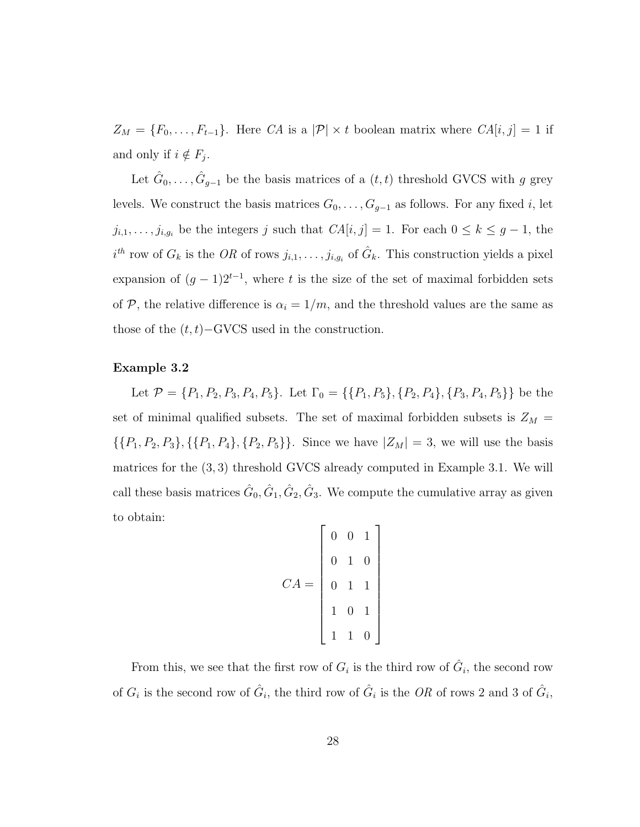$Z_M = \{F_0, \ldots, F_{t-1}\}.$  Here CA is a  $|\mathcal{P}| \times t$  boolean matrix where  $CA[i, j] = 1$  if and only if  $i \notin F_j$ .

Let  $\hat{G}_0, \ldots, \hat{G}_{g-1}$  be the basis matrices of a  $(t, t)$  threshold GVCS with g grey levels. We construct the basis matrices  $G_0, \ldots, G_{g-1}$  as follows. For any fixed i, let  $j_{i,1},\ldots,j_{i,g_i}$  be the integers j such that  $CA[i,j] = 1$ . For each  $0 \leq k \leq g-1$ , the  $i^{th}$  row of  $G_k$  is the OR of rows  $j_{i,1},\ldots,j_{i,g_i}$  of  $\hat{G}_k$ . This construction yields a pixel expansion of  $(g - 1)2^{t-1}$ , where t is the size of the set of maximal forbidden sets of  $P$ , the relative difference is  $\alpha_i = 1/m$ , and the threshold values are the same as those of the  $(t, t)$ –GVCS used in the construction.

#### **Example 3.2**

Let  $\mathcal{P} = \{P_1, P_2, P_3, P_4, P_5\}$ . Let  $\Gamma_0 = \{\{P_1, P_5\}, \{P_2, P_4\}, \{P_3, P_4, P_5\}\}$  be the set of minimal qualified subsets. The set of maximal forbidden subsets is  $Z_M$  =  $\{\{P_1, P_2, P_3\}, \{\{P_1, P_4\}, \{P_2, P_5\}\}\.$  Since we have  $|Z_M| = 3$ , we will use the basis matrices for the (3, 3) threshold GVCS already computed in Example 3.1. We will call these basis matrices  $\hat{G}_0$ ,  $\hat{G}_1$ ,  $\hat{G}_2$ ,  $\hat{G}_3$ . We compute the cumulative array as given to obtain:

$$
CA = \begin{bmatrix} 0 & 0 & 1 \\ 0 & 1 & 0 \\ 0 & 1 & 1 \\ 1 & 0 & 1 \\ 1 & 1 & 0 \end{bmatrix}
$$

From this, we see that the first row of  $G_i$  is the third row of  $\hat{G}_i$ , the second row of  $G_i$  is the second row of  $\hat{G}_i$ , the third row of  $\hat{G}_i$  is the OR of rows 2 and 3 of  $\hat{G}_i$ ,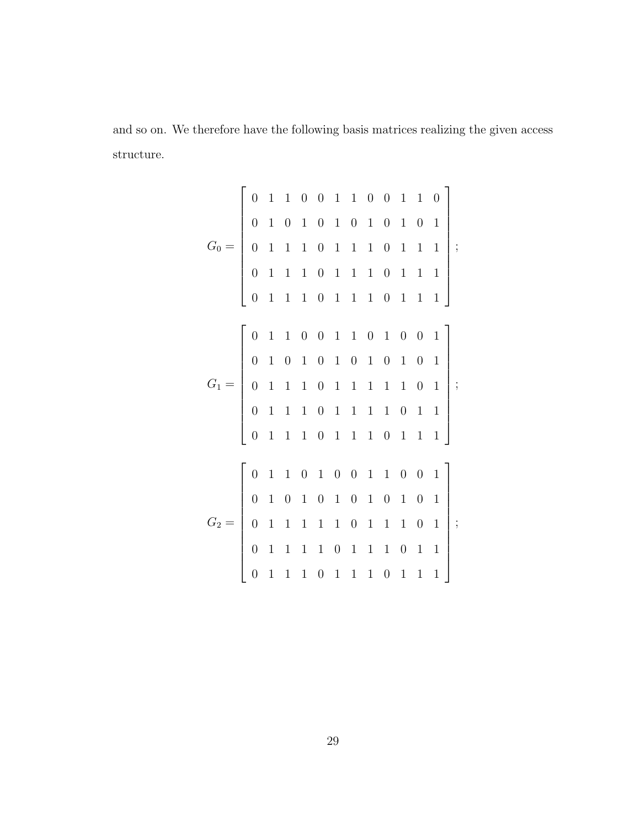and so on. We therefore have the following basis matrices realizing the given access structure.

$$
G_0 = \begin{bmatrix}\n0 & 1 & 1 & 0 & 0 & 1 & 1 & 0 & 0 & 1 & 1 & 0 \\
0 & 1 & 0 & 1 & 0 & 1 & 0 & 1 & 0 & 1 & 0 & 1 \\
0 & 1 & 1 & 1 & 0 & 1 & 1 & 1 & 0 & 1 & 1 & 1 \\
0 & 1 & 1 & 1 & 0 & 1 & 1 & 1 & 0 & 1 & 1 & 1\n\end{bmatrix};
$$
\n
$$
G_1 = \begin{bmatrix}\n0 & 1 & 1 & 0 & 0 & 1 & 1 & 0 & 1 & 0 & 1 & 1 \\
0 & 1 & 0 & 1 & 0 & 1 & 0 & 1 & 0 & 1 & 0 & 1 \\
0 & 1 & 1 & 1 & 0 & 1 & 1 & 1 & 1 & 0 & 1 & 1 \\
0 & 1 & 1 & 1 & 0 & 1 & 1 & 1 & 1 & 0 & 1 & 1\n\end{bmatrix};
$$
\n
$$
G_2 = \begin{bmatrix}\n0 & 1 & 1 & 0 & 1 & 0 & 0 & 1 & 1 & 0 & 0 & 1 \\
0 & 1 & 1 & 1 & 0 & 1 & 1 & 1 & 0 & 0 & 1 \\
0 & 1 & 0 & 1 & 0 & 1 & 0 & 1 & 0 & 1 & 0 & 1 \\
0 & 1 & 1 & 1 & 1 & 0 & 1 & 1 & 1 & 0 & 1 & 1 \\
0 & 1 & 1 & 1 & 0 & 1 & 1 & 1 & 0 & 1 & 1 & 1\n\end{bmatrix};
$$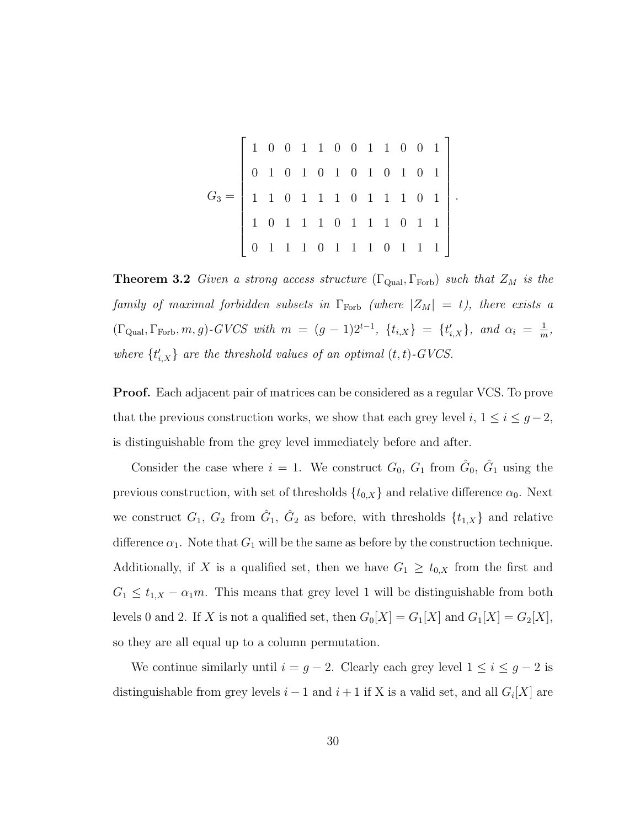$$
G_3 = \left[\begin{array}{cccccccccccc}1 & 0 & 0 & 1 & 1 & 0 & 0 & 1 & 1 & 0 & 0 & 1\\0 & 1 & 0 & 1 & 0 & 1 & 0 & 1 & 0 & 1 & 0 & 1\\1 & 1 & 0 & 1 & 1 & 1 & 0 & 1 & 1 & 1 & 0 & 1\\1 & 0 & 1 & 1 & 1 & 0 & 1 & 1 & 1 & 0 & 1 & 1\\0 & 1 & 1 & 1 & 0 & 1 & 1 & 1 & 0 & 1 & 1 & 1\end{array}\right]
$$

.

**Theorem 3.2** Given a strong access structure ( $\Gamma_{\text{Qual}}, \Gamma_{\text{Forb}}$ ) such that  $Z_M$  is the family of maximal forbidden subsets in  $\Gamma_{\text{Forb}}$  (where  $|Z_M| = t$ ), there exists a  $(\Gamma_{\text{Qual}}, \Gamma_{\text{Forb}}, m, g)$ -GVCS with  $m = (g - 1)2^{t-1}$ ,  $\{t_{i,X}\} = \{t'_{i,X}\}$ , and  $\alpha_i = \frac{1}{m}$ , where  $\{t'_{i,X}\}$  are the threshold values of an optimal  $(t, t)$ -GVCS.

**Proof.** Each adjacent pair of matrices can be considered as a regular VCS. To prove that the previous construction works, we show that each grey level  $i, 1 \leq i \leq g-2$ , is distinguishable from the grey level immediately before and after.

Consider the case where  $i = 1$ . We construct  $G_0$ ,  $G_1$  from  $\hat{G}_0$ ,  $\hat{G}_1$  using the previous construction, with set of thresholds  $\{t_{0,X}\}\$ and relative difference  $\alpha_0$ . Next we construct  $G_1$ ,  $G_2$  from  $\hat{G}_1$ ,  $\hat{G}_2$  as before, with thresholds  $\{t_{1,X}\}\$  and relative difference  $\alpha_1$ . Note that  $G_1$  will be the same as before by the construction technique. Additionally, if X is a qualified set, then we have  $G_1 \geq t_{0,X}$  from the first and  $G_1 \leq t_{1,X} - \alpha_1 m$ . This means that grey level 1 will be distinguishable from both levels 0 and 2. If X is not a qualified set, then  $G_0[X] = G_1[X]$  and  $G_1[X] = G_2[X]$ , so they are all equal up to a column permutation.

We continue similarly until  $i = g - 2$ . Clearly each grey level  $1 \leq i \leq g - 2$  is distinguishable from grey levels  $i - 1$  and  $i + 1$  if X is a valid set, and all  $G_i[X]$  are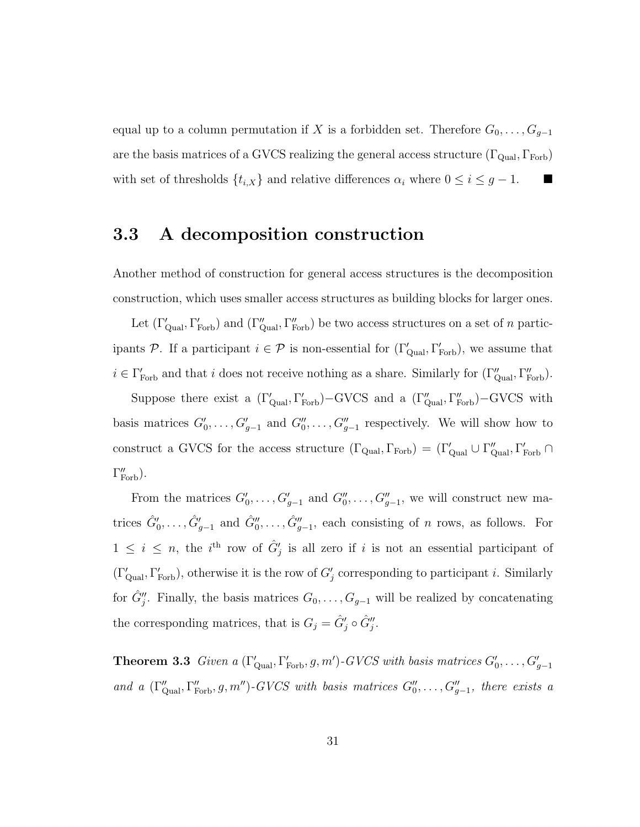equal up to a column permutation if X is a forbidden set. Therefore  $G_0, \ldots, G_{g-1}$ are the basis matrices of a GVCS realizing the general access structure  $(\Gamma_{\text{Qual}}, \Gamma_{\text{Forb}})$ with set of thresholds  $\{t_{i,X}\}\$ and relative differences  $\alpha_i$  where  $0 \leq i \leq g-1$ .

### **3.3 A decomposition construction**

Another method of construction for general access structures is the decomposition construction, which uses smaller access structures as building blocks for larger ones.

Let  $(\Gamma'_{\text{Qual}}, \Gamma'_{\text{Forb}})$  and  $(\Gamma''_{\text{Qual}}, \Gamma''_{\text{Forb}})$  be two access structures on a set of n participants P. If a participant  $i \in \mathcal{P}$  is non-essential for  $(\Gamma'_{\text{Qual}}, \Gamma'_{\text{Forb}})$ , we assume that  $i \in \Gamma_{\text{Forb}}'$  and that i does not receive nothing as a share. Similarly for  $(\Gamma_{\text{Qual}}'', \Gamma_{\text{Forb}}'')$ .

Suppose there exist a  $(\Gamma'_{\text{Qual}}, \Gamma'_{\text{Forb}}) - \text{GVCS}$  and a  $(\Gamma''_{\text{qual}}, \Gamma''_{\text{Forb}}) - \text{GVCS}$  with basis matrices  $G'_0, \ldots, G'_{g-1}$  and  $G''_0, \ldots, G''_{g-1}$  respectively. We will show how to construct a GVCS for the access structure  $(\Gamma_{\text{Qual}}, \Gamma_{\text{Forb}}) = (\Gamma'_{\text{qual}} \cup \Gamma''_{\text{qual}}, \Gamma'_{\text{Forb}} \cap$  $\Gamma''_{\text{Forb}}$ ).

From the matrices  $G'_0, \ldots, G'_{g-1}$  and  $G''_0, \ldots, G''_{g-1}$ , we will construct new matrices  $\hat{G}'_0, \ldots, \hat{G}'_{g-1}$  and  $\hat{G}''_0, \ldots, \hat{G}''_{g-1}$ , each consisting of *n* rows, as follows. For  $1 \leq i \leq n$ , the i<sup>th</sup> row of  $\hat{G}'_j$  is all zero if i is not an essential participant of  $(\Gamma'_{\text{Qual}}, \Gamma'_{\text{Forb}})$ , otherwise it is the row of  $G'_{j}$  corresponding to participant *i*. Similarly for  $\hat{G}''_j$ . Finally, the basis matrices  $G_0, \ldots, G_{g-1}$  will be realized by concatenating the corresponding matrices, that is  $G_j = \hat{G}'_j \circ \hat{G}''_j$ .

**Theorem 3.3** Given a  $(\Gamma'_{\text{Qual}}, \Gamma'_{\text{Forb}}, g, m')$ -GVCS with basis matrices  $G'_0, \ldots, G'_{g-1}$ and a  $(\Gamma''_{\text{qual}}, \Gamma''_{\text{Forb}}, g, m'')$ -GVCS with basis matrices  $G''_0, \ldots, G''_{g-1}$ , there exists a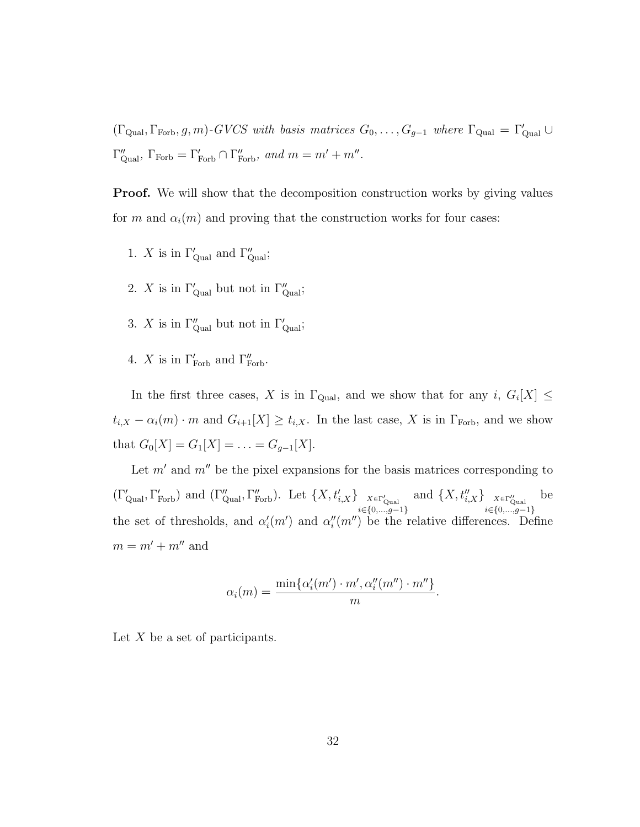$(\Gamma_{\text{Qual}}, \Gamma_{\text{Forb}}, g, m)$ -GVCS with basis matrices  $G_0, \ldots, G_{g-1}$  where  $\Gamma_{\text{Qual}} = \Gamma_{\text{qual}}' \cup$  $\Gamma''_{\text{Qual}}$ ,  $\Gamma_{\text{Forb}} = \Gamma'_{\text{Forb}} \cap \Gamma''_{\text{Forb}}$ , and  $m = m' + m''$ .

**Proof.** We will show that the decomposition construction works by giving values for m and  $\alpha_i(m)$  and proving that the construction works for four cases:

- 1. X is in  $\Gamma'_{\text{Qual}}$  and  $\Gamma''_{\text{qual}}$ ;
- 2. X is in  $\Gamma'_{\text{qual}}$  but not in  $\Gamma''_{\text{qual}}$ ;
- 3. X is in  $\Gamma''_{\text{qual}}$  but not in  $\Gamma'_{\text{qual}}$ ;
- 4. X is in  $\Gamma_{\text{Forb}}'$  and  $\Gamma_{\text{Forb}}''$ .

In the first three cases, X is in  $\Gamma_{\text{Qual}}$ , and we show that for any i,  $G_i[X] \leq$  $t_{i,X} - \alpha_i(m) \cdot m$  and  $G_{i+1}[X] \geq t_{i,X}$ . In the last case, X is in  $\Gamma_{\text{Forb}}$ , and we show that  $G_0[X] = G_1[X] = \ldots = G_{g-1}[X]$ .

Let  $m'$  and  $m''$  be the pixel expansions for the basis matrices corresponding to  $(\Gamma'_{\text{Qual}}, \Gamma'_{\text{Forb}})$  and  $(\Gamma''_{\text{Qual}}, \Gamma''_{\text{Forb}})$ . Let  $\{X, t'_{i,X}\}\big|_{\substack{X \in \Gamma'_{\text{qual}} \\ i \in \{0, ..., g-1\}}}$ and  $\{X, t''_{i,X}\}\big|_{\substack{X \in \Gamma''_{\text{qual}}\\i \in \{0, ..., g-1\}}}$ be the set of thresholds, and  $\alpha'_{i}(m')$  and  $\alpha''_{i}(m'')$  be the relative differences. Define  $m = m^{\prime} + m^{\prime\prime}$  and

$$
\alpha_i(m) = \frac{\min\{\alpha'_i(m') \cdot m', \alpha''_i(m'') \cdot m''\}}{m}.
$$

Let  $X$  be a set of participants.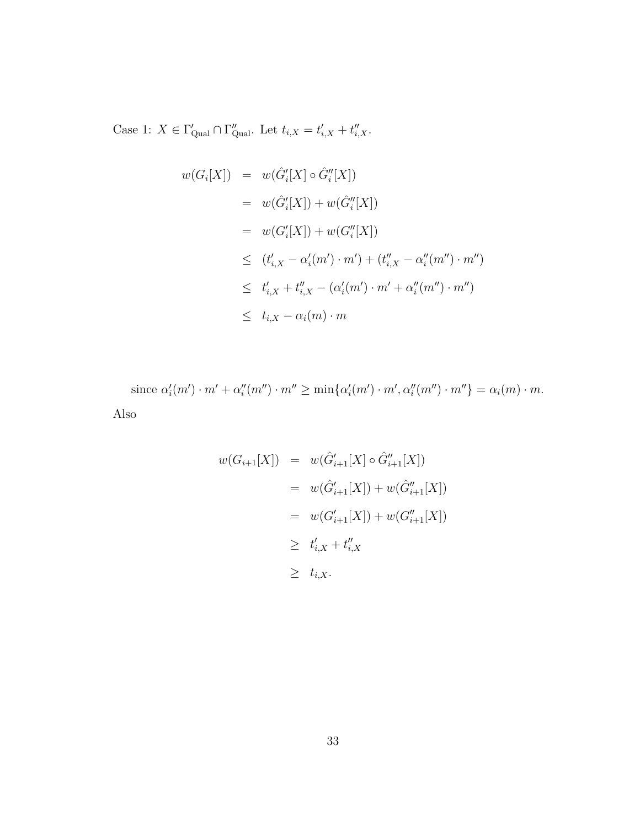Case 1:  $X \in \Gamma'_{\text{qual}} \cap \Gamma''_{\text{qual}}$ . Let  $t_{i,X} = t'_{i,X} + t''_{i,X}$ .

$$
w(G_i[X]) = w(\hat{G}'_i[X] \circ \hat{G}''_i[X])
$$
  
\n
$$
= w(\hat{G}'_i[X]) + w(\hat{G}''_i[X])
$$
  
\n
$$
= w(G'_i[X]) + w(G''_i[X])
$$
  
\n
$$
\leq (t'_{i,X} - \alpha'_i(m') \cdot m') + (t''_{i,X} - \alpha''_i(m'') \cdot m'')
$$
  
\n
$$
\leq t'_{i,X} + t''_{i,X} - (\alpha'_i(m') \cdot m' + \alpha''_i(m'') \cdot m'')
$$
  
\n
$$
\leq t_{i,X} - \alpha_i(m) \cdot m
$$

since  $\alpha'_i(m') \cdot m' + \alpha''_i(m'') \cdot m'' \ge \min{\{\alpha'_i(m') \cdot m', \alpha''_i(m'') \cdot m''\}} = \alpha_i(m) \cdot m$ . Also

$$
w(G_{i+1}[X]) = w(\hat{G}'_{i+1}[X] \circ \hat{G}''_{i+1}[X])
$$
  
= 
$$
w(\hat{G}'_{i+1}[X]) + w(\hat{G}''_{i+1}[X])
$$
  
= 
$$
w(G'_{i+1}[X]) + w(G''_{i+1}[X])
$$
  

$$
\geq t'_{i,X} + t''_{i,X}
$$
  

$$
\geq t_{i,X}.
$$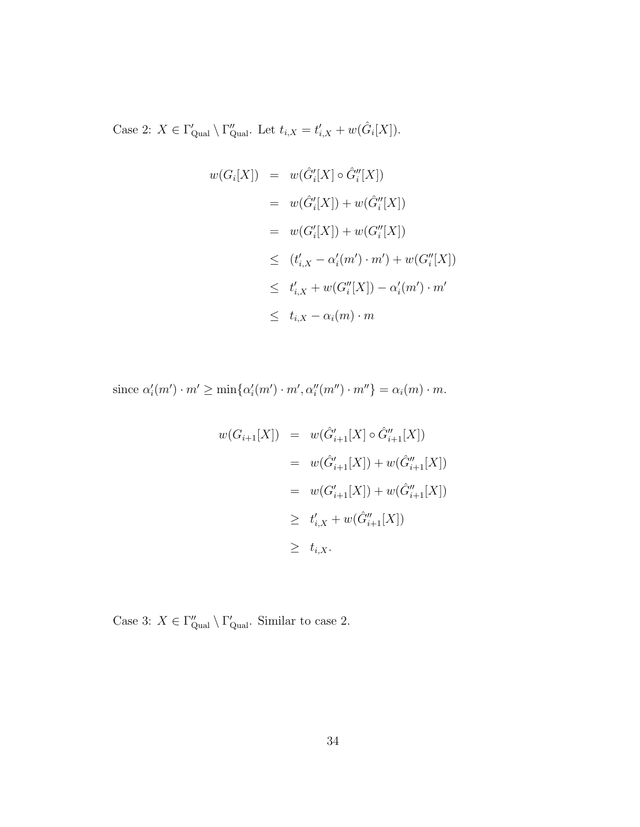Case 2:  $X \in \Gamma'_{\text{qual}} \setminus \Gamma''_{\text{qual}}$ . Let  $t_{i,X} = t'_{i,X} + w(\hat{G}_i[X])$ .

$$
w(G_i[X]) = w(\hat{G}'_i[X] \circ \hat{G}''_i[X])
$$
  
\n
$$
= w(\hat{G}'_i[X]) + w(\hat{G}''_i[X])
$$
  
\n
$$
= w(G'_i[X]) + w(G''_i[X])
$$
  
\n
$$
\leq (t'_{i,X} - \alpha'_i(m') \cdot m') + w(G''_i[X])
$$
  
\n
$$
\leq t'_{i,X} + w(G''_i[X]) - \alpha'_i(m') \cdot m'
$$
  
\n
$$
\leq t_{i,X} - \alpha_i(m) \cdot m
$$

since  $\alpha'_i(m') \cdot m' \ge \min{\{\alpha'_i(m') \cdot m', \alpha''_i(m'') \cdot m''\}} = \alpha_i(m) \cdot m$ .

$$
w(G_{i+1}[X]) = w(\hat{G}'_{i+1}[X] \circ \hat{G}''_{i+1}[X])
$$
  
= 
$$
w(\hat{G}'_{i+1}[X]) + w(\hat{G}''_{i+1}[X])
$$
  
= 
$$
w(G'_{i+1}[X]) + w(\hat{G}''_{i+1}[X])
$$
  

$$
\geq t'_{i,X} + w(\hat{G}''_{i+1}[X])
$$
  

$$
\geq t_{i,X}.
$$

Case 3:  $X \in \Gamma''_{\text{Qual}} \setminus \Gamma'_{\text{qual}}$ . Similar to case 2.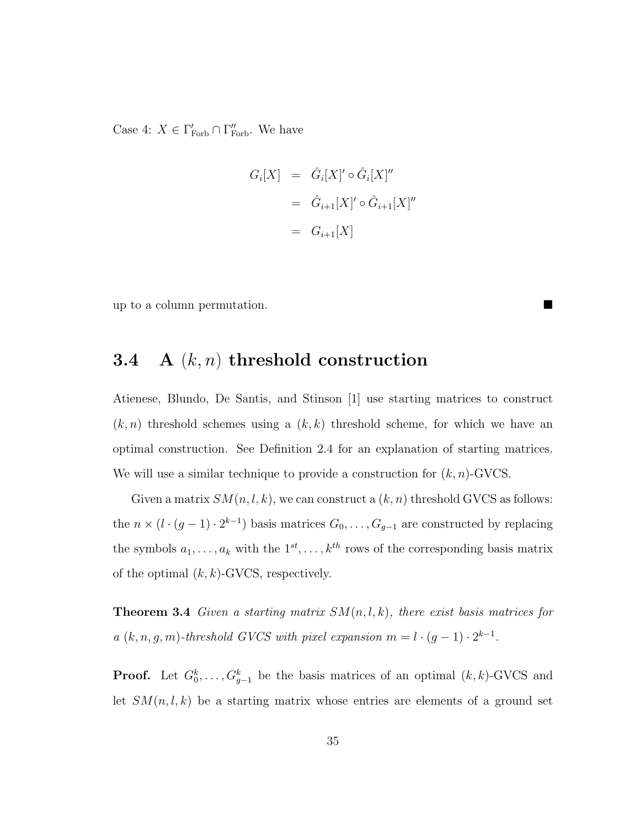Case 4:  $X \in \Gamma_{\text{Forb}}' \cap \Gamma_{\text{Forb}}''$ . We have

$$
G_i[X] = \hat{G}_i[X]' \circ \hat{G}_i[X]''
$$
  
=  $\hat{G}_{i+1}[X]' \circ \hat{G}_{i+1}[X]''$   
=  $G_{i+1}[X]$ 

up to a column permutation.

## **3.4 A** (k, n) **threshold construction**

Atienese, Blundo, De Santis, and Stinson [1] use starting matrices to construct  $(k, n)$  threshold schemes using a  $(k, k)$  threshold scheme, for which we have an optimal construction. See Definition 2.4 for an explanation of starting matrices. We will use a similar technique to provide a construction for  $(k, n)$ -GVCS.

Given a matrix  $SM(n, l, k)$ , we can construct a  $(k, n)$  threshold GVCS as follows: the  $n \times (l \cdot (g-1) \cdot 2^{k-1})$  basis matrices  $G_0, \ldots, G_{g-1}$  are constructed by replacing the symbols  $a_1, \ldots, a_k$  with the  $1^{st}, \ldots, k^{th}$  rows of the corresponding basis matrix of the optimal  $(k, k)$ -GVCS, respectively.

**Theorem 3.4** Given a starting matrix  $SM(n, l, k)$ , there exist basis matrices for a  $(k, n, g, m)$ -threshold GVCS with pixel expansion  $m = l \cdot (g - 1) \cdot 2^{k-1}$ .

**Proof.** Let  $G_0^k, \ldots, G_{g-1}^k$  be the basis matrices of an optimal  $(k, k)$ -GVCS and let  $SM(n, l, k)$  be a starting matrix whose entries are elements of a ground set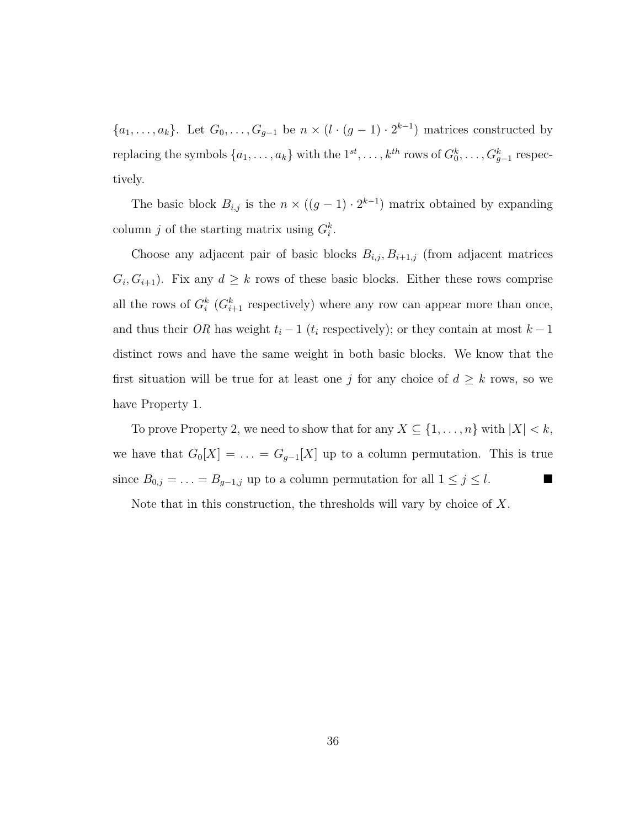${a_1,\ldots,a_k}$ . Let  $G_0,\ldots,G_{g-1}$  be  $n \times (l \cdot (g-1) \cdot 2^{k-1})$  matrices constructed by replacing the symbols  $\{a_1, \ldots, a_k\}$  with the  $1^{st}, \ldots, k^{th}$  rows of  $G_0^k, \ldots, G_{g-1}^k$  respectively.

The basic block  $B_{i,j}$  is the  $n \times ((g-1) \cdot 2^{k-1})$  matrix obtained by expanding column j of the starting matrix using  $G_i^k$ .

Choose any adjacent pair of basic blocks  $B_{i,j}, B_{i+1,j}$  (from adjacent matrices  $G_i, G_{i+1}$ . Fix any  $d \geq k$  rows of these basic blocks. Either these rows comprise all the rows of  $G_i^k$  ( $G_{i+1}^k$  respectively) where any row can appear more than once, and thus their *OR* has weight  $t_i - 1$  ( $t_i$  respectively); or they contain at most  $k - 1$ distinct rows and have the same weight in both basic blocks. We know that the first situation will be true for at least one j for any choice of  $d \geq k$  rows, so we have Property 1.

To prove Property 2, we need to show that for any  $X \subseteq \{1, \ldots, n\}$  with  $|X| < k$ , we have that  $G_0[X] = \ldots = G_{g-1}[X]$  up to a column permutation. This is true since  $B_{0,j} = \ldots = B_{g-1,j}$  up to a column permutation for all  $1 \leq j \leq l$ .

Note that in this construction, the thresholds will vary by choice of X.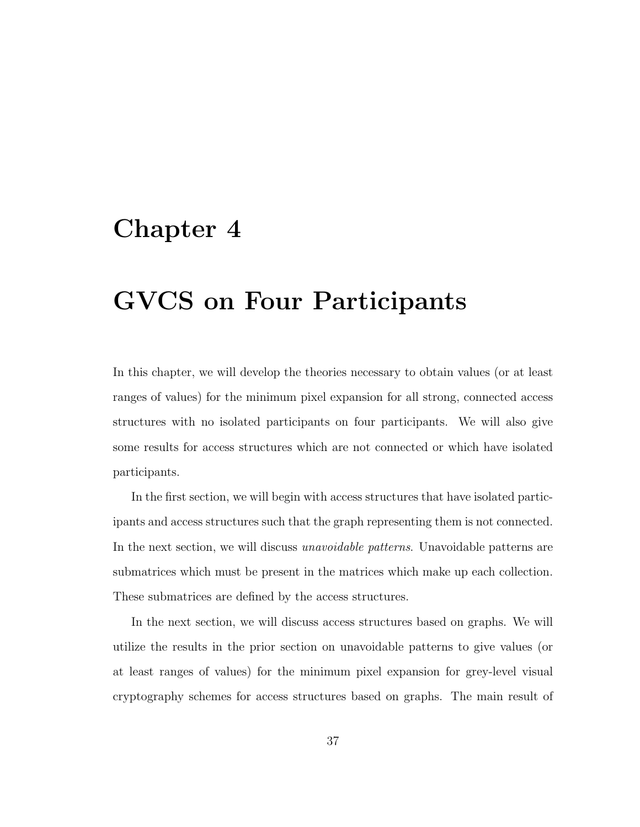## **Chapter 4**

# **GVCS on Four Participants**

In this chapter, we will develop the theories necessary to obtain values (or at least ranges of values) for the minimum pixel expansion for all strong, connected access structures with no isolated participants on four participants. We will also give some results for access structures which are not connected or which have isolated participants.

In the first section, we will begin with access structures that have isolated participants and access structures such that the graph representing them is not connected. In the next section, we will discuss *unavoidable patterns*. Unavoidable patterns are submatrices which must be present in the matrices which make up each collection. These submatrices are defined by the access structures.

In the next section, we will discuss access structures based on graphs. We will utilize the results in the prior section on unavoidable patterns to give values (or at least ranges of values) for the minimum pixel expansion for grey-level visual cryptography schemes for access structures based on graphs. The main result of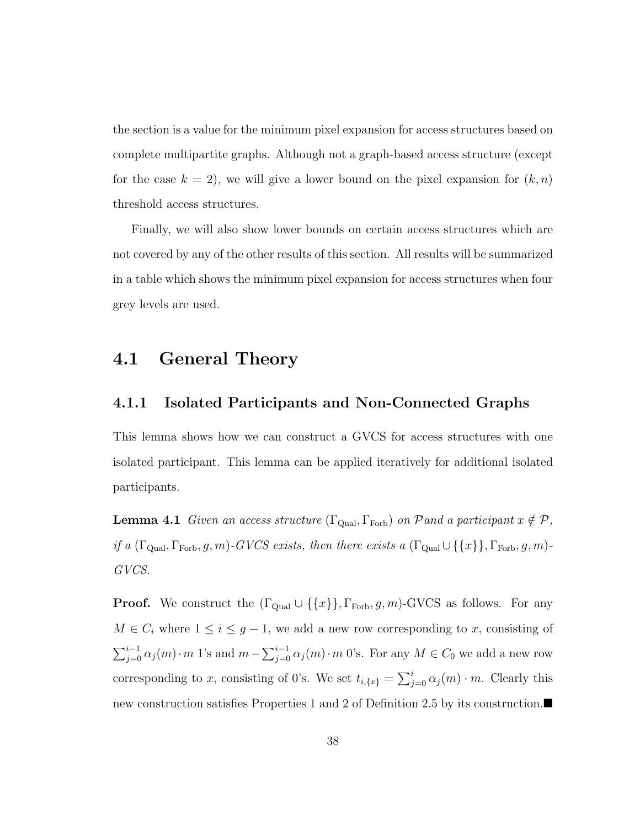the section is a value for the minimum pixel expansion for access structures based on complete multipartite graphs. Although not a graph-based access structure (except for the case  $k = 2$ , we will give a lower bound on the pixel expansion for  $(k, n)$ threshold access structures.

Finally, we will also show lower bounds on certain access structures which are not covered by any of the other results of this section. All results will be summarized in a table which shows the minimum pixel expansion for access structures when four grey levels are used.

### **4.1 General Theory**

#### **4.1.1 Isolated Participants and Non-Connected Graphs**

This lemma shows how we can construct a GVCS for access structures with one isolated participant. This lemma can be applied iteratively for additional isolated participants.

**Lemma 4.1** Given an access structure ( $\Gamma_{\text{Qual}}, \Gamma_{\text{Forb}}$ ) on Pand a participant  $x \notin \mathcal{P}$ , if a  $(\Gamma_{\text{Qual}}, \Gamma_{\text{Forb}}, g, m)$ -GVCS exists, then there exists a  $(\Gamma_{\text{Qual}} \cup \{\{x\}\}, \Gamma_{\text{Forb}}, g, m)$ -GVCS.

**Proof.** We construct the  $(\Gamma_{\text{Qual}} \cup \{\{x\}\}, \Gamma_{\text{Forb}}, g, m)$ -GVCS as follows. For any  $M \in C_i$  where  $1 \leq i \leq g-1$ , we add a new row corresponding to x, consisting of  $\sum_{j=0}^{i-1} \alpha_j(m) \cdot m$  1's and  $m - \sum_{j=0}^{i-1} \alpha_j(m) \cdot m$  0's. For any  $M \in C_0$  we add a new row corresponding to x, consisting of 0's. We set  $t_{i,\lbrace x \rbrace} = \sum_{j=0}^{i} \alpha_j(m) \cdot m$ . Clearly this new construction satisfies Properties 1 and 2 of Definition 2.5 by its construction.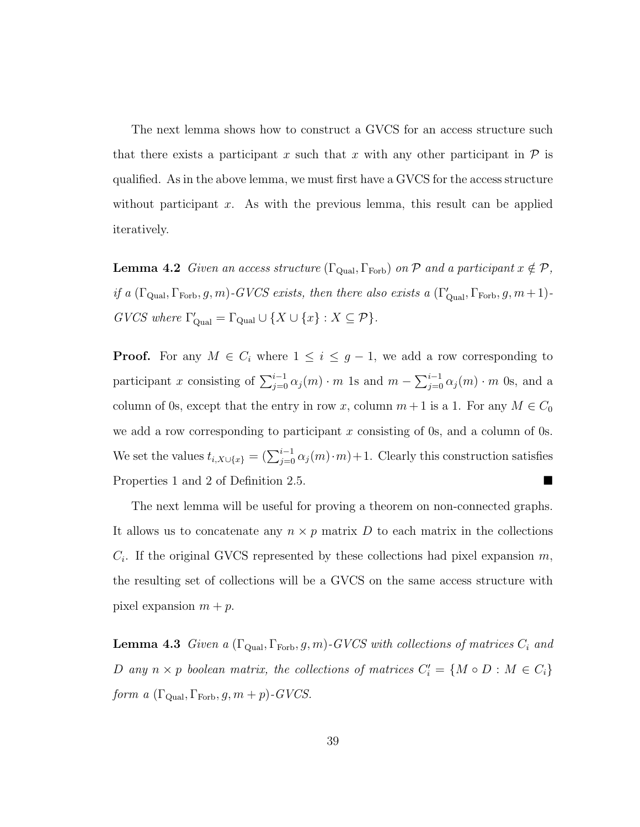The next lemma shows how to construct a GVCS for an access structure such that there exists a participant x such that x with any other participant in  $\mathcal P$  is qualified. As in the above lemma, we must first have a GVCS for the access structure without participant x. As with the previous lemma, this result can be applied iteratively.

**Lemma 4.2** Given an access structure ( $\Gamma_{\text{Qual}}$ ,  $\Gamma_{\text{Forb}}$ ) on P and a participant  $x \notin \mathcal{P}$ , if a  $(\Gamma_{\text{Qual}}, \Gamma_{\text{Forb}}, g, m)$ -GVCS exists, then there also exists a  $(\Gamma_{\text{Qual}}', \Gamma_{\text{Forb}}, g, m+1)$ - $GVCS$  where  $\Gamma'_{\text{Quad}} = \Gamma_{\text{Quad}} \cup \{X \cup \{x\} : X \subseteq \mathcal{P}\}.$ 

**Proof.** For any  $M \in C_i$  where  $1 \leq i \leq g-1$ , we add a row corresponding to participant x consisting of  $\sum_{j=0}^{i-1} \alpha_j(m) \cdot m$  1s and  $m - \sum_{j=0}^{i-1} \alpha_j(m) \cdot m$  0s, and a column of 0s, except that the entry in row x, column  $m+1$  is a 1. For any  $M \in C_0$ we add a row corresponding to participant x consisting of 0s, and a column of 0s. We set the values  $t_{i,X\cup\{x\}} = (\sum_{j=0}^{i-1} \alpha_j(m)\cdot m) + 1$ . Clearly this construction satisfies Properties 1 and 2 of Definition 2.5.

The next lemma will be useful for proving a theorem on non-connected graphs. It allows us to concatenate any  $n \times p$  matrix D to each matrix in the collections  $C_i$ . If the original GVCS represented by these collections had pixel expansion m, the resulting set of collections will be a GVCS on the same access structure with pixel expansion  $m + p$ .

**Lemma 4.3** Given a  $(\Gamma_{\text{Qual}}, \Gamma_{\text{Forb}}, g, m)$ -GVCS with collections of matrices  $C_i$  and D any  $n \times p$  boolean matrix, the collections of matrices  $C_i' = \{M \circ D : M \in C_i\}$ form a  $(\Gamma_{\text{Qual}}, \Gamma_{\text{Forb}}, g, m+p)$ -GVCS.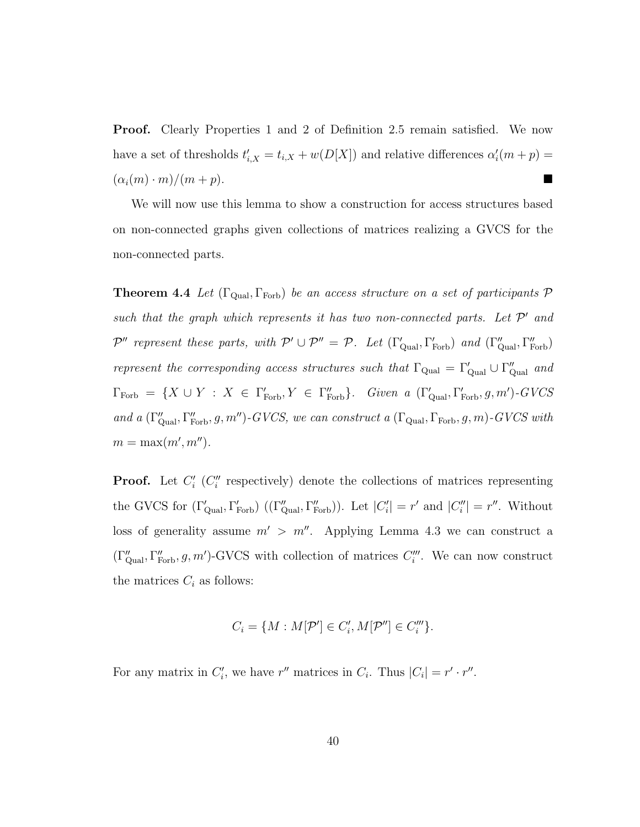**Proof.** Clearly Properties 1 and 2 of Definition 2.5 remain satisfied. We now have a set of thresholds  $t'_{i,X} = t_{i,X} + w(D[X])$  and relative differences  $\alpha'_{i}(m + p) =$  $(\alpha_i(m)\cdot m)/(m+p).$ 

We will now use this lemma to show a construction for access structures based on non-connected graphs given collections of matrices realizing a GVCS for the non-connected parts.

**Theorem 4.4** Let  $(\Gamma_{\text{Qual}}, \Gamma_{\text{Forb}})$  be an access structure on a set of participants  $\mathcal{P}$ such that the graph which represents it has two non-connected parts. Let  $\mathcal{P}'$  and  $\mathcal{P}''$  represent these parts, with  $\mathcal{P}' \cup \mathcal{P}'' = \mathcal{P}$ . Let  $(\Gamma'_{\text{qual}}, \Gamma'_{\text{Forb}})$  and  $(\Gamma''_{\text{qual}}, \Gamma''_{\text{Forb}})$ represent the corresponding access structures such that  $\Gamma_{\text{Qual}} = \Gamma'_{\text{Qual}} \cup \Gamma''_{\text{qual}}$  and  $\Gamma_{\text{Forb}} = \{X \cup Y : X \in \Gamma_{\text{Forb}}', Y \in \Gamma_{\text{Forb}}''\}$ . Given a  $(\Gamma_{\text{Qual}}', \Gamma_{\text{Forb}}', g, m')$ -GVCS and a  $(\Gamma''_{\text{Qual}}, \Gamma''_{\text{Forb}}, g, m'')$ -GVCS, we can construct a  $(\Gamma_{\text{Qual}}, \Gamma_{\text{Forb}}, g, m)$ -GVCS with  $m = \max(m', m'').$ 

**Proof.** Let  $C_i'$  ( $C_i''$  respectively) denote the collections of matrices representing the GVCS for  $(\Gamma'_{\text{Qual}}, \Gamma'_{\text{Forb}})$   $((\Gamma''_{\text{qual}}, \Gamma''_{\text{Forb}}))$ . Let  $|C'_i| = r'$  and  $|C''_i| = r''$ . Without loss of generality assume  $m' > m''$ . Applying Lemma 4.3 we can construct a  $(\Gamma''_{\text{Qual}}, \Gamma''_{\text{Forb}}, g, m')$ -GVCS with collection of matrices  $C'''_i$ . We can now construct the matrices  $C_i$  as follows:

$$
C_i = \{ M : M[\mathcal{P}'] \in C'_i, M[\mathcal{P}''] \in C'''_i \}.
$$

For any matrix in  $C_i'$ , we have r'' matrices in  $C_i$ . Thus  $|C_i| = r' \cdot r''$ .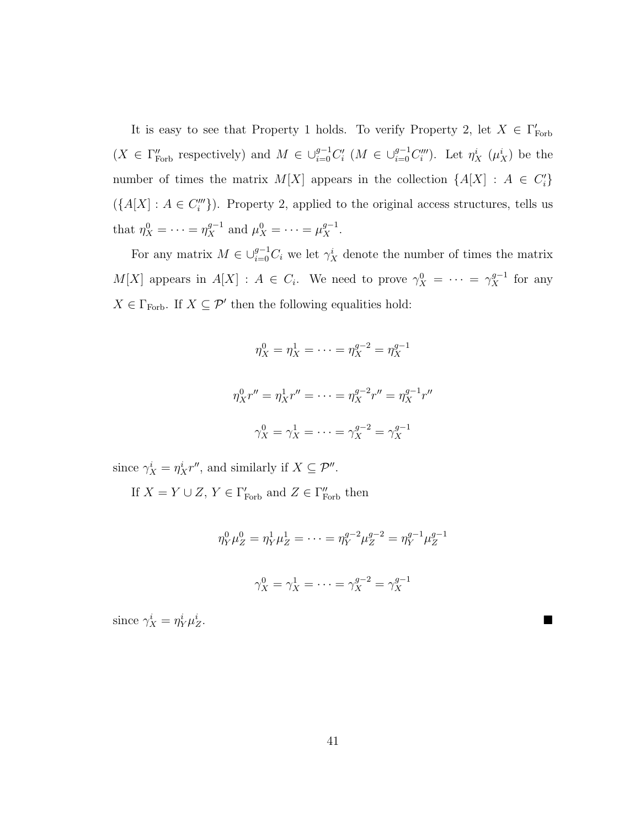It is easy to see that Property 1 holds. To verify Property 2, let  $X \in \Gamma'_{\text{Forb}}$  $(X \in \Gamma \text{For}^{\prime\prime} \text{ respectively})$  and  $M \in \bigcup_{i=0}^{g-1} C_i^{\prime\prime}$   $(M \in \bigcup_{i=0}^{g-1} C_i^{\prime\prime\prime})$ . Let  $\eta_X^i$   $(\mu_X^i)$  be the number of times the matrix  $M[X]$  appears in the collection  $\{A[X] : A \in C_i'\}$  $({A[X] : A \in C_i'''})$ . Property 2, applied to the original access structures, tells us that  $\eta_X^0 = \cdots = \eta_X^{g-1}$  and  $\mu_X^0 = \cdots = \mu_X^{g-1}$ .

For any matrix  $M \in \bigcup_{i=0}^{g-1} C_i$  we let  $\gamma_X^i$  denote the number of times the matrix  $M[X]$  appears in  $A[X] : A \in C_i$ . We need to prove  $\gamma_X^0 = \cdots = \gamma_X^{g-1}$  for any  $X\in \Gamma_{\text{Forb}}.$  If  $X\subseteq \mathcal{P}'$  then the following equalities hold:

$$
\eta_X^0 = \eta_X^1 = \dots = \eta_X^{g-2} = \eta_X^{g-1}
$$

$$
\eta_X^0 r'' = \eta_X^1 r'' = \dots = \eta_X^{g-2} r'' = \eta_X^{g-1} r''
$$

$$
\gamma_X^0 = \gamma_X^1 = \dots = \gamma_X^{g-2} = \gamma_X^{g-1}
$$

since  $\gamma_X^i = \eta_X^i r''$ , and similarly if  $X \subseteq \mathcal{P}''$ .

If  $X = Y \cup Z$ ,  $Y \in \Gamma_{\text{Forb}}'$  and  $Z \in \Gamma_{\text{Forb}}''$  then

$$
\eta_Y^0 \mu_Z^0 = \eta_Y^1 \mu_Z^1 = \dots = \eta_Y^{g-2} \mu_Z^{g-2} = \eta_Y^{g-1} \mu_Z^{g-1}
$$
  

$$
\gamma_X^0 = \gamma_X^1 = \dots = \gamma_X^{g-2} = \gamma_X^{g-1}
$$

since  $\gamma_X^i = \eta_Y^i \mu_Z^i$  $\frac{i}{Z}$ .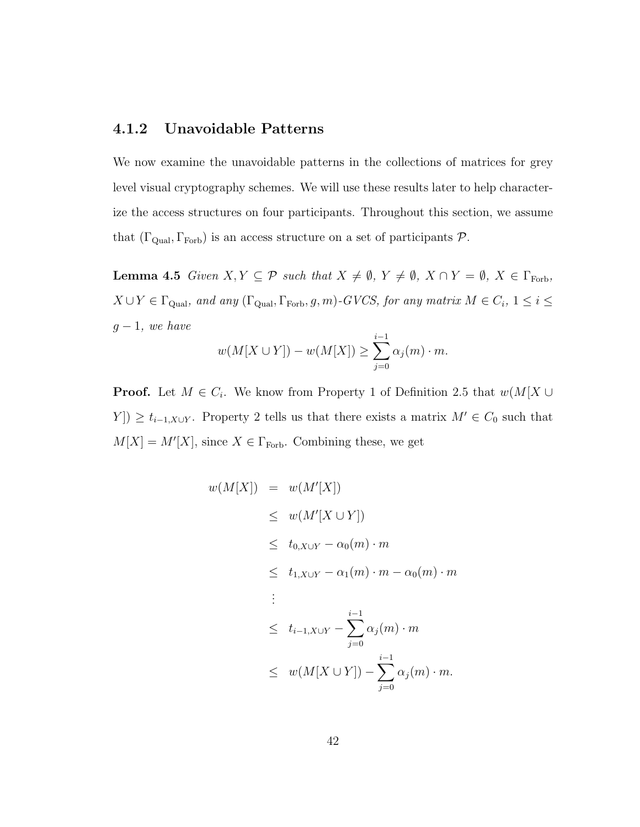### **4.1.2 Unavoidable Patterns**

We now examine the unavoidable patterns in the collections of matrices for grey level visual cryptography schemes. We will use these results later to help characterize the access structures on four participants. Throughout this section, we assume that  $(\Gamma_{\text{Qual}}, \Gamma_{\text{Forb}})$  is an access structure on a set of participants  $P$ .

**Lemma 4.5** Given  $X, Y \subseteq \mathcal{P}$  such that  $X \neq \emptyset$ ,  $Y \neq \emptyset$ ,  $X \cap Y = \emptyset$ ,  $X \in \Gamma$ <sub>Forb</sub>,  $X \cup Y \in \Gamma_{\text{Qual}}, \text{ and any } (\Gamma_{\text{Qual}}, \Gamma_{\text{Forb}}, g, m)$ -GVCS, for any matrix  $M \in C_i$ ,  $1 \leq i \leq$  $g-1$ , we have

$$
w(M[X \cup Y]) - w(M[X]) \ge \sum_{j=0}^{i-1} \alpha_j(m) \cdot m.
$$

**Proof.** Let  $M \in C_i$ . We know from Property 1 of Definition 2.5 that  $w(M[X \cup$  $Y$   $\geq t_{i-1,X\cup Y}$ . Property 2 tells us that there exists a matrix  $M' \in C_0$  such that  $M[X] = M'[X]$ , since  $X \in \Gamma_{\text{Forb}}$ . Combining these, we get

$$
w(M[X]) = w(M'[X])
$$
  
\n
$$
\leq w(M'[X \cup Y])
$$
  
\n
$$
\leq t_{0,X\cup Y} - \alpha_0(m) \cdot m
$$
  
\n
$$
\leq t_{1,X\cup Y} - \alpha_1(m) \cdot m - \alpha_0(m) \cdot m
$$
  
\n
$$
\leq t_{i-1,X\cup Y} - \sum_{j=0}^{i-1} \alpha_j(m) \cdot m
$$
  
\n
$$
\leq w(M[X \cup Y]) - \sum_{j=0}^{i-1} \alpha_j(m) \cdot m.
$$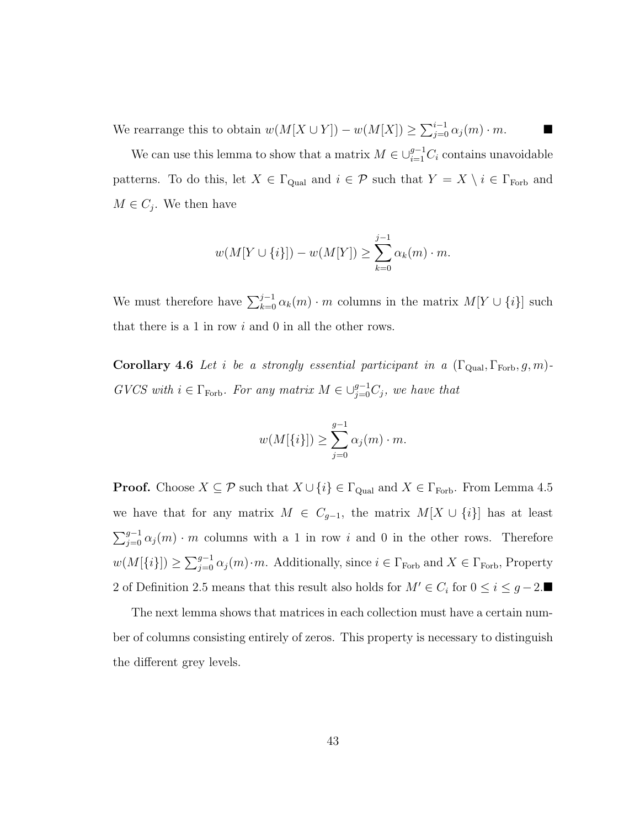We rearrange this to obtain  $w(M[X \cup Y]) - w(M[X]) \ge \sum_{j=0}^{i-1} \alpha_j(m) \cdot m$ .

We can use this lemma to show that a matrix  $M \in \bigcup_{i=1}^{g-1} C_i$  contains unavoidable patterns. To do this, let  $X \in \Gamma_{\text{Qual}}$  and  $i \in \mathcal{P}$  such that  $Y = X \setminus i \in \Gamma_{\text{Forb}}$  and  $M \in C_j$ . We then have

$$
w(M[Y \cup \{i\}]) - w(M[Y]) \ge \sum_{k=0}^{j-1} \alpha_k(m) \cdot m.
$$

We must therefore have  $\sum_{k=0}^{j-1} \alpha_k(m) \cdot m$  columns in the matrix  $M[Y \cup \{i\}]$  such that there is a 1 in row  $i$  and 0 in all the other rows.

**Corollary 4.6** Let i be a strongly essential participant in a  $(\Gamma_{\text{Qual}}, \Gamma_{\text{Forb}}, g, m)$ -GVCS with  $i \in \Gamma_{\text{Forb}}$ . For any matrix  $M \in \bigcup_{j=0}^{g-1} C_j$ , we have that

$$
w(M[\lbrace i \rbrace]) \geq \sum_{j=0}^{g-1} \alpha_j(m) \cdot m.
$$

**Proof.** Choose  $X \subseteq \mathcal{P}$  such that  $X \cup \{i\} \in \Gamma_{\text{Qual}}$  and  $X \in \Gamma_{\text{Forb}}$ . From Lemma 4.5 we have that for any matrix  $M \in C_{g-1}$ , the matrix  $M[X \cup \{i\}]$  has at least  $\sum_{j=0}^{g-1} \alpha_j(m) \cdot m$  columns with a 1 in row i and 0 in the other rows. Therefore  $w(M[\{i\}]) \geq \sum_{j=0}^{g-1} \alpha_j(m) \cdot m$ . Additionally, since  $i \in \Gamma_{\text{Forb}}$  and  $X \in \Gamma_{\text{Forb}}$ , Property 2 of Definition 2.5 means that this result also holds for  $M' \in C_i$  for  $0 \le i \le g-2$ .

The next lemma shows that matrices in each collection must have a certain number of columns consisting entirely of zeros. This property is necessary to distinguish the different grey levels.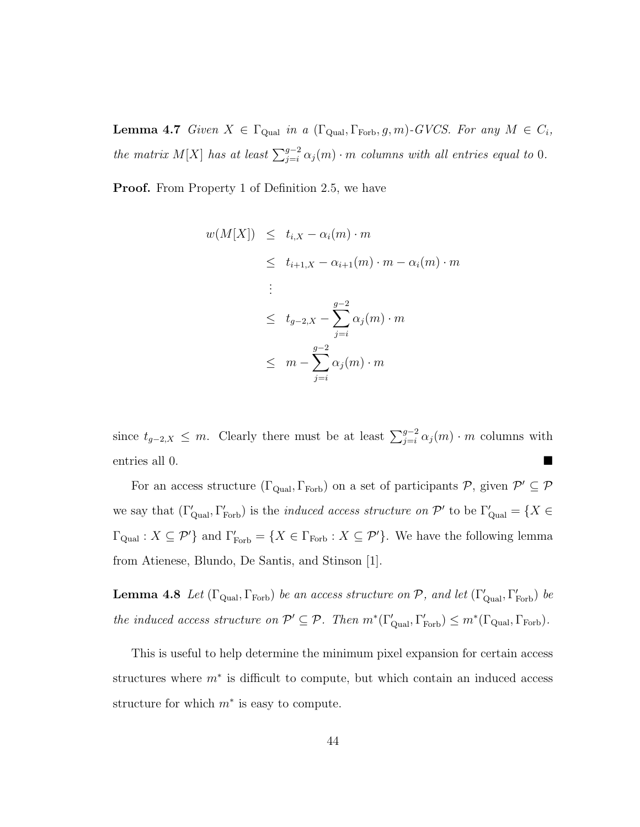**Lemma 4.7** Given  $X \in \Gamma_{\text{Qual}}$  in a  $(\Gamma_{\text{Qual}}, \Gamma_{\text{Forb}}, g, m)$ -GVCS. For any  $M \in C_i$ , the matrix M[X] has at least  $\sum_{j=i}^{g-2} \alpha_j(m) \cdot m$  columns with all entries equal to 0.

**Proof.** From Property 1 of Definition 2.5, we have

$$
w(M[X]) \leq t_{i,X} - \alpha_i(m) \cdot m
$$
  
\n
$$
\leq t_{i+1,X} - \alpha_{i+1}(m) \cdot m - \alpha_i(m) \cdot m
$$
  
\n:  
\n
$$
\leq t_{g-2,X} - \sum_{j=i}^{g-2} \alpha_j(m) \cdot m
$$
  
\n
$$
\leq m - \sum_{j=i}^{g-2} \alpha_j(m) \cdot m
$$

since  $t_{g-2,X} \leq m$ . Clearly there must be at least  $\sum_{j=i}^{g-2} \alpha_j(m) \cdot m$  columns with entries all 0.

For an access structure  $(\Gamma_{\text{Qual}}, \Gamma_{\text{Forb}})$  on a set of participants  $P$ , given  $P' \subseteq P$ we say that  $(\Gamma'_{\text{Qual}}, \Gamma'_{\text{Forb}})$  is the *induced access structure on*  $\mathcal{P}'$  to be  $\Gamma'_{\text{qual}} = \{X \in$  $\Gamma_{\text{Qual}} : X \subseteq \mathcal{P}'$  and  $\Gamma'_{\text{Forb}} = \{X \in \Gamma_{\text{Forb}} : X \subseteq \mathcal{P}'\}$ . We have the following lemma from Atienese, Blundo, De Santis, and Stinson [1].

**Lemma 4.8** Let  $(\Gamma_{\text{Qual}}, \Gamma_{\text{Forb}})$  be an access structure on  $P$ , and let  $(\Gamma'_{\text{qual}}, \Gamma'_{\text{Forb}})$  be the induced access structure on  $\mathcal{P}' \subseteq \mathcal{P}$ . Then  $m^*(\Gamma_{\text{Qual}}, \Gamma_{\text{Forb}}) \leq m^*(\Gamma_{\text{Qual}}, \Gamma_{\text{Forb}})$ .

This is useful to help determine the minimum pixel expansion for certain access structures where  $m^*$  is difficult to compute, but which contain an induced access structure for which  $m^*$  is easy to compute.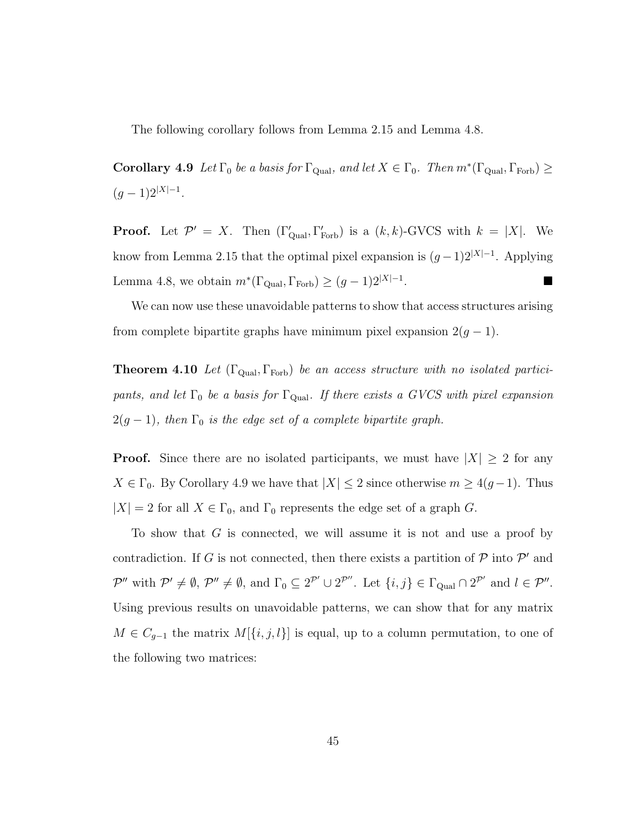The following corollary follows from Lemma 2.15 and Lemma 4.8.

**Corollary 4.9** Let  $\Gamma_0$  be a basis for  $\Gamma_{\text{Qual}}$ , and let  $X \in \Gamma_0$ . Then  $m^*(\Gamma_{\text{Qual}}, \Gamma_{\text{Forb}}) \ge$  $(g-1)2^{|X|-1}.$ 

**Proof.** Let  $\mathcal{P}' = X$ . Then  $(\Gamma'_{\text{Qual}}, \Gamma'_{\text{Forb}})$  is a  $(k, k)$ -GVCS with  $k = |X|$ . We know from Lemma 2.15 that the optimal pixel expansion is  $(g-1)2^{|X|-1}$ . Applying Lemma 4.8, we obtain  $m^*(\Gamma_{\text{Qual}}, \Gamma_{\text{Forb}}) \ge (g-1)2^{|X|-1}$ .

We can now use these unavoidable patterns to show that access structures arising from complete bipartite graphs have minimum pixel expansion  $2(g-1)$ .

**Theorem 4.10** Let  $(\Gamma_{\text{Qual}}, \Gamma_{\text{Forb}})$  be an access structure with no isolated participants, and let  $\Gamma_0$  be a basis for  $\Gamma_{\text{Qual}}$ . If there exists a GVCS with pixel expansion  $2(g-1)$ , then  $\Gamma_0$  is the edge set of a complete bipartite graph.

**Proof.** Since there are no isolated participants, we must have  $|X| \geq 2$  for any  $X \in \Gamma_0$ . By Corollary 4.9 we have that  $|X| \leq 2$  since otherwise  $m \geq 4(g-1)$ . Thus  $|X| = 2$  for all  $X \in \Gamma_0$ , and  $\Gamma_0$  represents the edge set of a graph G.

To show that G is connected, we will assume it is not and use a proof by contradiction. If G is not connected, then there exists a partition of  $P$  into  $P'$  and  $\mathcal{P}''$  with  $\mathcal{P}' \neq \emptyset$ ,  $\mathcal{P}'' \neq \emptyset$ , and  $\Gamma_0 \subseteq 2^{\mathcal{P}'} \cup 2^{\mathcal{P}''}$ . Let  $\{i, j\} \in \Gamma_{\text{Qual}} \cap 2^{\mathcal{P}'}$  and  $l \in \mathcal{P}''$ . Using previous results on unavoidable patterns, we can show that for any matrix  $M \in C_{g-1}$  the matrix  $M[\{i, j, l\}]$  is equal, up to a column permutation, to one of the following two matrices: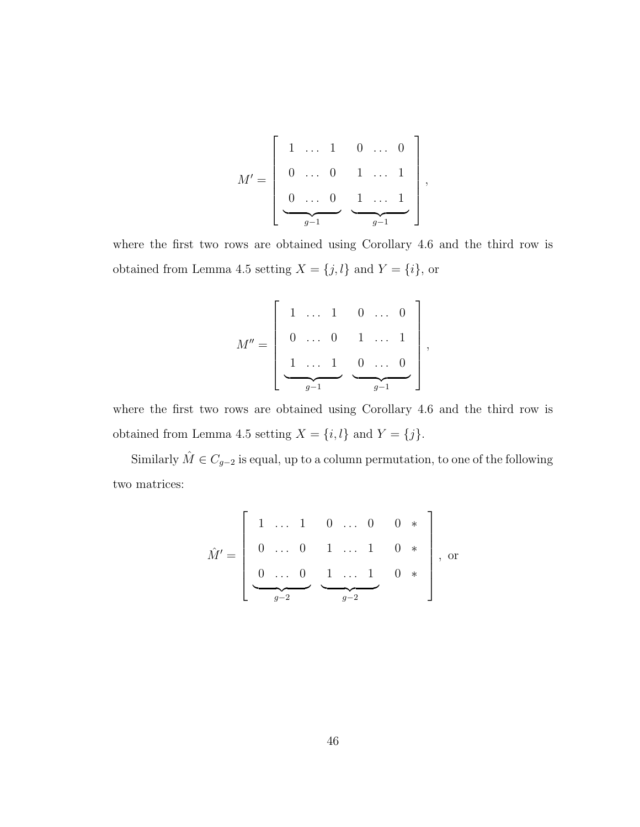$$
M' = \left[ \begin{array}{cccccc} 1 & \ldots & 1 & 0 & \ldots & 0 \\ 0 & \ldots & 0 & 1 & \ldots & 1 \\ 0 & \ldots & 0 & 1 & \ldots & 1 \\ \hline 0 & \ldots & 0 & 1 & \ldots & 1 \\ \hline g-1 & \cdots & g-1 & \end{array} \right],
$$

where the first two rows are obtained using Corollary 4.6 and the third row is obtained from Lemma 4.5 setting  $X = \{j, l\}$  and  $Y = \{i\}$ , or

$$
M'' = \left[ \begin{array}{cccc} 1 & \ldots & 1 & 0 & \ldots & 0 \\ 0 & \ldots & 0 & 1 & \ldots & 1 \\ & & & & & \\ \hline & & & & & \\ \hline & & & & & \\ \hline & & & & & \\ \hline & & & & & \\ \hline & & & & & \\ \hline & & & & & \\ \hline & & & & & \\ \hline & & & & & \\ \hline & & & & & \\ \hline & & & & & \\ \hline & & & & & \\ \hline & & & & & \\ \hline & & & & & \\ \hline & & & & & \\ \hline & & & & & \\ \hline & & & & & \\ \hline & & & & & \\ \hline & & & & & \\ \hline & & & & & \\ \hline & & & & & \\ \hline & & & & & \\ \hline & & & & & \\ \hline & & & & & \\ \hline & & & & & \\ \hline & & & & & \\ \hline & & & & & \\ \hline & & & & & \\ \hline & & & & & \\ \hline & & & & & \\ \hline & & & & & \\ \hline & & & & & \\ \hline & & & & & \\ \hline & & & & & \\ \hline & & & & & \\ \hline & & & & & \\ \hline & & & & & \\ \hline & & & & & \\ \hline & & & & & \\ \hline & & & & & \\ \hline & & & & & \\ \hline & & & & & \\ \hline & & & & & \\ \hline & & & & & \\ \hline & & & & & \\ \hline & & & & & \\ \hline & & & & & \\ \hline & & & & & \\ \hline & & & & & \\ \hline & & & & & \\ \hline & & & & & \\ \hline & & & & & \\ \hline & & & & & \\ \hline & & & & & \\ \hline & & & & & \\ \hline & & & & & & \\ \hline & & & & & & \\ \hline & & & & & & \\ \hline & & & & & & \\ \hline & & & & & & \\ \hline & & & & & & \\ \hline & & & & & & \\ \hline & & & & & & \\ \hline & & & & & & \\ \hline & & & & & & \\ \hline & & & & & & \\ \hline & & & & & & \\ \hline & & & & & & \\ \hline & & & & & & \\ \hline & & & & & & \\ \hline & & & & & & \\ \hline & & & & & & \\ \hline & & & & & & \\ \hline & & & & & & \\ \hline & & & & & & & \\ \hline & & & & & & & \\ \h
$$

where the first two rows are obtained using Corollary 4.6 and the third row is obtained from Lemma 4.5 setting  $X = \{i, l\}$  and  $Y = \{j\}$ .

Similarly  $\hat{M} \in C_{g-2}$  is equal, up to a column permutation, to one of the following two matrices:

$$
\hat{M}' = \begin{bmatrix} 1 & \dots & 1 & 0 & \dots & 0 & 0 & * \\ 0 & \dots & 0 & 1 & \dots & 1 & 0 & * \\ 0 & \dots & 0 & 1 & \dots & 1 & 0 & * \\ \hline 0 & 0 & \dots & 0 & \frac{1}{g-2} & 0 & * \end{bmatrix}, \text{ or}
$$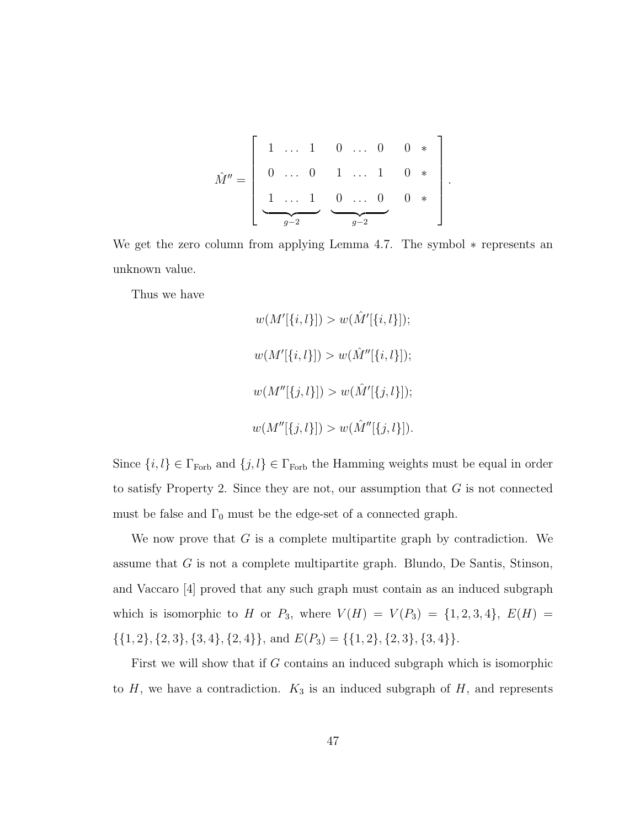Mˆ = 1 ... 1 0 ... 0 1 ... 1 <sup>g</sup>−<sup>2</sup> 0 ... 0 1 ... 1 0 ... 0 <sup>g</sup>−<sup>2</sup> 0 ∗ 0 ∗ 0 ∗ .

We get the zero column from applying Lemma 4.7. The symbol ∗ represents an unknown value.

Thus we have

$$
w(M'[\{i, l\}]) > w(\hat{M}'[\{i, l\}]);
$$
  

$$
w(M'[\{i, l\}]) > w(\hat{M}''[\{i, l\}]);
$$
  

$$
w(M''[\{j, l\}]) > w(\hat{M}'[\{j, l\}]);
$$
  

$$
w(M''[\{j, l\}]) > w(\hat{M}''[\{j, l\}]).
$$

Since  $\{i, l\} \in \Gamma_{\text{Forb}}$  and  $\{j, l\} \in \Gamma_{\text{Forb}}$  the Hamming weights must be equal in order to satisfy Property 2. Since they are not, our assumption that  $G$  is not connected must be false and  $\Gamma_0$  must be the edge-set of a connected graph.

We now prove that  $G$  is a complete multipartite graph by contradiction. We assume that G is not a complete multipartite graph. Blundo, De Santis, Stinson, and Vaccaro [4] proved that any such graph must contain as an induced subgraph which is isomorphic to H or  $P_3$ , where  $V(H) = V(P_3) = \{1, 2, 3, 4\}$ ,  $E(H) =$  $\{\{1, 2\}, \{2, 3\}, \{3, 4\}, \{2, 4\}\}\$ , and  $E(P_3) = \{\{1, 2\}, \{2, 3\}, \{3, 4\}\}\$ .

First we will show that if G contains an induced subgraph which is isomorphic to  $H$ , we have a contradiction.  $K_3$  is an induced subgraph of  $H$ , and represents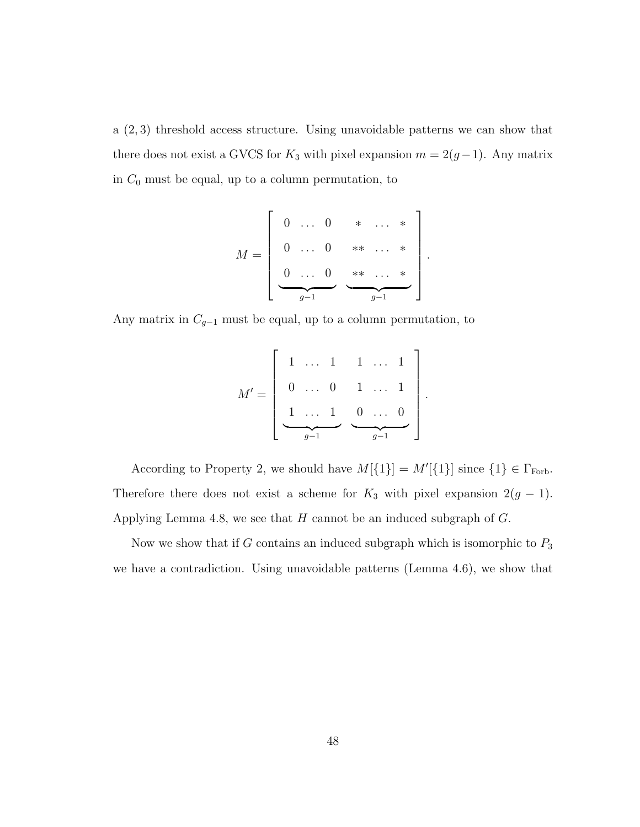a (2, 3) threshold access structure. Using unavoidable patterns we can show that there does not exist a GVCS for  $K_3$  with pixel expansion  $m = 2(g-1)$ . Any matrix in  $C_0$  must be equal, up to a column permutation, to

$$
M = \left[ \begin{array}{cccc} 0 & \dots & 0 & * & \dots & * \\ 0 & \dots & 0 & * * & \dots & * \\ 0 & \dots & 0 & * * & \dots & * \\ \hline 0 & \dots & 0 & * * & \dots & * \\ \hline 0 & \dots & 0 & * & \dots & * \\ \hline \end{array} \right]
$$

.

.

Any matrix in  $C_{g-1}$  must be equal, up to a column permutation, to

$$
M' = \left[ \begin{array}{cccc} 1 & \dots & 1 & 1 & \dots & 1 \\ 0 & \dots & 0 & 1 & \dots & 1 \\ \frac{1}{g-1} & \frac{0}{g-1} & \dots & 0 \\ 0 & \dots & 0 & 0 \\ \hline \end{array} \right]
$$

According to Property 2, we should have  $M[\{1\}] = M'[\{1\}]$  since  $\{1\} \in \Gamma_{\text{Forb}}$ . Therefore there does not exist a scheme for  $K_3$  with pixel expansion  $2(g - 1)$ . Applying Lemma 4.8, we see that  $H$  cannot be an induced subgraph of  $G$ .

Now we show that if G contains an induced subgraph which is isomorphic to  $P_3$ we have a contradiction. Using unavoidable patterns (Lemma 4.6), we show that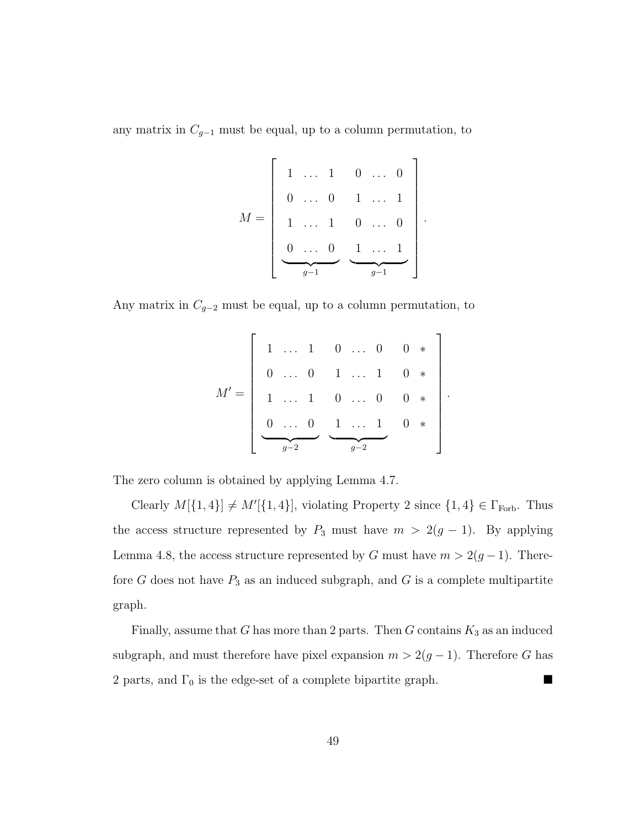any matrix in  $C_{g-1}$  must be equal, up to a column permutation, to

$$
M = \left[ \begin{array}{cccc} 1 & \ldots & 1 & 0 & \ldots & 0 \\ 0 & \ldots & 0 & 1 & \ldots & 1 \\ 1 & \ldots & 1 & 0 & \ldots & 0 \\ 0 & \ldots & 0 & 1 & \ldots & 1 \\ \hline & & & & & g-1 \end{array} \right]
$$

.

.

Any matrix in  $C_{g-2}$  must be equal, up to a column permutation, to

M = 1 ... 1 0 ... 0 1 ... 1 0 ... 0 <sup>g</sup>−<sup>2</sup> 0 ... 0 1 ... 1 0 ... 0 1 ... 1 <sup>g</sup>−<sup>2</sup> 0 ∗ 0 ∗ 0 ∗ 0 ∗ 

The zero column is obtained by applying Lemma 4.7.

Clearly  $M[\{1,4\}] \neq M'[\{1,4\}]$ , violating Property 2 since  $\{1,4\} \in \Gamma_{\text{Forb}}$ . Thus the access structure represented by  $P_3$  must have  $m > 2(g - 1)$ . By applying Lemma 4.8, the access structure represented by G must have  $m > 2(g-1)$ . Therefore  $G$  does not have  $P_3$  as an induced subgraph, and  $G$  is a complete multipartite graph.

Finally, assume that G has more than 2 parts. Then G contains  $K_3$  as an induced subgraph, and must therefore have pixel expansion  $m > 2(g - 1)$ . Therefore G has 2 parts, and  $\Gamma_0$  is the edge-set of a complete bipartite graph.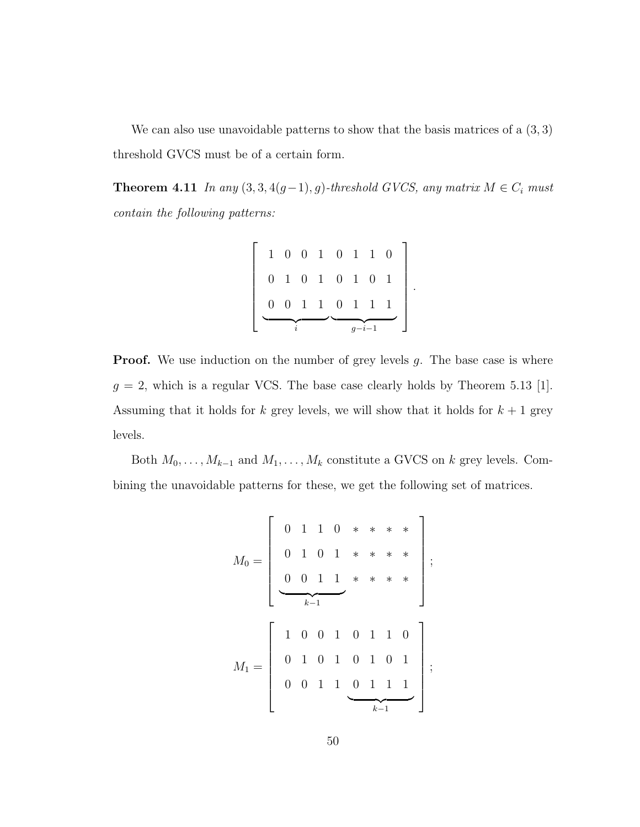We can also use unavoidable patterns to show that the basis matrices of a  $(3,3)$ threshold GVCS must be of a certain form.

**Theorem 4.11** In any  $(3, 3, 4(g-1), g)$ -threshold GVCS, any matrix  $M \in C_i$  must contain the following patterns:

$$
\left[\begin{array}{cccccc}1 & 0 & 0 & 1 & 0 & 1 & 1 & 0 \\0 & 1 & 0 & 1 & 0 & 1 & 0 & 1 \\0 & 0 & 1 & 1 & 0 & 1 & 1 & 1 \\0 & 0 & 0 & 1 & 0 & 0 & 0 & 1\end{array}\right]
$$

.

**Proof.** We use induction on the number of grey levels g. The base case is where  $g = 2$ , which is a regular VCS. The base case clearly holds by Theorem 5.13 [1]. Assuming that it holds for k grey levels, we will show that it holds for  $k + 1$  grey levels.

Both  $M_0, \ldots, M_{k-1}$  and  $M_1, \ldots, M_k$  constitute a GVCS on k grey levels. Combining the unavoidable patterns for these, we get the following set of matrices.

M<sup>0</sup> = 0110 0101 0011 <sup>k</sup>−<sup>1</sup> ∗∗∗∗ ∗∗∗∗ ∗∗∗∗ ; M<sup>1</sup> = 1001 0101 0011 0110 0101 0111 <sup>k</sup>−<sup>1</sup> ;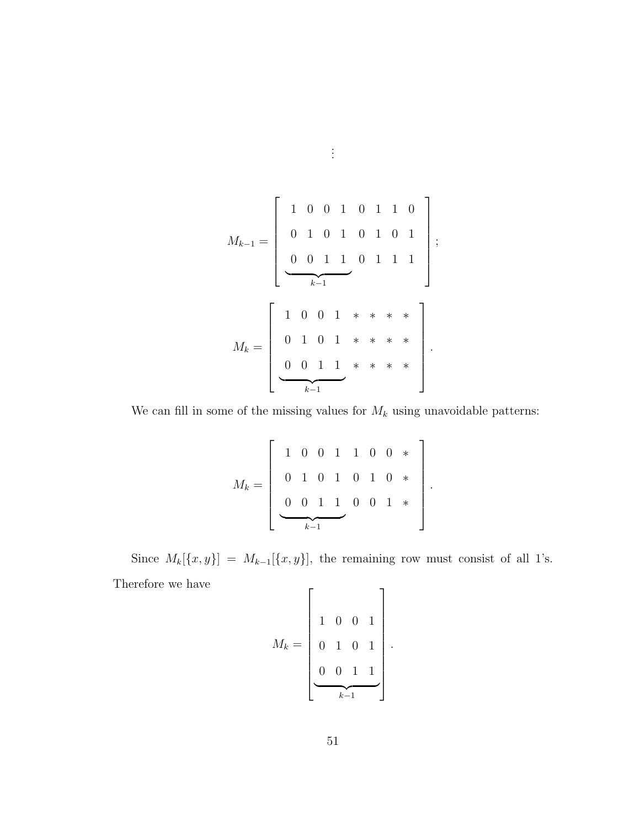M<sup>k</sup>−<sup>1</sup> = 1001 0101 0011 <sup>k</sup>−<sup>1</sup> 0110 0101 0111 ; M<sup>k</sup> = 1001 0101 0011 <sup>k</sup>−<sup>1</sup> ∗∗∗∗ ∗∗∗∗ ∗∗∗∗ .

We can fill in some of the missing values for  $\mathcal{M}_k$  using unavoidable patterns:

M<sup>k</sup> = 1001 0101 0011 <sup>k</sup>−<sup>1</sup> 100 ∗ 010 ∗ 001 ∗ 

.

Since  $M_k[\{x, y\}] = M_{k-1}[\{x, y\}],$  the remaining row must consist of all 1's. Therefore we have  $\Gamma$  $\overline{1}$ 

$$
M_k = \begin{bmatrix} 1 & 0 & 0 & 1 \\ 0 & 1 & 0 & 1 \\ 0 & 0 & 1 & 1 \\ \hline k-1 & 0 & 1 \end{bmatrix}.
$$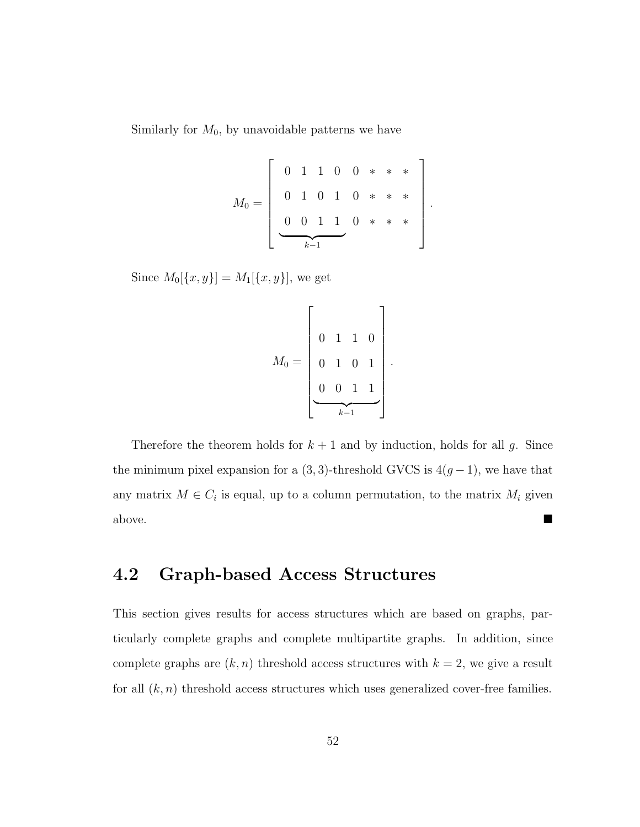Similarly for  $M_0$ , by unavoidable patterns we have

|         |  |  |  |  | $0 \t1 \t1 \t0 \t0 \t\t* * *$    |  |        |  |
|---------|--|--|--|--|----------------------------------|--|--------|--|
| $M_0 =$ |  |  |  |  |                                  |  | $\ast$ |  |
|         |  |  |  |  | $0$ 1 0 1 0 * *<br>0 0 1 1 0 * * |  |        |  |
|         |  |  |  |  |                                  |  |        |  |

Since  $M_0[{x, y}] = M_1[{x, y}]$ , we get

$$
M_0 = \left[\begin{array}{ccccc} & & & \\ 0 & 1 & 1 & 0 \\ & 0 & 1 & 0 & 1 \\ & & & \\ 0 & 0 & 1 & 1 \\ & & & & \\ \hline & & & & \\ & & & & \\ \hline & & & & \\ & & & & \\ \hline & & & & \\ \hline & & & & \\ \hline & & & & \\ \hline & & & & \\ \hline & & & & \\ \hline & & & & \\ \hline & & & & \\ \hline & & & & \\ \hline & & & & \\ \hline & & & & \\ \hline & & & & \\ \hline & & & & \\ \hline & & & & \\ \hline & & & & \\ \hline & & & & \\ \hline & & & & \\ \hline & & & & \\ \hline & & & & \\ \hline & & & & \\ \hline & & & & \\ \hline & & & & \\ \hline & & & & \\ \hline & & & & \\ \hline & & & & \\ \hline & & & & \\ \hline & & & & \\ \hline & & & & & \\ \hline & & & & & \\ \hline & & & & & \\ \hline & & & & & \\ \hline & & & & & \\ \hline & & & & & \\ \hline & & & & & \\ \hline & & & & & \\ \hline & & & & & \\ \hline & & & & & \\ \hline & & & & & \\ \hline & & & & & \\ \hline & & & & & \\ \hline & & & & & \\ \hline & & & & & \\ \hline & & & & & \\ \hline & & & & & \\ \hline & & & & & \\ \hline & & & & & \\ \hline & & & & & \\ \hline & & & & & \\ \hline & & & & & \\ \hline & & & & & \\ \hline & & & & & \\ \hline & & & & & \\ \hline & & & & & \\ \hline & & & & & \\ \hline & & & & & \\ \hline & & & & & \\ \hline & & & & & \\ \hline & & & & & & \\ \hline & & & & & & \\ \hline & & & & & & \\ \hline & & & & & & \\ \hline & & & & & & \\ \hline & & & & & & \\ \hline & & & & & & \\ \hline & & & & & & \\ \hline & & & & & & \\ \hline & & & & & & \\ \hline & & & & & & \\ \hline & & & & & & \\ \hline & & & & & & \\ \hline & & & & & & \\ \hline & & & & & & \\ \hline & & & & & & \\ \hline & & & & & & \\ \hline & & & & & & \\ \hline & & & & & & \\ \
$$

Therefore the theorem holds for  $k + 1$  and by induction, holds for all g. Since the minimum pixel expansion for a  $(3, 3)$ -threshold GVCS is  $4(g-1)$ , we have that any matrix  $M \in C_i$  is equal, up to a column permutation, to the matrix  $M_i$  given above.

## **4.2 Graph-based Access Structures**

This section gives results for access structures which are based on graphs, particularly complete graphs and complete multipartite graphs. In addition, since complete graphs are  $(k, n)$  threshold access structures with  $k = 2$ , we give a result for all  $(k, n)$  threshold access structures which uses generalized cover-free families.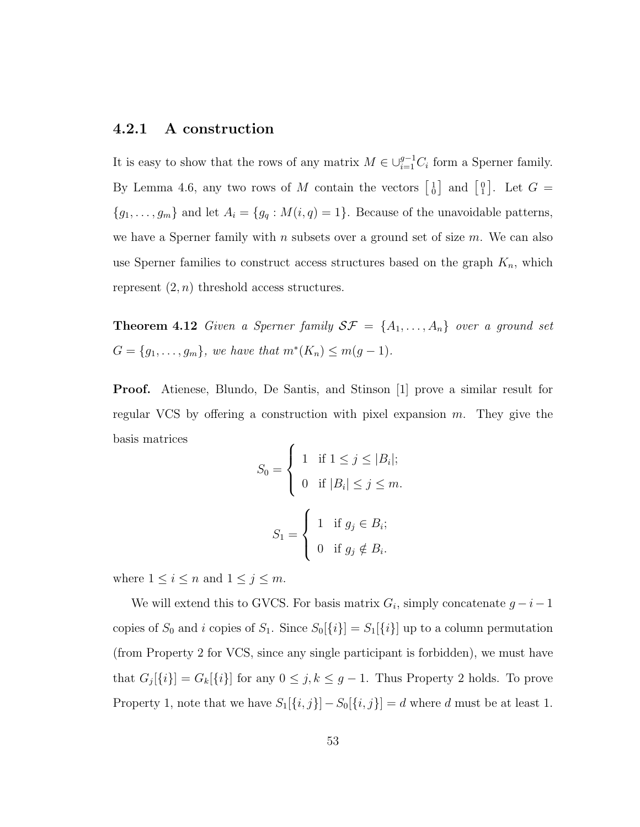### **4.2.1 A construction**

It is easy to show that the rows of any matrix  $M \in \bigcup_{i=1}^{g-1} C_i$  form a Sperner family. By Lemma 4.6, any two rows of M contain the vectors  $\begin{bmatrix} 1 \ 0 \end{bmatrix}$  and  $\begin{bmatrix} 0 \ 1 \end{bmatrix}$ . Let  $G =$  ${g_1,\ldots,g_m}$  and let  $A_i = {g_q : M(i,q) = 1}$ . Because of the unavoidable patterns, we have a Sperner family with  $n$  subsets over a ground set of size  $m$ . We can also use Sperner families to construct access structures based on the graph  $K_n$ , which represent  $(2, n)$  threshold access structures.

**Theorem 4.12** Given a Sperner family  $S\mathcal{F} = \{A_1, \ldots, A_n\}$  over a ground set  $G = \{g_1, ..., g_m\}$ , we have that  $m^*(K_n) \le m(g - 1)$ .

**Proof.** Atienese, Blundo, De Santis, and Stinson [1] prove a similar result for regular VCS by offering a construction with pixel expansion  $m$ . They give the basis matrices

$$
S_0 = \begin{cases} 1 & \text{if } 1 \leq j \leq |B_i|; \\ 0 & \text{if } |B_i| \leq j \leq m. \end{cases}
$$

$$
S_1 = \begin{cases} 1 & \text{if } g_j \in B_i; \\ 0 & \text{if } g_j \notin B_i. \end{cases}
$$

where  $1 \leq i \leq n$  and  $1 \leq j \leq m$ .

We will extend this to GVCS. For basis matrix  $G_i$ , simply concatenate  $g - i - 1$ copies of  $S_0$  and i copies of  $S_1$ . Since  $S_0[\{i\}] = S_1[\{i\}]$  up to a column permutation (from Property 2 for VCS, since any single participant is forbidden), we must have that  $G_j[\{i\}] = G_k[\{i\}]$  for any  $0 \leq j, k \leq g-1$ . Thus Property 2 holds. To prove Property 1, note that we have  $S_1[\{i, j\}] - S_0[\{i, j\}] = d$  where d must be at least 1.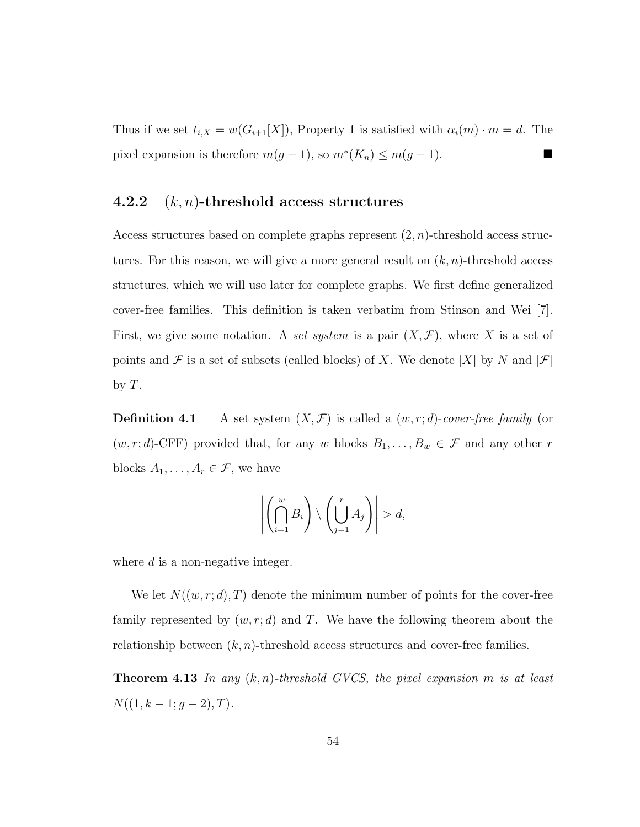Thus if we set  $t_{i,X} = w(G_{i+1}[X])$ , Property 1 is satisfied with  $\alpha_i(m) \cdot m = d$ . The pixel expansion is therefore  $m(g - 1)$ , so  $m^*(K_n) \le m(g - 1)$ .

#### **4.2.2** (k, n)**-threshold access structures**

Access structures based on complete graphs represent  $(2, n)$ -threshold access structures. For this reason, we will give a more general result on  $(k, n)$ -threshold access structures, which we will use later for complete graphs. We first define generalized cover-free families. This definition is taken verbatim from Stinson and Wei [7]. First, we give some notation. A set system is a pair  $(X, \mathcal{F})$ , where X is a set of points and  $\mathcal F$  is a set of subsets (called blocks) of X. We denote |X| by N and  $|\mathcal F|$ by  $T$ .

**Definition 4.1** A set system  $(X, \mathcal{F})$  is called a  $(w, r; d)$ -cover-free family (or  $(w, r; d)$ -CFF) provided that, for any w blocks  $B_1, \ldots, B_w \in \mathcal{F}$  and any other r blocks  $A_1, \ldots, A_r \in \mathcal{F}$ , we have

$$
\left| \left( \bigcap_{i=1}^w B_i \right) \setminus \left( \bigcup_{j=1}^r A_j \right) \right| > d,
$$

where  $d$  is a non-negative integer.

We let  $N((w, r; d), T)$  denote the minimum number of points for the cover-free family represented by  $(w, r; d)$  and T. We have the following theorem about the relationship between  $(k, n)$ -threshold access structures and cover-free families.

**Theorem 4.13** In any  $(k, n)$ -threshold GVCS, the pixel expansion m is at least  $N((1, k - 1; g - 2), T).$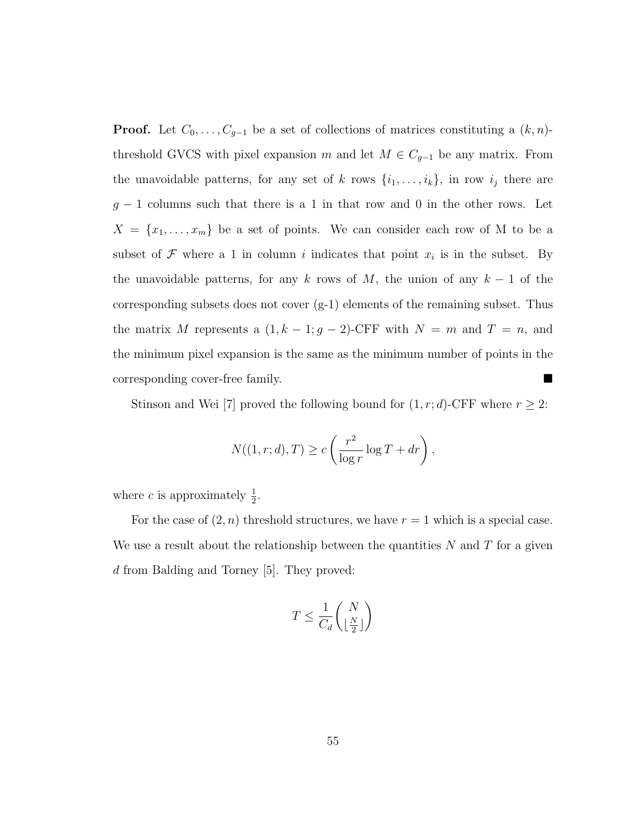**Proof.** Let  $C_0, \ldots, C_{g-1}$  be a set of collections of matrices constituting a  $(k, n)$ threshold GVCS with pixel expansion m and let  $M \in C_{g-1}$  be any matrix. From the unavoidable patterns, for any set of k rows  $\{i_1,\ldots,i_k\}$ , in row  $i_j$  there are  $g - 1$  columns such that there is a 1 in that row and 0 in the other rows. Let  $X = \{x_1, \ldots, x_m\}$  be a set of points. We can consider each row of M to be a subset of  $\mathcal F$  where a 1 in column i indicates that point  $x_i$  is in the subset. By the unavoidable patterns, for any k rows of M, the union of any  $k-1$  of the corresponding subsets does not cover (g-1) elements of the remaining subset. Thus the matrix M represents a  $(1, k - 1; g - 2)$ -CFF with  $N = m$  and  $T = n$ , and the minimum pixel expansion is the same as the minimum number of points in the corresponding cover-free family.

Stinson and Wei [7] proved the following bound for  $(1, r; d)$ -CFF where  $r \geq 2$ :

$$
N((1, r; d), T) \ge c \left(\frac{r^2}{\log r} \log T + dr\right),\,
$$

where *c* is approximately  $\frac{1}{2}$ .

For the case of  $(2, n)$  threshold structures, we have  $r = 1$  which is a special case. We use a result about the relationship between the quantities  $N$  and  $T$  for a given d from Balding and Torney [5]. They proved:

$$
T \le \frac{1}{C_d} \binom{N}{\lfloor \frac{N}{2} \rfloor}
$$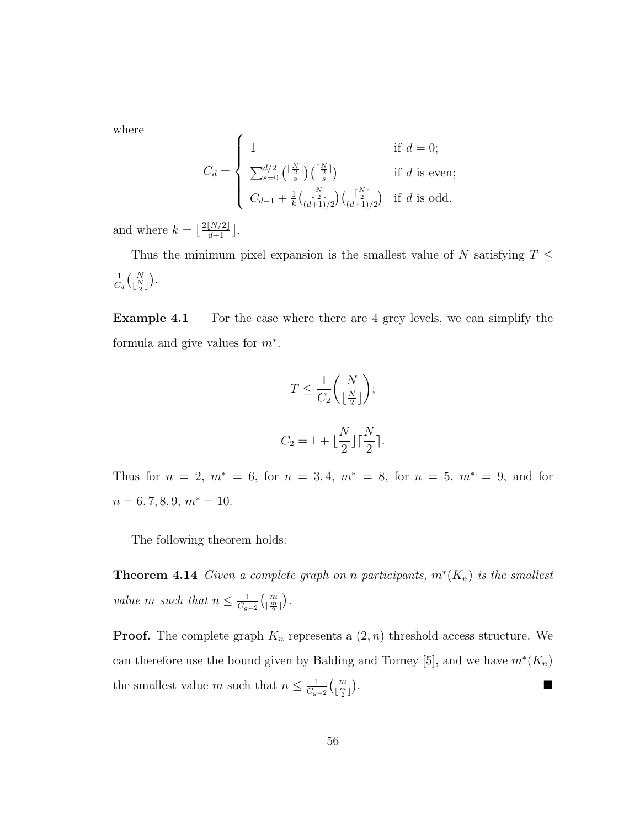where

$$
C_d = \begin{cases} 1 & \text{if } d = 0; \\ \sum_{s=0}^{d/2} {\lfloor \frac{N}{2} \rfloor \choose s} {\lceil \frac{N}{2} \rceil} & \text{if } d \text{ is even}; \\ C_{d-1} + \frac{1}{k} {\lceil \frac{N}{2} \rceil \choose (d+1)/2} {\lceil \frac{N}{2} \rceil \choose (d+1)/2} & \text{if } d \text{ is odd}. \end{cases}
$$

and where  $k = \lfloor \frac{2\lfloor N/2 \rfloor}{d+1} \rfloor$ .

Thus the minimum pixel expansion is the smallest value of N satisfying  $T \leq$ 1  $\frac{1}{C_d} {N \choose \lfloor \frac{N}{2} \rfloor}.$ 

**Example 4.1** For the case where there are 4 grey levels, we can simplify the formula and give values for  $m^*$ .

$$
T \le \frac{1}{C_2} {N \choose \lfloor \frac{N}{2} \rfloor};
$$
  

$$
C_2 = 1 + \lfloor \frac{N}{2} \rfloor \lceil \frac{N}{2} \rceil.
$$

Thus for  $n = 2$ ,  $m^* = 6$ , for  $n = 3, 4$ ,  $m^* = 8$ , for  $n = 5$ ,  $m^* = 9$ , and for  $n = 6, 7, 8, 9, m^* = 10.$ 

The following theorem holds:

**Theorem 4.14** Given a complete graph on n participants,  $m^*(K_n)$  is the smallest value m such that  $n \leq \frac{1}{C_{g-2}} {m \choose \lfloor \frac{m}{2} \rfloor}.$ 

**Proof.** The complete graph  $K_n$  represents a  $(2, n)$  threshold access structure. We can therefore use the bound given by Balding and Torney [5], and we have  $m^*(K_n)$ the smallest value m such that  $n \leq \frac{1}{C_{g-2}} {m \choose \frac{m}{2}}$ .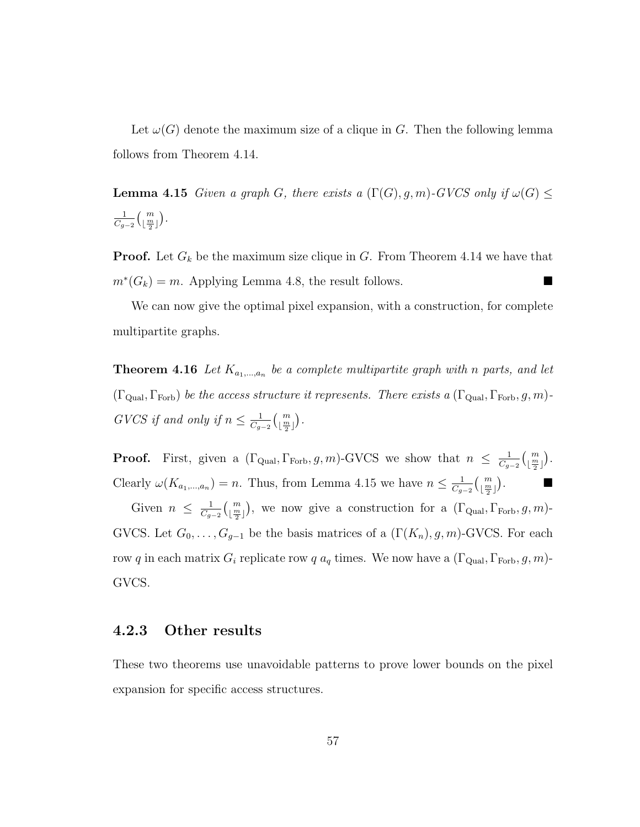Let  $\omega(G)$  denote the maximum size of a clique in G. Then the following lemma follows from Theorem 4.14.

**Lemma 4.15** Given a graph G, there exists a  $(\Gamma(G), g, m)$ -GVCS only if  $\omega(G) \leq$ 1  $\frac{1}{C_{g-2}} {m \choose \lfloor \frac{m}{2} \rfloor}.$ 

**Proof.** Let  $G_k$  be the maximum size clique in G. From Theorem 4.14 we have that  $m^*(G_k) = m$ . Applying Lemma 4.8, the result follows.

We can now give the optimal pixel expansion, with a construction, for complete multipartite graphs.

**Theorem 4.16** Let  $K_{a_1,\dots,a_n}$  be a complete multipartite graph with n parts, and let  $(\Gamma_{\text{Qual}}, \Gamma_{\text{Forb}})$  be the access structure it represents. There exists a  $(\Gamma_{\text{Qual}}, \Gamma_{\text{Forb}}, g, m)$ -GVCS if and only if  $n \leq \frac{1}{C_{g-2}} {m \choose \lfloor \frac{m}{2} \rfloor}.$ 

**Proof.** First, given a  $(\Gamma_{\text{Qual}}, \Gamma_{\text{Forb}}, g, m)$ -GVCS we show that  $n \leq \frac{1}{C_{g-2}} {m \choose \lfloor \frac{m}{2} \rfloor}$ . Clearly  $\omega(K_{a_1,...,a_n}) = n$ . Thus, from Lemma 4.15 we have  $n \leq \frac{1}{C_{g-2}} {m \choose \frac{m}{2}}$ .

Given  $n \leq \frac{1}{C_{g-2}} {m \choose \lfloor \frac{m}{2} \rfloor}$ , we now give a construction for a  $(\Gamma_{\text{Qual}}, \Gamma_{\text{Forb}}, g, m)$ -GVCS. Let  $G_0, \ldots, G_{g-1}$  be the basis matrices of a  $(\Gamma(K_n), g, m)$ -GVCS. For each row q in each matrix  $G_i$  replicate row q  $a_q$  times. We now have a  $(\Gamma_{\text{Qual}}, \Gamma_{\text{Forb}}, g, m)$ -GVCS.

#### **4.2.3 Other results**

These two theorems use unavoidable patterns to prove lower bounds on the pixel expansion for specific access structures.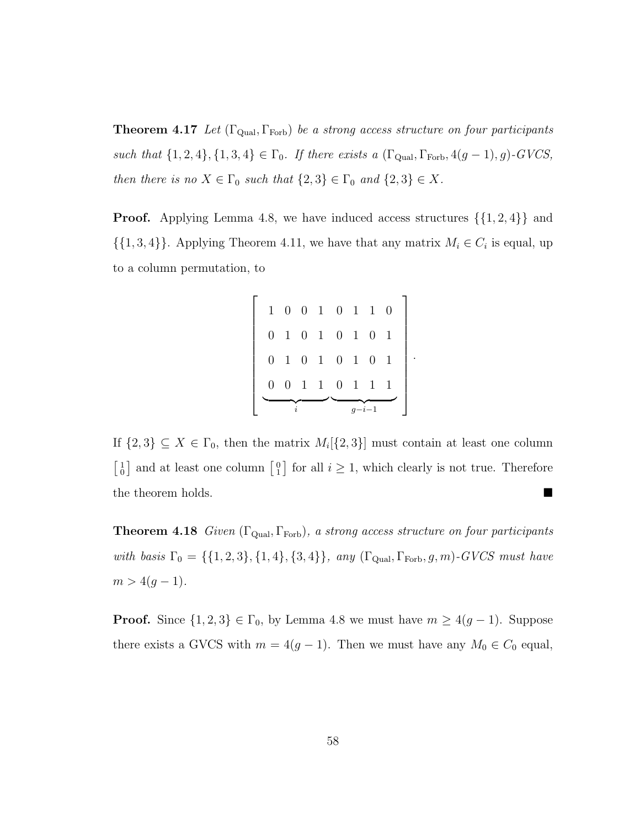**Theorem 4.17** Let  $(\Gamma_{\text{Qual}}, \Gamma_{\text{Forb}})$  be a strong access structure on four participants such that  $\{1, 2, 4\}, \{1, 3, 4\} \in \Gamma_0$ . If there exists a  $(\Gamma_{\text{Qual}}, \Gamma_{\text{Forb}}, 4(g-1), g)$ -GVCS, then there is no  $X \in \Gamma_0$  such that  $\{2,3\} \in \Gamma_0$  and  $\{2,3\} \in X$ .

**Proof.** Applying Lemma 4.8, we have induced access structures  $\{\{1, 2, 4\}\}\$ and  $\{\{1,3,4\}\}\.$  Applying Theorem 4.11, we have that any matrix  $M_i \in C_i$  is equal, up to a column permutation, to

| $\mathbf{1}$   | $\boldsymbol{0}$ | $\boldsymbol{0}$ |              | $1 \quad 0 \quad 1$ |              | $\mathbf{1}$     | $\overline{0}$ |
|----------------|------------------|------------------|--------------|---------------------|--------------|------------------|----------------|
| 0              | $\mathbf{1}$     | $\boldsymbol{0}$ | $\mathbf{1}$ | 0 <sub>1</sub>      |              | 0                |                |
| $\overline{0}$ | $\mathbf{1}$     | $\boldsymbol{0}$ | $\mathbf{1}$ | $\overline{0}$      | $\mathbf{1}$ | $\boldsymbol{0}$ |                |
| 0              | $\theta$         | 1                | $\mathbf{1}$ | $\overline{0}$      | $\mathbf 1$  | 1                |                |
|                |                  |                  |              |                     |              |                  |                |

.

If  $\{2,3\} \subseteq X \in \Gamma_0$ , then the matrix  $M_i[\{2,3\}]$  must contain at least one column  $\begin{bmatrix} 1 \\ 0 \end{bmatrix}$  and at least one column  $\begin{bmatrix} 0 \\ 1 \end{bmatrix}$  for all  $i \geq 1$ , which clearly is not true. Therefore the theorem holds.

**Theorem 4.18** Given  $(\Gamma_{\text{Qual}}, \Gamma_{\text{Forb}})$ , a strong access structure on four participants with basis  $\Gamma_0 = \{\{1, 2, 3\}, \{1, 4\}, \{3, 4\}\}$ , any  $(\Gamma_{\text{Qual}}, \Gamma_{\text{Forb}}, g, m)$ -GVCS must have  $m > 4(g - 1).$ 

**Proof.** Since  $\{1, 2, 3\} \in \Gamma_0$ , by Lemma 4.8 we must have  $m \geq 4(g-1)$ . Suppose there exists a GVCS with  $m = 4(g - 1)$ . Then we must have any  $M_0 \in C_0$  equal,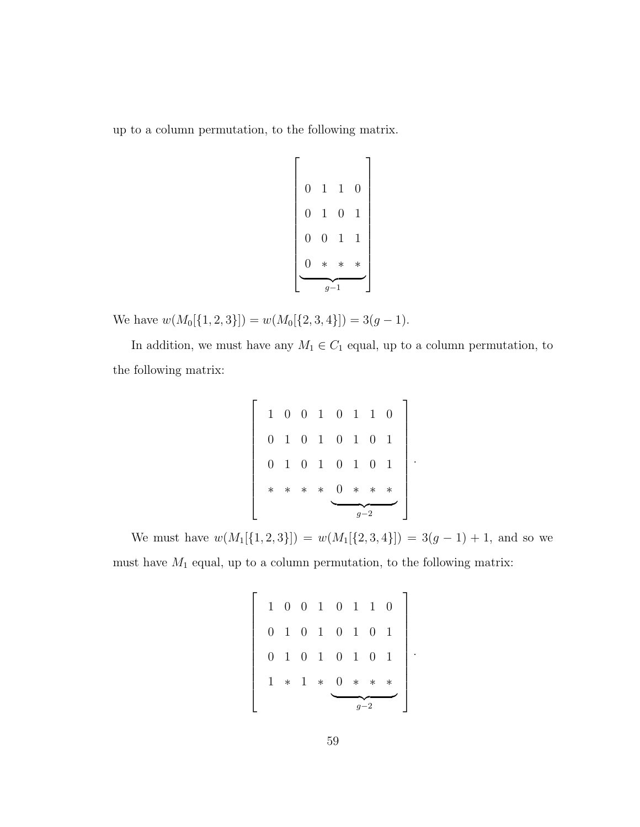up to a column permutation, to the following matrix.

 0110 0101 0011 0 ∗∗∗ <sup>g</sup>−<sup>1</sup> 

We have  $w(M_0[\{1, 2, 3\}]) = w(M_0[\{2, 3, 4\}]) = 3(g - 1).$ 

In addition, we must have any  $M_1 \in C_1$  equal, up to a column permutation, to the following matrix:

 1001 0101 0101 ∗∗∗∗ 0110 0101 0101 0 ∗∗∗ <sup>g</sup>−<sup>2</sup> 

.

.

We must have  $w(M_1[\{1, 2, 3\}]) = w(M_1[\{2, 3, 4\}]) = 3(g - 1) + 1$ , and so we must have  $M_1$  equal, up to a column permutation, to the following matrix:

 1001 0101 0101 1 ∗ 1 ∗ 0110 0101 0101 0 ∗∗∗ <sup>g</sup>−<sup>2</sup>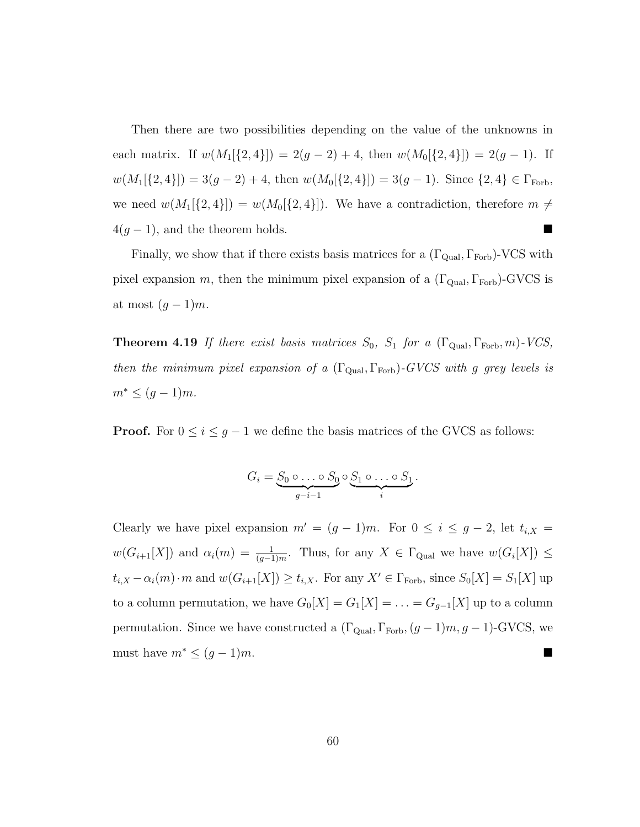Then there are two possibilities depending on the value of the unknowns in each matrix. If  $w(M_1[\{2,4\}]) = 2(g-2) + 4$ , then  $w(M_0[\{2,4\}]) = 2(g-1)$ . If  $w(M_1[\{2,4\}]) = 3(g-2)+4$ , then  $w(M_0[\{2,4\}]) = 3(g-1)$ . Since  $\{2,4\} \in \Gamma_{\text{Forb}}$ , we need  $w(M_1[\{2,4\}]) = w(M_0[\{2,4\}])$ . We have a contradiction, therefore  $m \neq$  $4(g-1)$ , and the theorem holds.

Finally, we show that if there exists basis matrices for a  $(\Gamma_{\text{Qual}}, \Gamma_{\text{Forb}})$ -VCS with pixel expansion m, then the minimum pixel expansion of a  $(\Gamma_{\text{Qual}}, \Gamma_{\text{Forb}})$ -GVCS is at most  $(g-1)m$ .

**Theorem 4.19** If there exist basis matrices  $S_0$ ,  $S_1$  for a  $(\Gamma_{\text{qual}}, \Gamma_{\text{Forb}}, m)$ -VCS, then the minimum pixel expansion of a  $(\Gamma_{\text{Qual}}, \Gamma_{\text{Forb}})$ -GVCS with g grey levels is  $m^* \leq (g-1)m$ .

**Proof.** For  $0 \leq i \leq g - 1$  we define the basis matrices of the GVCS as follows:

$$
G_i = \underbrace{S_0 \circ \ldots \circ S_0}_{g-i-1} \circ \underbrace{S_1 \circ \ldots \circ S_1}_{i}.
$$

Clearly we have pixel expansion  $m' = (g - 1)m$ . For  $0 \le i \le g - 2$ , let  $t_{i,X} =$  $w(G_{i+1}[X])$  and  $\alpha_i(m) = \frac{1}{(g-1)m}$ . Thus, for any  $X \in \Gamma_{\text{qual}}$  we have  $w(G_i[X]) \leq$  $t_{i,X} - \alpha_i(m) \cdot m$  and  $w(G_{i+1}[X]) \ge t_{i,X}$ . For any  $X' \in \Gamma_{\text{Forb}}$ , since  $S_0[X] = S_1[X]$  up to a column permutation, we have  $G_0[X] = G_1[X] = \ldots = G_{g-1}[X]$  up to a column permutation. Since we have constructed a  $(\Gamma_{\text{Qual}}, \Gamma_{\text{Forb}}, (g - 1)m, g - 1)$ -GVCS, we must have  $m^* \leq (g-1)m$ .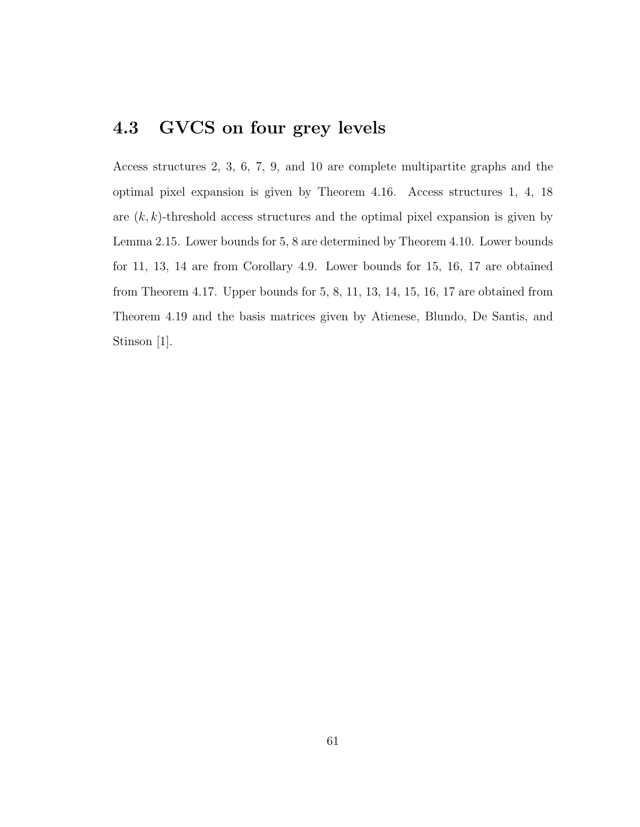## **4.3 GVCS on four grey levels**

Access structures 2, 3, 6, 7, 9, and 10 are complete multipartite graphs and the optimal pixel expansion is given by Theorem 4.16. Access structures 1, 4, 18 are  $(k, k)$ -threshold access structures and the optimal pixel expansion is given by Lemma 2.15. Lower bounds for 5, 8 are determined by Theorem 4.10. Lower bounds for 11, 13, 14 are from Corollary 4.9. Lower bounds for 15, 16, 17 are obtained from Theorem 4.17. Upper bounds for 5, 8, 11, 13, 14, 15, 16, 17 are obtained from Theorem 4.19 and the basis matrices given by Atienese, Blundo, De Santis, and Stinson [1].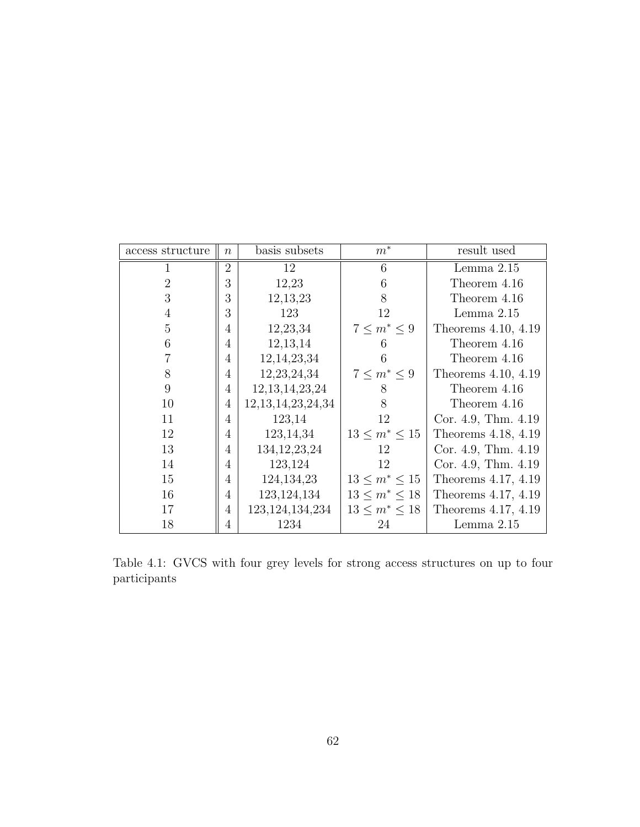| access structure | $\boldsymbol{n}$ | basis subsets          | $m^*$               | result used         |
|------------------|------------------|------------------------|---------------------|---------------------|
|                  | $\overline{2}$   | 12                     | 6                   | Lemma $2.15$        |
| $\overline{2}$   | 3                | 12,23                  | 6                   | Theorem 4.16        |
| 3                | 3                | 12, 13, 23             | 8                   | Theorem 4.16        |
| $\overline{4}$   | 3                | 123                    | 12                  | Lemma $2.15$        |
| 5                | 4                | 12,23,34               | $7 \leq m^* \leq 9$ | Theorems 4.10, 4.19 |
| 6                | 4                | 12, 13, 14             | 6                   | Theorem 4.16        |
|                  | 4                | 12, 14, 23, 34         | 6                   | Theorem 4.16        |
| 8                | 4                | 12, 23, 24, 34         | $7 \leq m^* \leq 9$ | Theorems 4.10, 4.19 |
| 9                | 4                | 12, 13, 14, 23, 24     | 8                   | Theorem 4.16        |
| 10               | 4                | 12, 13, 14, 23, 24, 34 | 8                   | Theorem 4.16        |
| 11               | 4                | 123,14                 | 12                  | Cor. 4.9, Thm. 4.19 |
| 12               | 4                | 123, 14, 34            | $13 \le m^* \le 15$ | Theorems 4.18, 4.19 |
| 13               | $\overline{4}$   | 134, 12, 23, 24        | 12                  | Cor. 4.9, Thm. 4.19 |
| 14               | $\overline{4}$   | 123,124                | 12                  | Cor. 4.9, Thm. 4.19 |
| 15               | 4                | 124, 134, 23           | $13 \le m^* \le 15$ | Theorems 4.17, 4.19 |
| 16               | 4                | 123, 124, 134          | $13 \le m^* \le 18$ | Theorems 4.17, 4.19 |
| 17               | 4                | 123, 124, 134, 234     | $13 \le m^* \le 18$ | Theorems 4.17, 4.19 |
| 18               | 4                | 1234                   | 24                  | Lemma $2.15$        |

Table 4.1: GVCS with four grey levels for strong access structures on up to four participants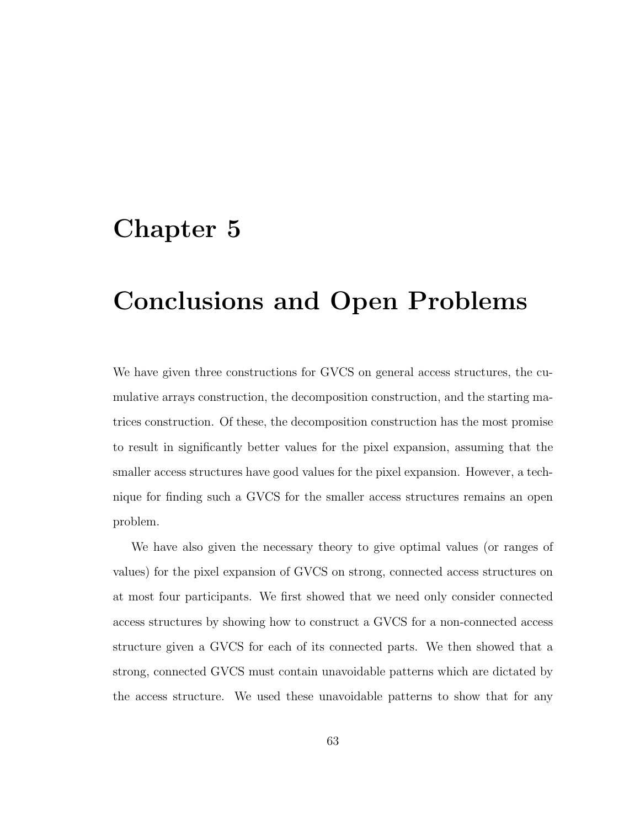## **Chapter 5**

# **Conclusions and Open Problems**

We have given three constructions for GVCS on general access structures, the cumulative arrays construction, the decomposition construction, and the starting matrices construction. Of these, the decomposition construction has the most promise to result in significantly better values for the pixel expansion, assuming that the smaller access structures have good values for the pixel expansion. However, a technique for finding such a GVCS for the smaller access structures remains an open problem.

We have also given the necessary theory to give optimal values (or ranges of values) for the pixel expansion of GVCS on strong, connected access structures on at most four participants. We first showed that we need only consider connected access structures by showing how to construct a GVCS for a non-connected access structure given a GVCS for each of its connected parts. We then showed that a strong, connected GVCS must contain unavoidable patterns which are dictated by the access structure. We used these unavoidable patterns to show that for any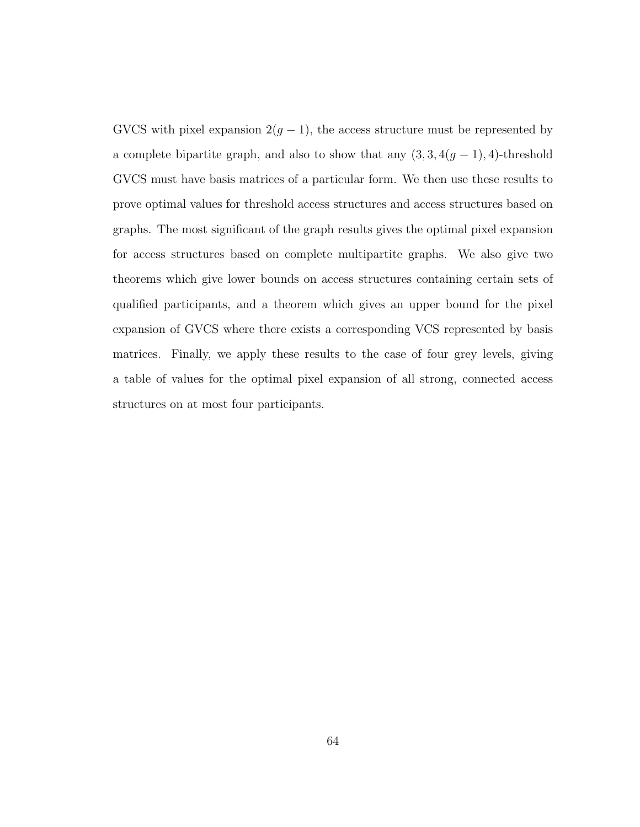GVCS with pixel expansion  $2(g - 1)$ , the access structure must be represented by a complete bipartite graph, and also to show that any  $(3, 3, 4(g - 1), 4)$ -threshold GVCS must have basis matrices of a particular form. We then use these results to prove optimal values for threshold access structures and access structures based on graphs. The most significant of the graph results gives the optimal pixel expansion for access structures based on complete multipartite graphs. We also give two theorems which give lower bounds on access structures containing certain sets of qualified participants, and a theorem which gives an upper bound for the pixel expansion of GVCS where there exists a corresponding VCS represented by basis matrices. Finally, we apply these results to the case of four grey levels, giving a table of values for the optimal pixel expansion of all strong, connected access structures on at most four participants.